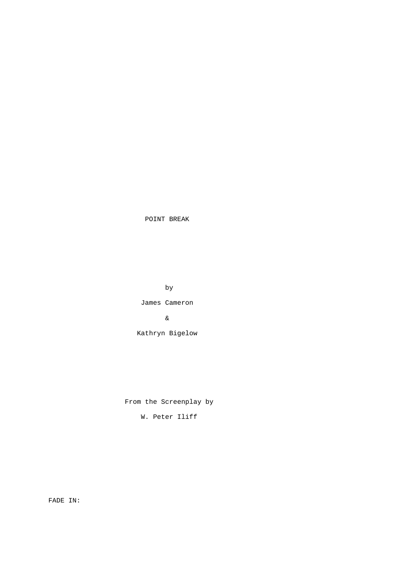POINT BREAK

by

James Cameron

&

Kathryn Bigelow

From the Screenplay by

W. Peter Iliff

FADE IN: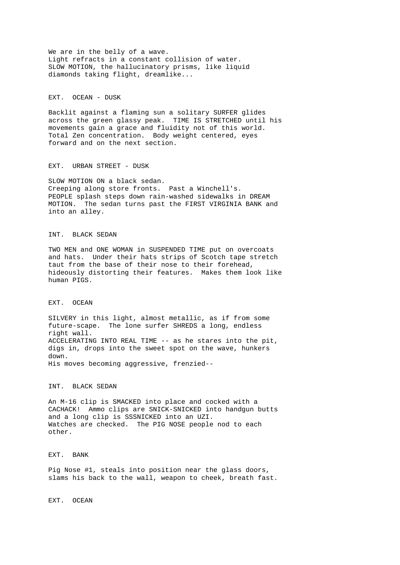We are in the belly of a wave. Light refracts in a constant collision of water. SLOW MOTION, the hallucinatory prisms, like liquid diamonds taking flight, dreamlike...

EXT. OCEAN - DUSK

Backlit against a flaming sun a solitary SURFER glides across the green glassy peak. TIME IS STRETCHED until his movements gain a grace and fluidity not of this world. Total Zen concentration. Body weight centered, eyes forward and on the next section.

EXT. URBAN STREET - DUSK

SLOW MOTION ON a black sedan. Creeping along store fronts. Past a Winchell's. PEOPLE splash steps down rain-washed sidewalks in DREAM MOTION. The sedan turns past the FIRST VIRGINIA BANK and into an alley.

## INT. BLACK SEDAN

TWO MEN and ONE WOMAN in SUSPENDED TIME put on overcoats and hats. Under their hats strips of Scotch tape stretch taut from the base of their nose to their forehead, hideously distorting their features. Makes them look like human PIGS.

#### EXT. OCEAN

SILVERY in this light, almost metallic, as if from some future-scape. The lone surfer SHREDS a long, endless right wall. ACCELERATING INTO REAL TIME -- as he stares into the pit, digs in, drops into the sweet spot on the wave, hunkers down. His moves becoming aggressive, frenzied--

# INT. BLACK SEDAN

An M-16 clip is SMACKED into place and cocked with a CACHACK! Ammo clips are SNICK-SNICKED into handgun butts and a long clip is SSSNICKED into an UZI. Watches are checked. The PIG NOSE people nod to each other.

## EXT. BANK

Pig Nose #1, steals into position near the glass doors, slams his back to the wall, weapon to cheek, breath fast.

EXT. OCEAN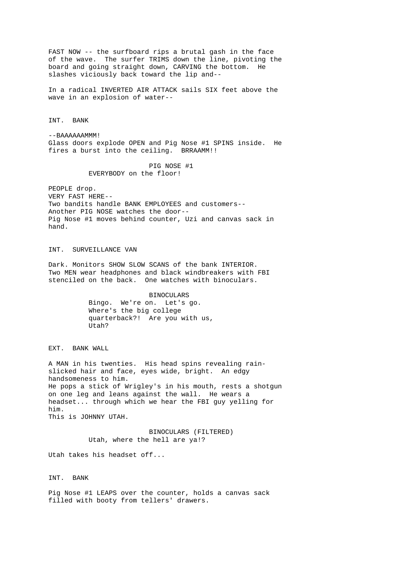FAST NOW -- the surfboard rips a brutal gash in the face of the wave. The surfer TRIMS down the line, pivoting the board and going straight down, CARVING the bottom. He slashes viciously back toward the lip and--

In a radical INVERTED AIR ATTACK sails SIX feet above the wave in an explosion of water--

INT. BANK

--BAAAAAAMMM! Glass doors explode OPEN and Pig Nose #1 SPINS inside. He fires a burst into the ceiling. BRRAAMM!!

> PIG NOSE #1 EVERYBODY on the floor!

PEOPLE drop. VERY FAST HERE-- Two bandits handle BANK EMPLOYEES and customers-- Another PIG NOSE watches the door-- Pig Nose #1 moves behind counter, Uzi and canvas sack in hand.

## INT. SURVEILLANCE VAN

Dark. Monitors SHOW SLOW SCANS of the bank INTERIOR. Two MEN wear headphones and black windbreakers with FBI stenciled on the back. One watches with binoculars.

> BINOCULARS Bingo. We're on. Let's go. Where's the big college quarterback?! Are you with us, Utah?

EXT. BANK WALL

A MAN in his twenties. His head spins revealing rainslicked hair and face, eyes wide, bright. An edgy handsomeness to him. He pops a stick of Wrigley's in his mouth, rests a shotgun on one leg and leans against the wall. He wears a headset... through which we hear the FBI guy yelling for him. This is JOHNNY UTAH.

> BINOCULARS (FILTERED) Utah, where the hell are ya!?

Utah takes his headset off...

INT. BANK

Pig Nose #1 LEAPS over the counter, holds a canvas sack filled with booty from tellers' drawers.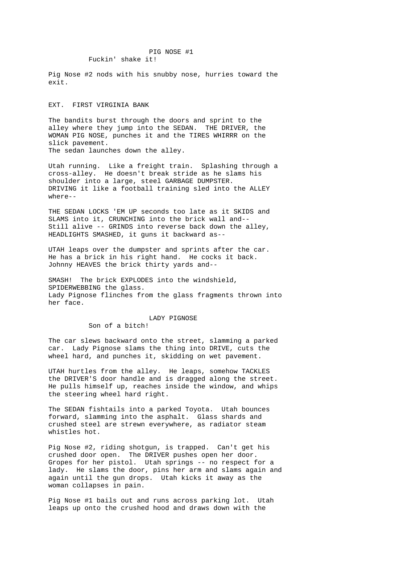Pig Nose #2 nods with his snubby nose, hurries toward the exit.

## EXT. FIRST VIRGINIA BANK

The bandits burst through the doors and sprint to the alley where they jump into the SEDAN. THE DRIVER, the WOMAN PIG NOSE, punches it and the TIRES WHIRRR on the slick pavement. The sedan launches down the alley.

Utah running. Like a freight train. Splashing through a cross-alley. He doesn't break stride as he slams his shoulder into a large, steel GARBAGE DUMPSTER. DRIVING it like a football training sled into the ALLEY where--

THE SEDAN LOCKS 'EM UP seconds too late as it SKIDS and SLAMS into it, CRUNCHING into the brick wall and-- Still alive -- GRINDS into reverse back down the alley, HEADLIGHTS SMASHED, it guns it backward as--

UTAH leaps over the dumpster and sprints after the car. He has a brick in his right hand. He cocks it back. Johnny HEAVES the brick thirty yards and--

SMASH! The brick EXPLODES into the windshield, SPIDERWEBBING the glass. Lady Pignose flinches from the glass fragments thrown into her face.

## LADY PIGNOSE

Son of a bitch!

The car slews backward onto the street, slamming a parked car. Lady Pignose slams the thing into DRIVE, cuts the wheel hard, and punches it, skidding on wet pavement.

UTAH hurtles from the alley. He leaps, somehow TACKLES the DRIVER'S door handle and is dragged along the street. He pulls himself up, reaches inside the window, and whips the steering wheel hard right.

The SEDAN fishtails into a parked Toyota. Utah bounces forward, slamming into the asphalt. Glass shards and crushed steel are strewn everywhere, as radiator steam whistles hot.

Pig Nose #2, riding shotgun, is trapped. Can't get his crushed door open. The DRIVER pushes open her door. Gropes for her pistol. Utah springs -- no respect for a lady. He slams the door, pins her arm and slams again and again until the gun drops. Utah kicks it away as the woman collapses in pain.

Pig Nose #1 bails out and runs across parking lot. Utah leaps up onto the crushed hood and draws down with the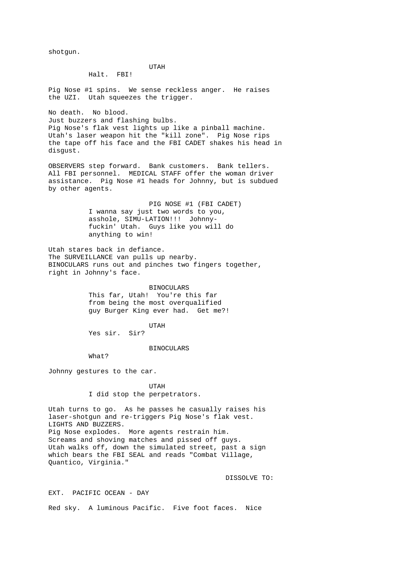shotgun.

UTAH

Halt. FBI!

Pig Nose #1 spins. We sense reckless anger. He raises the UZI. Utah squeezes the trigger.

No death. No blood. Just buzzers and flashing bulbs. Pig Nose's flak vest lights up like a pinball machine. Utah's laser weapon hit the "kill zone". Pig Nose rips the tape off his face and the FBI CADET shakes his head in disgust.

OBSERVERS step forward. Bank customers. Bank tellers. All FBI personnel. MEDICAL STAFF offer the woman driver assistance. Pig Nose #1 heads for Johnny, but is subdued by other agents.

> PIG NOSE #1 (FBI CADET) I wanna say just two words to you, asshole, SIMU-LATION!!! Johnny fuckin' Utah. Guys like you will do anything to win!

Utah stares back in defiance. The SURVEILLANCE van pulls up nearby. BINOCULARS runs out and pinches two fingers together, right in Johnny's face.

> BINOCULARS This far, Utah! You're this far from being the most overqualified guy Burger King ever had. Get me?!

> > UTAH

Yes sir. Sir?

BINOCULARS

What?

Johnny gestures to the car.

 UTAH I did stop the perpetrators.

Utah turns to go. As he passes he casually raises his laser-shotgun and re-triggers Pig Nose's flak vest. LIGHTS AND BUZZERS. Pig Nose explodes. More agents restrain him. Screams and shoving matches and pissed off guys. Utah walks off, down the simulated street, past a sign which bears the FBI SEAL and reads "Combat Village, Quantico, Virginia."

DISSOLVE TO:

EXT. PACIFIC OCEAN - DAY

Red sky. A luminous Pacific. Five foot faces. Nice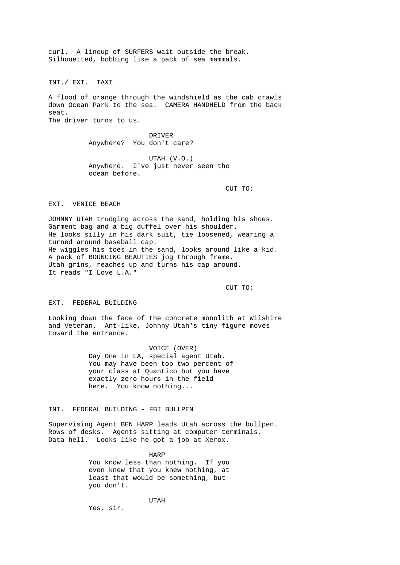curl. A lineup of SURFERS wait outside the break. Silhouetted, bobbing like a pack of sea mammals.

INT./ EXT. TAXI

A flood of orange through the windshield as the cab crawls down Ocean Park to the sea. CAMERA HANDHELD from the back seat. The driver turns to us.

> DRIVER Anywhere? You don't care?

UTAH (V.O.)<br>Anywhere. I've just never I've just never seen the ocean before.

CUT TO:

EXT. VENICE BEACH

JOHNNY UTAH trudging across the sand, holding his shoes. Garment bag and a big duffel over his shoulder. He looks silly in his dark suit, tie loosened, wearing a turned around baseball cap. He wiggles his toes in the sand, looks around like a kid. A pack of BOUNCING BEAUTIES jog through frame. Utah grins, reaches up and turns his cap around. It reads "I Love L.A."

CUT TO:

EXT. FEDERAL BUILDING

Looking down the face of the concrete monolith at Wilshire and Veteran. Ant-like, Johnny Utah's tiny figure moves toward the entrance.

> VOICE (OVER) Day One in LA, special agent Utah. You may have been top two percent of your class at Quantico but you have exactly zero hours in the field here. You know nothing...

INT. FEDERAL BUILDING - FBI BULLPEN

Supervising Agent BEN HARP leads Utah across the bullpen. Rows of desks. Agents sitting at computer terminals. Data hell. Looks like he got a job at Xerox.

> HARP You know less than nothing. If you even knew that you knew nothing, at least that would be something, but you don't.

UTAH

Yes, sir.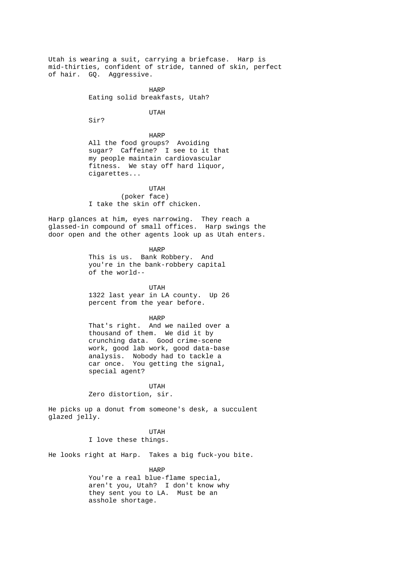Utah is wearing a suit, carrying a briefcase. Harp is mid-thirties, confident of stride, tanned of skin, perfect of hair. GQ. Aggressive.

harpened to the control of the HARP  $\overline{\phantom{a}}$ Eating solid breakfasts, Utah?

UTAH

Sir?

 HARP All the food groups? Avoiding sugar? Caffeine? I see to it that my people maintain cardiovascular fitness. We stay off hard liquor, cigarettes...

 UTAH (poker face) I take the skin off chicken.

Harp glances at him, eyes narrowing. They reach a glassed-in compound of small offices. Harp swings the door open and the other agents look up as Utah enters.

**HARP**  This is us. Bank Robbery. And you're in the bank-robbery capital of the world--

> UTAH 1322 last year in LA county. Up 26 percent from the year before.

# harpened to the control of the HARP  $\overline{\phantom{a}}$

 That's right. And we nailed over a thousand of them. We did it by crunching data. Good crime-scene work, good lab work, good data-base analysis. Nobody had to tackle a car once. You getting the signal, special agent?

 UTAH Zero distortion, sir.

He picks up a donut from someone's desk, a succulent glazed jelly.

 UTAH I love these things.

He looks right at Harp. Takes a big fuck-you bite.

HARP

 You're a real blue-flame special, aren't you, Utah? I don't know why they sent you to LA. Must be an asshole shortage.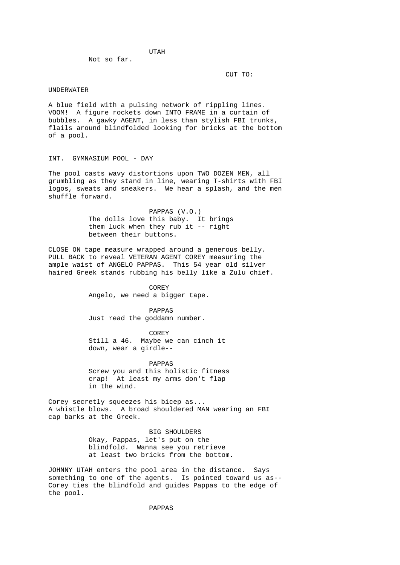UTAH Not so far.

CUT TO:

#### UNDERWATER

A blue field with a pulsing network of rippling lines. VOOM! A figure rockets down INTO FRAME in a curtain of bubbles. A gawky AGENT, in less than stylish FBI trunks, flails around blindfolded looking for bricks at the bottom of a pool.

## INT. GYMNASIUM POOL - DAY

The pool casts wavy distortions upon TWO DOZEN MEN, all grumbling as they stand in line, wearing T-shirts with FBI logos, sweats and sneakers. We hear a splash, and the men shuffle forward.

> PAPPAS (V.O.) The dolls love this baby. It brings them luck when they rub it -- right between their buttons.

CLOSE ON tape measure wrapped around a generous belly. PULL BACK to reveal VETERAN AGENT COREY measuring the ample waist of ANGELO PAPPAS. This 54 year old silver haired Greek stands rubbing his belly like a Zulu chief.

> COREY Angelo, we need a bigger tape.

 PAPPAS Just read the goddamn number.

 COREY Still a 46. Maybe we can cinch it down, wear a girdle--

 PAPPAS Screw you and this holistic fitness crap! At least my arms don't flap in the wind.

Corey secretly squeezes his bicep as... A whistle blows. A broad shouldered MAN wearing an FBI cap barks at the Greek.

> BIG SHOULDERS Okay, Pappas, let's put on the blindfold. Wanna see you retrieve at least two bricks from the bottom.

JOHNNY UTAH enters the pool area in the distance. Says something to one of the agents. Is pointed toward us as-- Corey ties the blindfold and guides Pappas to the edge of the pool.

PAPPAS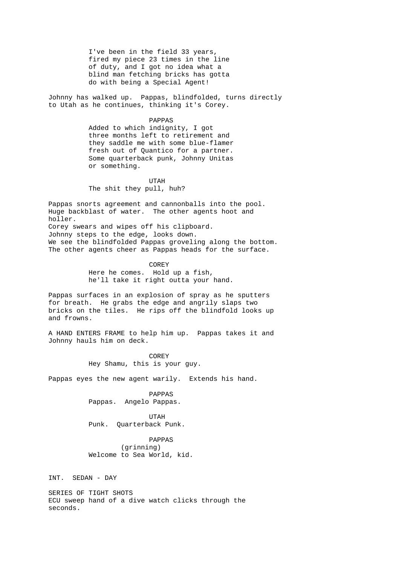I've been in the field 33 years, fired my piece 23 times in the line of duty, and I got no idea what a blind man fetching bricks has gotta do with being a Special Agent!

Johnny has walked up. Pappas, blindfolded, turns directly to Utah as he continues, thinking it's Corey.

## PAPPAS

 Added to which indignity, I got three months left to retirement and they saddle me with some blue-flamer fresh out of Quantico for a partner. Some quarterback punk, Johnny Unitas or something.

 UTAH The shit they pull, huh?

Pappas snorts agreement and cannonballs into the pool. Huge backblast of water. The other agents hoot and holler. Corey swears and wipes off his clipboard. Johnny steps to the edge, looks down. We see the blindfolded Pappas groveling along the bottom. The other agents cheer as Pappas heads for the surface.

> COREY Here he comes. Hold up a fish, he'll take it right outta your hand.

Pappas surfaces in an explosion of spray as he sputters for breath. He grabs the edge and angrily slaps two bricks on the tiles. He rips off the blindfold looks up and frowns.

A HAND ENTERS FRAME to help him up. Pappas takes it and Johnny hauls him on deck.

**COREY** Hey Shamu, this is your guy.

Pappas eyes the new agent warily. Extends his hand.

 PAPPAS Pappas. Angelo Pappas.

 UTAH Punk. Quarterback Punk.

> PAPPAS (grinning) Welcome to Sea World, kid.

INT. SEDAN - DAY

SERIES OF TIGHT SHOTS ECU sweep hand of a dive watch clicks through the seconds.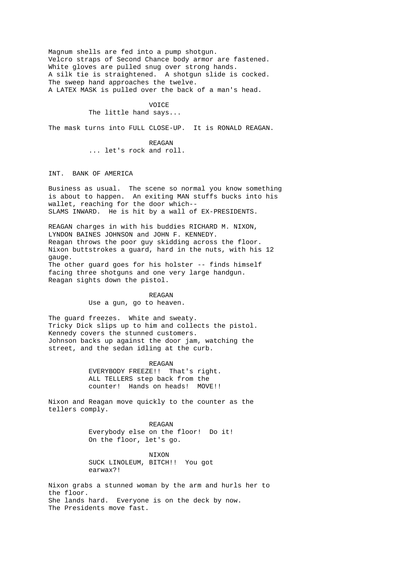Magnum shells are fed into a pump shotgun. Velcro straps of Second Chance body armor are fastened. White gloves are pulled snug over strong hands. A silk tie is straightened. A shotgun slide is cocked. The sweep hand approaches the twelve. A LATEX MASK is pulled over the back of a man's head.

# VOICE The little hand says...

The mask turns into FULL CLOSE-UP. It is RONALD REAGAN.

REAGAN REAGAN ... let's rock and roll.

INT. BANK OF AMERICA

Business as usual. The scene so normal you know something is about to happen. An exiting MAN stuffs bucks into his wallet, reaching for the door which-- SLAMS INWARD. He is hit by a wall of EX-PRESIDENTS.

REAGAN charges in with his buddies RICHARD M. NIXON, LYNDON BAINES JOHNSON and JOHN F. KENNEDY. Reagan throws the poor guy skidding across the floor. Nixon buttstrokes a guard, hard in the nuts, with his 12 gauge. The other guard goes for his holster -- finds himself facing three shotguns and one very large handgun. Reagan sights down the pistol.

> REAGAN Use a gun, go to heaven.

The guard freezes. White and sweaty. Tricky Dick slips up to him and collects the pistol. Kennedy covers the stunned customers. Johnson backs up against the door jam, watching the street, and the sedan idling at the curb.

> REAGAN EVERYBODY FREEZE!! That's right. ALL TELLERS step back from the counter! Hands on heads! MOVE!!

Nixon and Reagan move quickly to the counter as the tellers comply.

REAGAN REAGAN Everybody else on the floor! Do it! On the floor, let's go.

> NIXON SUCK LINOLEUM, BITCH!! You got earwax?!

Nixon grabs a stunned woman by the arm and hurls her to the floor. She lands hard. Everyone is on the deck by now. The Presidents move fast.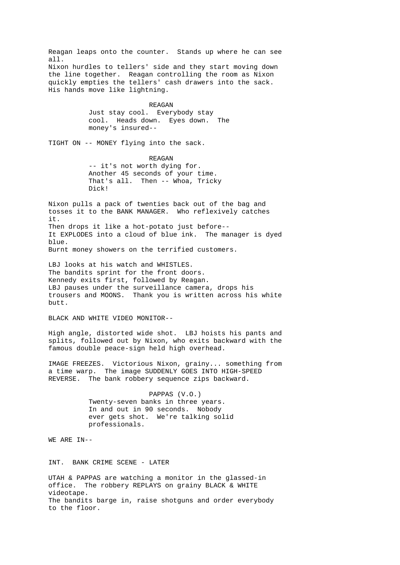Reagan leaps onto the counter. Stands up where he can see all. Nixon hurdles to tellers' side and they start moving down the line together. Reagan controlling the room as Nixon quickly empties the tellers' cash drawers into the sack. His hands move like lightning.

> REAGAN Just stay cool. Everybody stay cool. Heads down. Eyes down. The money's insured--

TIGHT ON -- MONEY flying into the sack.

 REAGAN -- it's not worth dying for. Another 45 seconds of your time. That's all. Then -- Whoa, Tricky Dick!

Nixon pulls a pack of twenties back out of the bag and tosses it to the BANK MANAGER. Who reflexively catches it. Then drops it like a hot-potato just before-- It EXPLODES into a cloud of blue ink. The manager is dyed  $h \ln e$ Burnt money showers on the terrified customers.

LBJ looks at his watch and WHISTLES. The bandits sprint for the front doors. Kennedy exits first, followed by Reagan. LBJ pauses under the surveillance camera, drops his trousers and MOONS. Thank you is written across his white butt.

BLACK AND WHITE VIDEO MONITOR--

High angle, distorted wide shot. LBJ hoists his pants and splits, followed out by Nixon, who exits backward with the famous double peace-sign held high overhead.

IMAGE FREEZES. Victorious Nixon, grainy... something from a time warp. The image SUDDENLY GOES INTO HIGH-SPEED REVERSE. The bank robbery sequence zips backward.

> PAPPAS (V.O.) Twenty-seven banks in three years. In and out in 90 seconds. Nobody ever gets shot. We're talking solid professionals.

WE ARE IN--

INT. BANK CRIME SCENE - LATER

UTAH & PAPPAS are watching a monitor in the glassed-in office. The robbery REPLAYS on grainy BLACK & WHITE videotape. The bandits barge in, raise shotguns and order everybody to the floor.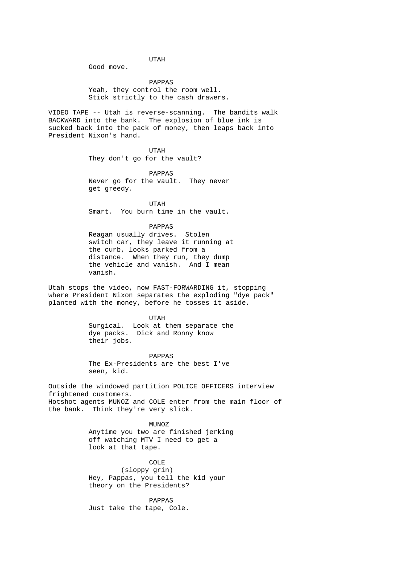UTAH Good move.

> PAPPAS Yeah, they control the room well. Stick strictly to the cash drawers.

VIDEO TAPE -- Utah is reverse-scanning. The bandits walk BACKWARD into the bank. The explosion of blue ink is sucked back into the pack of money, then leaps back into President Nixon's hand.

 UTAH They don't go for the vault?

 PAPPAS Never go for the vault. They never get greedy.

 UTAH Smart. You burn time in the vault.

> PAPPAS Reagan usually drives. Stolen switch car, they leave it running at the curb, looks parked from a distance. When they run, they dump the vehicle and vanish. And I mean vanish.

Utah stops the video, now FAST-FORWARDING it, stopping where President Nixon separates the exploding "dye pack" planted with the money, before he tosses it aside.

 UTAH Surgical. Look at them separate the dye packs. Dick and Ronny know their jobs.

> PAPPAS The Ex-Presidents are the best I've seen, kid.

Outside the windowed partition POLICE OFFICERS interview frightened customers. Hotshot agents MUNOZ and COLE enter from the main floor of the bank. Think they're very slick.

> MUNOZ Anytime you two are finished jerking off watching MTV I need to get a look at that tape.

 COLE (sloppy grin) Hey, Pappas, you tell the kid your theory on the Presidents?

 PAPPAS Just take the tape, Cole.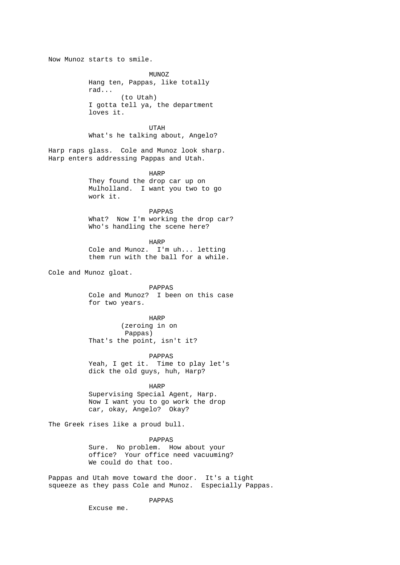Now Munoz starts to smile. MUNOZ Hang ten, Pappas, like totally rad... (to Utah) I gotta tell ya, the department loves it. UTAH What's he talking about, Angelo? Harp raps glass. Cole and Munoz look sharp. Harp enters addressing Pappas and Utah. harpened to the HARP HARP They found the drop car up on Mulholland. I want you two to go work it. PAPPAS What? Now I'm working the drop car? Who's handling the scene here? HARP Cole and Munoz. I'm uh... letting them run with the ball for a while. Cole and Munoz gloat. PAPPAS Cole and Munoz? I been on this case for two years. HARP (zeroing in on Pappas) That's the point, isn't it? PAPPAS Yeah, I get it. Time to play let's dick the old guys, huh, Harp? harpened to the control of the HARP  $\overline{\phantom{a}}$  Supervising Special Agent, Harp. Now I want you to go work the drop car, okay, Angelo? Okay? The Greek rises like a proud bull. PAPPAS Sure. No problem. How about your office? Your office need vacuuming? We could do that too. Pappas and Utah move toward the door. It's a tight squeeze as they pass Cole and Munoz. Especially Pappas. PAPPAS

Excuse me.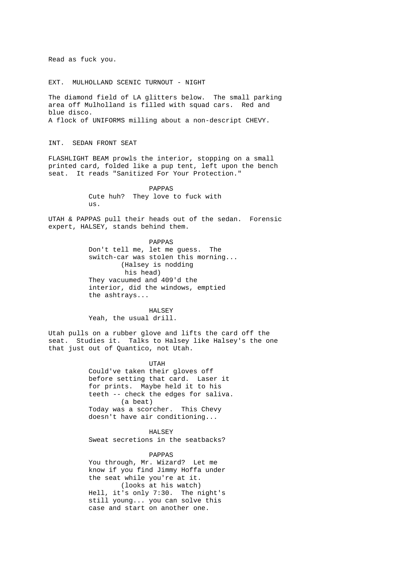Read as fuck you.

EXT. MULHOLLAND SCENIC TURNOUT - NIGHT

The diamond field of LA glitters below. The small parking area off Mulholland is filled with squad cars. Red and blue disco. A flock of UNIFORMS milling about a non-descript CHEVY.

INT. SEDAN FRONT SEAT

FLASHLIGHT BEAM prowls the interior, stopping on a small printed card, folded like a pup tent, left upon the bench seat. It reads "Sanitized For Your Protection."

> PAPPAS Cute huh? They love to fuck with us.

UTAH & PAPPAS pull their heads out of the sedan. Forensic expert, HALSEY, stands behind them.

> PAPPAS Don't tell me, let me guess. The switch-car was stolen this morning... (Halsey is nodding his head) They vacuumed and 409'd the interior, did the windows, emptied the ashtrays...

 HALSEY Yeah, the usual drill.

Utah pulls on a rubber glove and lifts the card off the seat. Studies it. Talks to Halsey like Halsey's the one that just out of Quantico, not Utah.

> UTAH Could've taken their gloves off before setting that card. Laser it for prints. Maybe held it to his teeth -- check the edges for saliva. (a beat) Today was a scorcher. This Chevy doesn't have air conditioning...

 HALSEY Sweat secretions in the seatbacks?

 PAPPAS You through, Mr. Wizard? Let me know if you find Jimmy Hoffa under the seat while you're at it. (looks at his watch) Hell, it's only 7:30. The night's still young... you can solve this case and start on another one.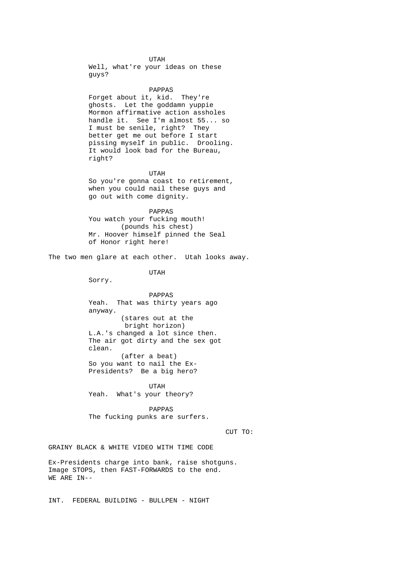UTAH Well, what're your ideas on these guys?

> PAPPAS Forget about it, kid. They're ghosts. Let the goddamn yuppie Mormon affirmative action assholes handle it. See I'm almost 55... so I must be senile, right? They better get me out before I start pissing myself in public. Drooling. It would look bad for the Bureau, right?

> UTAH So you're gonna coast to retirement, when you could nail these guys and go out with come dignity.

 PAPPAS You watch your fucking mouth! (pounds his chest) Mr. Hoover himself pinned the Seal of Honor right here!

The two men glare at each other. Utah looks away.

UTAH

Sorry.

 PAPPAS Yeah. That was thirty years ago anyway. (stares out at the bright horizon) L.A.'s changed a lot since then. The air got dirty and the sex got clean. (after a beat) So you want to nail the Ex- Presidents? Be a big hero?

 UTAH Yeah. What's your theory?

> PAPPAS The fucking punks are surfers.

CUT TO:

GRAINY BLACK & WHITE VIDEO WITH TIME CODE

Ex-Presidents charge into bank, raise shotguns. Image STOPS, then FAST-FORWARDS to the end. WE ARE IN--

INT. FEDERAL BUILDING - BULLPEN - NIGHT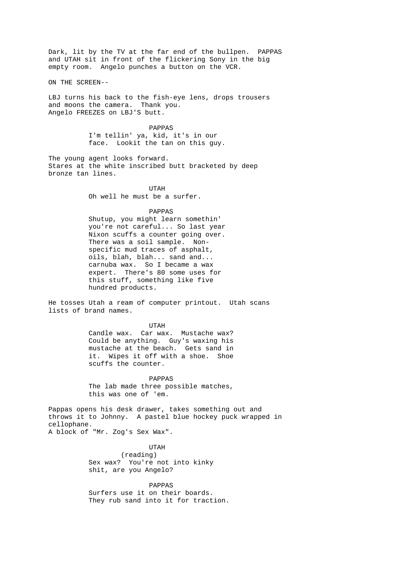Dark, lit by the TV at the far end of the bullpen. PAPPAS and UTAH sit in front of the flickering Sony in the big empty room. Angelo punches a button on the VCR.

ON THE SCREEN--

LBJ turns his back to the fish-eye lens, drops trousers and moons the camera. Thank you. Angelo FREEZES on LBJ'S butt.

> PAPPAS I'm tellin' ya, kid, it's in our face. Lookit the tan on this guy.

The young agent looks forward. Stares at the white inscribed butt bracketed by deep bronze tan lines.

 UTAH Oh well he must be a surfer.

PAPPAS

 Shutup, you might learn somethin' you're not careful... So last year Nixon scuffs a counter going over. There was a soil sample. Non specific mud traces of asphalt, oils, blah, blah... sand and... carnuba wax. So I became a wax expert. There's 80 some uses for this stuff, something like five hundred products.

He tosses Utah a ream of computer printout. Utah scans lists of brand names.

> UTAH Candle wax. Car wax. Mustache wax? Could be anything. Guy's waxing his mustache at the beach. Gets sand in it. Wipes it off with a shoe. Shoe scuffs the counter.

 PAPPAS The lab made three possible matches, this was one of 'em.

Pappas opens his desk drawer, takes something out and throws it to Johnny. A pastel blue hockey puck wrapped in cellophane. A block of "Mr. Zog's Sex Wax".

 UTAH (reading) Sex wax? You're not into kinky shit, are you Angelo?

> PAPPAS Surfers use it on their boards. They rub sand into it for traction.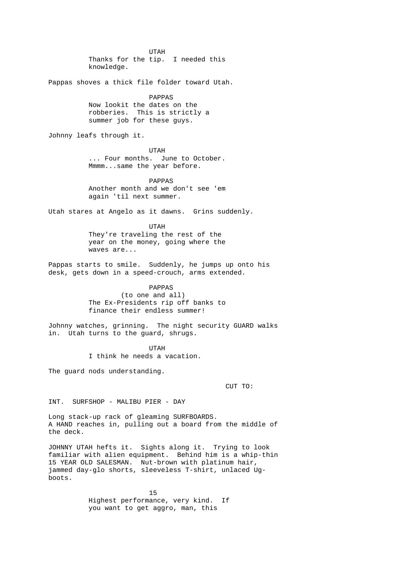UTAH Thanks for the tip. I needed this knowledge. Pappas shoves a thick file folder toward Utah. PAPPAS Now lookit the dates on the robberies. This is strictly a summer job for these guys. Johnny leafs through it. UTAH ... Four months. June to October. Mmmm...same the year before. PAPPAS Another month and we don't see 'em again 'til next summer. Utah stares at Angelo as it dawns. Grins suddenly. UTAH They're traveling the rest of the year on the money, going where the waves are... Pappas starts to smile. Suddenly, he jumps up onto his desk, gets down in a speed-crouch, arms extended. PAPPAS (to one and all) The Ex-Presidents rip off banks to finance their endless summer! Johnny watches, grinning. The night security GUARD walks in. Utah turns to the guard, shrugs. UTAH I think he needs a vacation. The guard nods understanding. CUT TO: INT. SURFSHOP - MALIBU PIER - DAY Long stack-up rack of gleaming SURFBOARDS. A HAND reaches in, pulling out a board from the middle of the deck. JOHNNY UTAH hefts it. Sights along it. Trying to look familiar with alien equipment. Behind him is a whip-thin 15 YEAR OLD SALESMAN. Nut-brown with platinum hair, jammed day-glo shorts, sleeveless T-shirt, unlaced Ugboots.

15 Highest performance, very kind. If you want to get aggro, man, this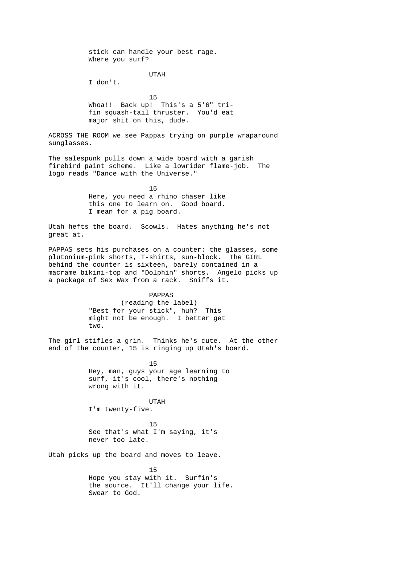stick can handle your best rage. Where you surf? UTAH I don't. 15 Whoa!! Back up! This's a 5'6" tri fin squash-tail thruster. You'd eat major shit on this, dude. ACROSS THE ROOM we see Pappas trying on purple wraparound sunglasses. The salespunk pulls down a wide board with a garish firebird paint scheme. Like a lowrider flame-job. The logo reads "Dance with the Universe." 15 Here, you need a rhino chaser like this one to learn on. Good board. I mean for a pig board. Utah hefts the board. Scowls. Hates anything he's not great at. PAPPAS sets his purchases on a counter: the glasses, some plutonium-pink shorts, T-shirts, sun-block. The GIRL behind the counter is sixteen, barely contained in a macrame bikini-top and "Dolphin" shorts. Angelo picks up a package of Sex Wax from a rack. Sniffs it. PAPPAS (reading the label) "Best for your stick", huh? This might not be enough. I better get two. The girl stifles a grin. Thinks he's cute. At the other end of the counter, 15 is ringing up Utah's board. 15 Hey, man, guys your age learning to surf, it's cool, there's nothing wrong with it. UTAH I'm twenty-five. 15 See that's what I'm saying, it's never too late. Utah picks up the board and moves to leave. <u>15</u> Hope you stay with it. Surfin's

 the source. It'll change your life. Swear to God.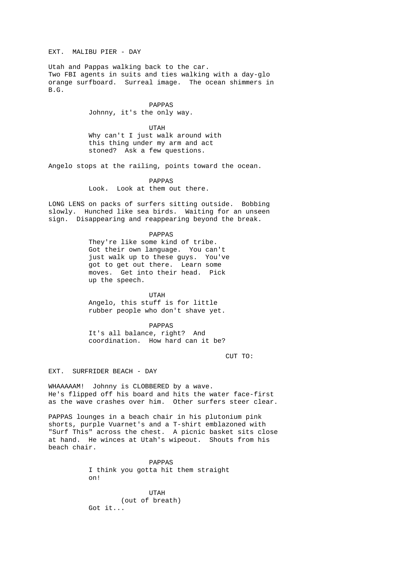EXT. MALIBU PIER - DAY

Utah and Pappas walking back to the car. Two FBI agents in suits and ties walking with a day-glo orange surfboard. Surreal image. The ocean shimmers in B.G.

> PAPPAS Johnny, it's the only way.

 UTAH Why can't I just walk around with this thing under my arm and act stoned? Ask a few questions.

Angelo stops at the railing, points toward the ocean.

 PAPPAS Look. Look at them out there.

LONG LENS on packs of surfers sitting outside. Bobbing slowly. Hunched like sea birds. Waiting for an unseen sign. Disappearing and reappearing beyond the break.

PAPPAS

 They're like some kind of tribe. Got their own language. You can't just walk up to these guys. You've got to get out there. Learn some moves. Get into their head. Pick up the speech.

 UTAH Angelo, this stuff is for little rubber people who don't shave yet.

 PAPPAS It's all balance, right? And coordination. How hard can it be?

CUT TO:

EXT. SURFRIDER BEACH - DAY

WHAAAAAM! Johnny is CLOBBERED by a wave. He's flipped off his board and hits the water face-first as the wave crashes over him. Other surfers steer clear.

PAPPAS lounges in a beach chair in his plutonium pink shorts, purple Vuarnet's and a T-shirt emblazoned with "Surf This" across the chest. A picnic basket sits close at hand. He winces at Utah's wipeout. Shouts from his beach chair.

> PAPPAS I think you gotta hit them straight on!

 UTAH (out of breath) Got it...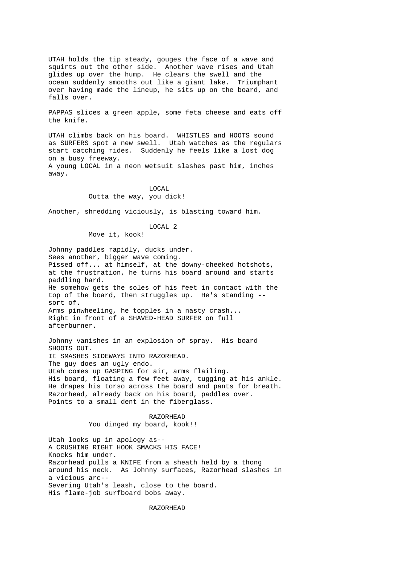UTAH holds the tip steady, gouges the face of a wave and squirts out the other side. Another wave rises and Utah glides up over the hump. He clears the swell and the ocean suddenly smooths out like a giant lake. Triumphant over having made the lineup, he sits up on the board, and falls over.

PAPPAS slices a green apple, some feta cheese and eats off the knife.

UTAH climbs back on his board. WHISTLES and HOOTS sound as SURFERS spot a new swell. Utah watches as the regulars start catching rides. Suddenly he feels like a lost dog on a busy freeway. A young LOCAL in a neon wetsuit slashes past him, inches away.

 LOCAL Outta the way, you dick!

Another, shredding viciously, is blasting toward him.

 LOCAL 2 Move it, kook!

Johnny paddles rapidly, ducks under. Sees another, bigger wave coming. Pissed off... at himself, at the downy-cheeked hotshots, at the frustration, he turns his board around and starts paddling hard. He somehow gets the soles of his feet in contact with the top of the board, then struggles up. He's standing - sort of. Arms pinwheeling, he topples in a nasty crash... Right in front of a SHAVED-HEAD SURFER on full afterburner.

Johnny vanishes in an explosion of spray. His board SHOOTS OUT. It SMASHES SIDEWAYS INTO RAZORHEAD. The guy does an ugly endo. Utah comes up GASPING for air, arms flailing. His board, floating a few feet away, tugging at his ankle. He drapes his torso across the board and pants for breath. Razorhead, already back on his board, paddles over. Points to a small dent in the fiberglass.

> RAZORHEAD You dinged my board, kook!!

Utah looks up in apology as-- A CRUSHING RIGHT HOOK SMACKS HIS FACE! Knocks him under. Razorhead pulls a KNIFE from a sheath held by a thong around his neck. As Johnny surfaces, Razorhead slashes in a vicious arc-- Severing Utah's leash, close to the board. His flame-job surfboard bobs away.

RAZORHEAD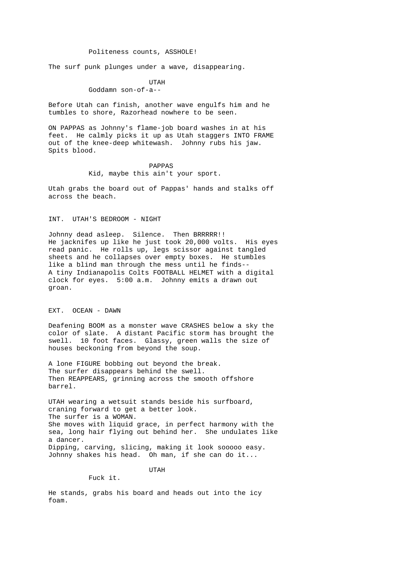### Politeness counts, ASSHOLE!

The surf punk plunges under a wave, disappearing.

 UTAH Goddamn son-of-a--

Before Utah can finish, another wave engulfs him and he tumbles to shore, Razorhead nowhere to be seen.

ON PAPPAS as Johnny's flame-job board washes in at his feet. He calmly picks it up as Utah staggers INTO FRAME out of the knee-deep whitewash. Johnny rubs his jaw. Spits blood.

> PAPPAS Kid, maybe this ain't your sport.

Utah grabs the board out of Pappas' hands and stalks off across the beach.

## INT. UTAH'S BEDROOM - NIGHT

Johnny dead asleep. Silence. Then BRRRRR!! He jacknifes up like he just took 20,000 volts. His eyes read panic. He rolls up, legs scissor against tangled sheets and he collapses over empty boxes. He stumbles like a blind man through the mess until he finds-- A tiny Indianapolis Colts FOOTBALL HELMET with a digital clock for eyes. 5:00 a.m. Johnny emits a drawn out groan.

### EXT. OCEAN - DAWN

Deafening BOOM as a monster wave CRASHES below a sky the color of slate. A distant Pacific storm has brought the swell. 10 foot faces. Glassy, green walls the size of houses beckoning from beyond the soup.

A lone FIGURE bobbing out beyond the break. The surfer disappears behind the swell. Then REAPPEARS, grinning across the smooth offshore barrel.

UTAH wearing a wetsuit stands beside his surfboard, craning forward to get a better look. The surfer is a WOMAN. She moves with liquid grace, in perfect harmony with the sea, long hair flying out behind her. She undulates like a dancer. Dipping, carving, slicing, making it look sooooo easy. Johnny shakes his head. Oh man, if she can do it...

UTAH

Fuck it.

He stands, grabs his board and heads out into the icy foam.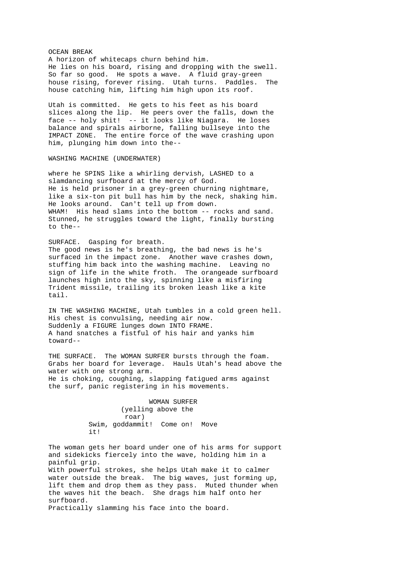OCEAN BREAK A horizon of whitecaps churn behind him. He lies on his board, rising and dropping with the swell. So far so good. He spots a wave. A fluid gray-green house rising, forever rising. Utah turns. Paddles. The house catching him, lifting him high upon its roof.

Utah is committed. He gets to his feet as his board slices along the lip. He peers over the falls, down the face -- holy shit! -- it looks like Niagara. He loses balance and spirals airborne, falling bullseye into the IMPACT ZONE. The entire force of the wave crashing upon him, plunging him down into the--

WASHING MACHINE (UNDERWATER)

where he SPINS like a whirling dervish, LASHED to a slamdancing surfboard at the mercy of God. He is held prisoner in a grey-green churning nightmare, like a six-ton pit bull has him by the neck, shaking him. He looks around. Can't tell up from down. WHAM! His head slams into the bottom -- rocks and sand. Stunned, he struggles toward the light, finally bursting to the--

### SURFACE. Gasping for breath.

The good news is he's breathing, the bad news is he's surfaced in the impact zone. Another wave crashes down, stuffing him back into the washing machine. Leaving no sign of life in the white froth. The orangeade surfboard launches high into the sky, spinning like a misfiring Trident missile, trailing its broken leash like a kite tail.

IN THE WASHING MACHINE, Utah tumbles in a cold green hell. His chest is convulsing, needing air now. Suddenly a FIGURE lunges down INTO FRAME. A hand snatches a fistful of his hair and yanks him toward--

THE SURFACE. The WOMAN SURFER bursts through the foam. Grabs her board for leverage. Hauls Utah's head above the water with one strong arm. He is choking, coughing, slapping fatigued arms against the surf, panic registering in his movements.

> WOMAN SURFER (yelling above the roar) Swim, goddammit! Come on! Move  $i + 1$

The woman gets her board under one of his arms for support and sidekicks fiercely into the wave, holding him in a painful grip. With powerful strokes, she helps Utah make it to calmer water outside the break. The big waves, just forming up, lift them and drop them as they pass. Muted thunder when the waves hit the beach. She drags him half onto her surfboard. Practically slamming his face into the board.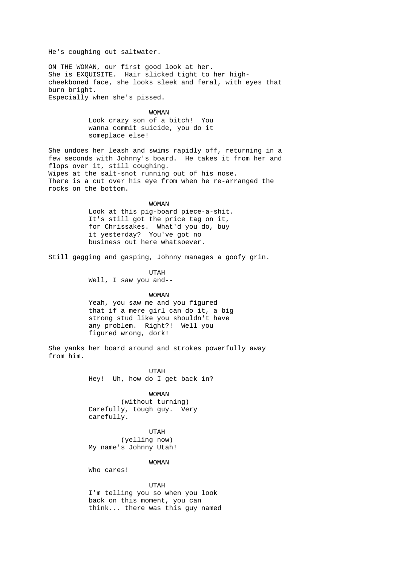He's coughing out saltwater.

ON THE WOMAN, our first good look at her. She is EXQUISITE. Hair slicked tight to her highcheekboned face, she looks sleek and feral, with eyes that burn bright. Especially when she's pissed.

> WOMAN Look crazy son of a bitch! You wanna commit suicide, you do it someplace else!

She undoes her leash and swims rapidly off, returning in a few seconds with Johnny's board. He takes it from her and flops over it, still coughing. Wipes at the salt-snot running out of his nose. There is a cut over his eye from when he re-arranged the rocks on the bottom.

> WOMAN Look at this pig-board piece-a-shit. It's still got the price tag on it, for Chrissakes. What'd you do, buy it yesterday? You've got no business out here whatsoever.

Still gagging and gasping, Johnny manages a goofy grin.

 UTAH Well, I saw you and--

 WOMAN Yeah, you saw me and you figured that if a mere girl can do it, a big strong stud like you shouldn't have any problem. Right?! Well you figured wrong, dork!

She yanks her board around and strokes powerfully away from him.

 UTAH Hey! Uh, how do I get back in?

> WOMAN (without turning) Carefully, tough guy. Very carefully.

 UTAH (yelling now) My name's Johnny Utah!

WOMAN

Who cares!

 UTAH I'm telling you so when you look back on this moment, you can think... there was this guy named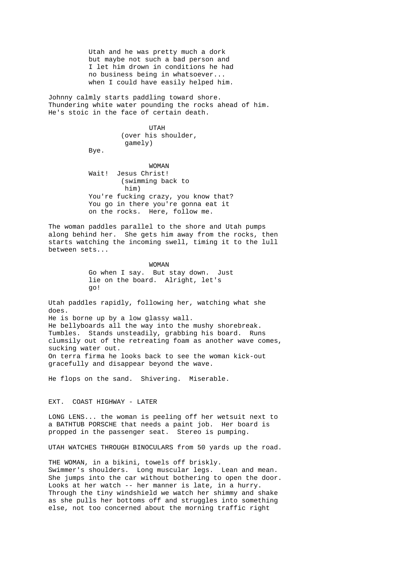Utah and he was pretty much a dork but maybe not such a bad person and I let him drown in conditions he had no business being in whatsoever... when I could have easily helped him.

Johnny calmly starts paddling toward shore. Thundering white water pounding the rocks ahead of him. He's stoic in the face of certain death.

 UTAH (over his shoulder, gamely)

Bye.

 WOMAN Wait! Jesus Christ! (swimming back to him) You're fucking crazy, you know that? You go in there you're gonna eat it on the rocks. Here, follow me.

The woman paddles parallel to the shore and Utah pumps along behind her. She gets him away from the rocks, then starts watching the incoming swell, timing it to the lull between sets...

> WOMAN Go when I say. But stay down. Just lie on the board. Alright, let's go!

Utah paddles rapidly, following her, watching what she does. He is borne up by a low glassy wall. He bellyboards all the way into the mushy shorebreak. Tumbles. Stands unsteadily, grabbing his board. Runs clumsily out of the retreating foam as another wave comes, sucking water out. On terra firma he looks back to see the woman kick-out gracefully and disappear beyond the wave.

He flops on the sand. Shivering. Miserable.

EXT. COAST HIGHWAY - LATER

LONG LENS... the woman is peeling off her wetsuit next to a BATHTUB PORSCHE that needs a paint job. Her board is propped in the passenger seat. Stereo is pumping.

UTAH WATCHES THROUGH BINOCULARS from 50 yards up the road.

THE WOMAN, in a bikini, towels off briskly. Swimmer's shoulders. Long muscular legs. Lean and mean. She jumps into the car without bothering to open the door. Looks at her watch -- her manner is late, in a hurry. Through the tiny windshield we watch her shimmy and shake as she pulls her bottoms off and struggles into something else, not too concerned about the morning traffic right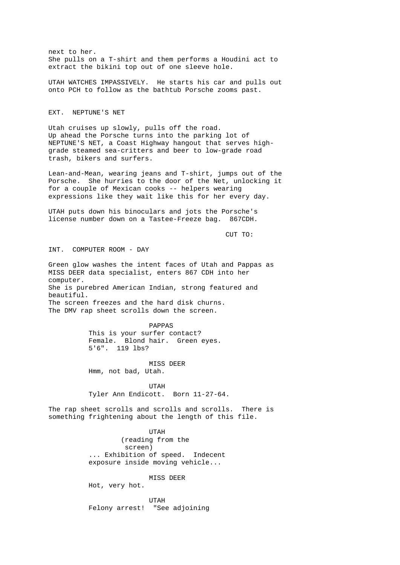next to her. She pulls on a T-shirt and them performs a Houdini act to extract the bikini top out of one sleeve hole.

UTAH WATCHES IMPASSIVELY. He starts his car and pulls out onto PCH to follow as the bathtub Porsche zooms past.

#### EXT. NEPTUNE'S NET

Utah cruises up slowly, pulls off the road. Up ahead the Porsche turns into the parking lot of NEPTUNE'S NET, a Coast Highway hangout that serves highgrade steamed sea-critters and beer to low-grade road trash, bikers and surfers.

Lean-and-Mean, wearing jeans and T-shirt, jumps out of the Porsche. She hurries to the door of the Net, unlocking it for a couple of Mexican cooks -- helpers wearing expressions like they wait like this for her every day.

UTAH puts down his binoculars and jots the Porsche's license number down on a Tastee-Freeze bag. 867CDH.

CUT TO:

INT. COMPUTER ROOM - DAY

Green glow washes the intent faces of Utah and Pappas as MISS DEER data specialist, enters 867 CDH into her computer. She is purebred American Indian, strong featured and beautiful. The screen freezes and the hard disk churns. The DMV rap sheet scrolls down the screen.

> PAPPAS This is your surfer contact? Female. Blond hair. Green eyes. 5'6". 119 lbs?

 MISS DEER Hmm, not bad, Utah.

 UTAH Tyler Ann Endicott. Born 11-27-64.

The rap sheet scrolls and scrolls and scrolls. There is something frightening about the length of this file.

 UTAH (reading from the screen) ... Exhibition of speed. Indecent exposure inside moving vehicle...

### MISS DEER

Hot, very hot.

 UTAH Felony arrest! "See adjoining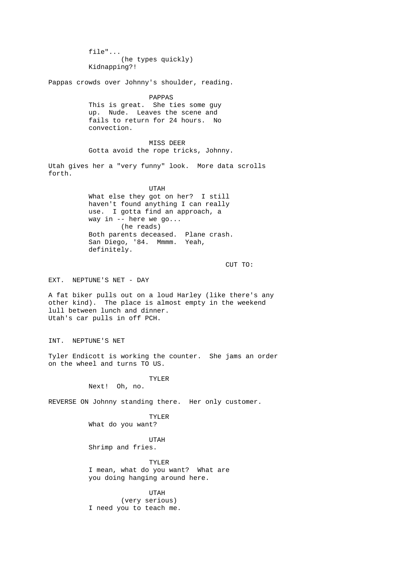file"... (he types quickly) Kidnapping?! Pappas crowds over Johnny's shoulder, reading. PAPPAS This is great. She ties some guy up. Nude. Leaves the scene and fails to return for 24 hours. No convection. MISS DEER Gotta avoid the rope tricks, Johnny. Utah gives her a "very funny" look. More data scrolls forth. UTAH What else they got on her? I still haven't found anything I can really use. I gotta find an approach, a way in -- here we go... (he reads) Both parents deceased. Plane crash. San Diego, '84. Mmmm. Yeah, definitely. CUT TO: EXT. NEPTUNE'S NET - DAY A fat biker pulls out on a loud Harley (like there's any other kind). The place is almost empty in the weekend lull between lunch and dinner. Utah's car pulls in off PCH. INT. NEPTUNE'S NET Tyler Endicott is working the counter. She jams an order on the wheel and turns TO US. TYLER Next! Oh, no. REVERSE ON Johnny standing there. Her only customer. TYLER What do you want? UTAH Shrimp and fries. TYLER I mean, what do you want? What are you doing hanging around here. UTAH (very serious) I need you to teach me.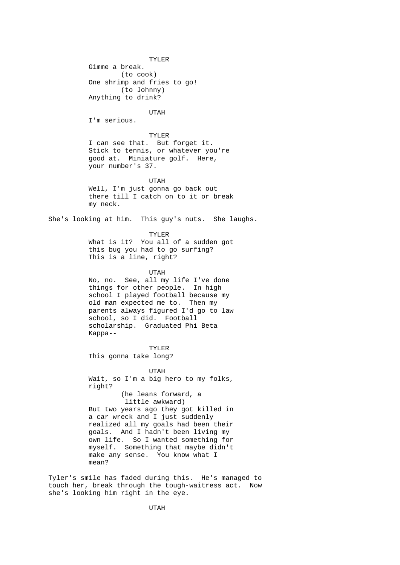TYLER Gimme a break. (to cook) One shrimp and fries to go! (to Johnny) Anything to drink? UTAH I'm serious. TYLER I can see that. But forget it. Stick to tennis, or whatever you're good at. Miniature golf. Here, your number's 37. UTAH Well, I'm just gonna go back out there till I catch on to it or break my neck. She's looking at him. This guy's nuts. She laughs. TYLER What is it? You all of a sudden got this bug you had to go surfing? This is a line, right? UTAH No, no. See, all my life I've done things for other people. In high school I played football because my old man expected me to. Then my parents always figured I'd go to law school, so I did. Football scholarship. Graduated Phi Beta Kappa--

 TYLER This gonna take long?

 UTAH Wait, so I'm a big hero to my folks, right? (he leans forward, a little awkward) But two years ago they got killed in a car wreck and I just suddenly realized all my goals had been their goals. And I hadn't been living my own life. So I wanted something for myself. Something that maybe didn't make any sense. You know what I mean?

Tyler's smile has faded during this. He's managed to touch her, break through the tough-waitress act. Now she's looking him right in the eye.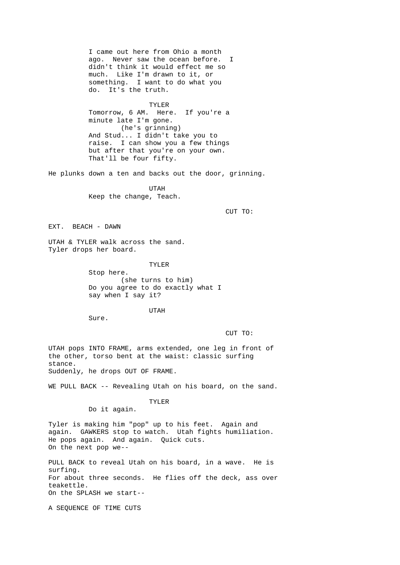I came out here from Ohio a month ago. Never saw the ocean before. I didn't think it would effect me so much. Like I'm drawn to it, or something. I want to do what you do. It's the truth.

 TYLER Tomorrow, 6 AM. Here. If you're a minute late I'm gone. (he's grinning) And Stud... I didn't take you to raise. I can show you a few things but after that you're on your own. That'll be four fifty.

He plunks down a ten and backs out the door, grinning.

 UTAH Keep the change, Teach.

CUT TO:

EXT. BEACH - DAWN

UTAH & TYLER walk across the sand. Tyler drops her board.

> TYLER Stop here. (she turns to him) Do you agree to do exactly what I say when I say it?

UTAH

Sure.

CUT TO:

UTAH pops INTO FRAME, arms extended, one leg in front of the other, torso bent at the waist: classic surfing stance. Suddenly, he drops OUT OF FRAME.

WE PULL BACK -- Revealing Utah on his board, on the sand.

 TYLER Do it again.

Tyler is making him "pop" up to his feet. Again and again. GAWKERS stop to watch. Utah fights humiliation. He pops again. And again. Quick cuts. On the next pop we--

PULL BACK to reveal Utah on his board, in a wave. He is surfing. For about three seconds. He flies off the deck, ass over teakettle. On the SPLASH we start--

A SEQUENCE OF TIME CUTS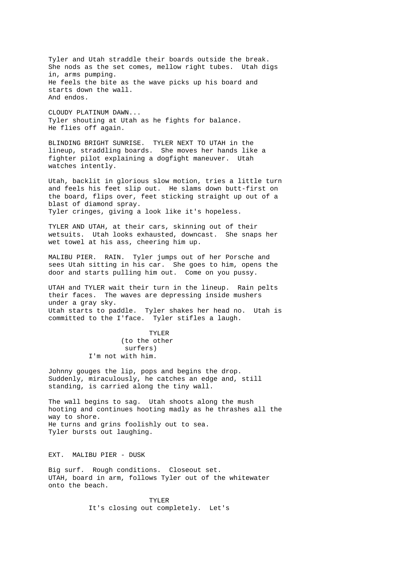Tyler and Utah straddle their boards outside the break. She nods as the set comes, mellow right tubes. Utah digs in, arms pumping. He feels the bite as the wave picks up his board and starts down the wall. And endos. CLOUDY PLATINUM DAWN... Tyler shouting at Utah as he fights for balance. He flies off again. BLINDING BRIGHT SUNRISE. TYLER NEXT TO UTAH in the lineup, straddling boards. She moves her hands like a fighter pilot explaining a dogfight maneuver. Utah watches intently. Utah, backlit in glorious slow motion, tries a little turn and feels his feet slip out. He slams down butt-first on the board, flips over, feet sticking straight up out of a blast of diamond spray. Tyler cringes, giving a look like it's hopeless. TYLER AND UTAH, at their cars, skinning out of their wetsuits. Utah looks exhausted, downcast. She snaps her wet towel at his ass, cheering him up. MALIBU PIER. RAIN. Tyler jumps out of her Porsche and sees Utah sitting in his car. She goes to him, opens the door and starts pulling him out. Come on you pussy. UTAH and TYLER wait their turn in the lineup. Rain pelts their faces. The waves are depressing inside mushers under a gray sky. Utah starts to paddle. Tyler shakes her head no. Utah is committed to the I'face. Tyler stifles a laugh. TYLER (to the other surfers) I'm not with him. Johnny gouges the lip, pops and begins the drop. Suddenly, miraculously, he catches an edge and, still standing, is carried along the tiny wall. The wall begins to sag. Utah shoots along the mush hooting and continues hooting madly as he thrashes all the way to shore. He turns and grins foolishly out to sea. Tyler bursts out laughing. EXT. MALIBU PIER - DUSK

Big surf. Rough conditions. Closeout set. UTAH, board in arm, follows Tyler out of the whitewater onto the beach.

> TYLER It's closing out completely. Let's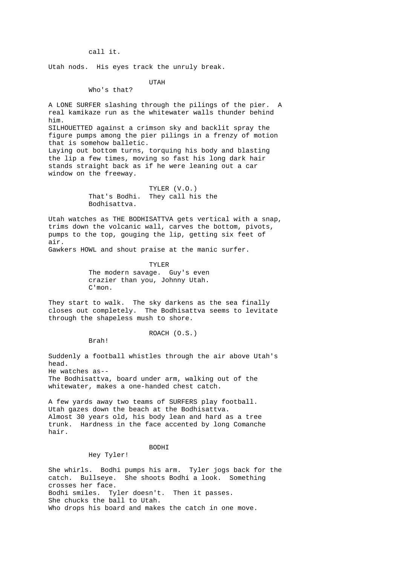call it.

Utah nods. His eyes track the unruly break.

UTAH

Who's that?

A LONE SURFER slashing through the pilings of the pier. real kamikaze run as the whitewater walls thunder behind him. SILHOUETTED against a crimson sky and backlit spray the figure pumps among the pier pilings in a frenzy of motion that is somehow balletic. Laying out bottom turns, torquing his body and blasting the lip a few times, moving so fast his long dark hair stands straight back as if he were leaning out a car window on the freeway.

> TYLER (V.O.)<br>That's Bodhi. They call hi They call his the Bodhisattva.

Utah watches as THE BODHISATTVA gets vertical with a snap, trims down the volcanic wall, carves the bottom, pivots, pumps to the top, gouging the lip, getting six feet of air.

Gawkers HOWL and shout praise at the manic surfer.

 TYLER The modern savage. Guy's even crazier than you, Johnny Utah. C'mon.

They start to walk. The sky darkens as the sea finally closes out completely. The Bodhisattva seems to levitate through the shapeless mush to shore.

Brah!

Hey Tyler!

ROACH (O.S.)

Suddenly a football whistles through the air above Utah's head. He watches as-- The Bodhisattva, board under arm, walking out of the

whitewater, makes a one-handed chest catch.

A few yards away two teams of SURFERS play football. Utah gazes down the beach at the Bodhisattva. Almost 30 years old, his body lean and hard as a tree trunk. Hardness in the face accented by long Comanche hair.

## **BODHT**

She whirls. Bodhi pumps his arm. Tyler jogs back for the catch. Bullseye. She shoots Bodhi a look. Something crosses her face. Bodhi smiles. Tyler doesn't. Then it passes. She chucks the ball to Utah. Who drops his board and makes the catch in one move.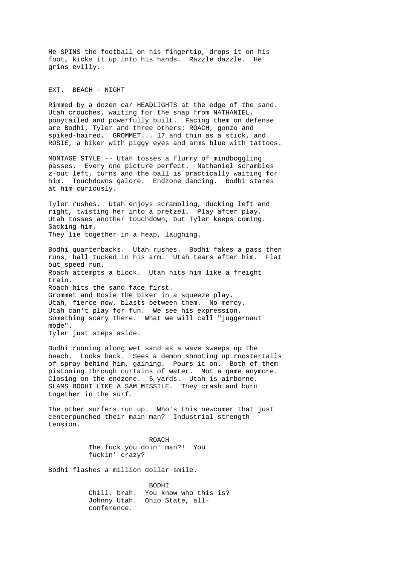He SPINS the football on his fingertip, drops it on his foot, kicks it up into his hands. Razzle dazzle. He grins evilly.

EXT. BEACH - NIGHT

Rimmed by a dozen car HEADLIGHTS at the edge of the sand. Utah crouches, waiting for the snap from NATHANIEL, ponytailed and powerfully built. Facing them on defense are Bodhi, Tyler and three others: ROACH, gonzo and spiked-haired. GROMMET... 17 and thin as a stick, and ROSIE, a biker with piggy eyes and arms blue with tattoos.

MONTAGE STYLE -- Utah tosses a flurry of mindboggling passes. Every one picture perfect. Nathaniel scrambles z-out left, turns and the ball is practically waiting for him. Touchdowns galore. Endzone dancing. Bodhi stares at him curiously.

Tyler rushes. Utah enjoys scrambling, ducking left and right, twisting her into a pretzel. Play after play. Utah tosses another touchdown, but Tyler keeps coming. Sacking him. They lie together in a heap, laughing.

Bodhi quarterbacks. Utah rushes. Bodhi fakes a pass then runs, ball tucked in his arm. Utah tears after him. Flat out speed run. Roach attempts a block. Utah hits him like a freight train. Roach hits the sand face first. Grommet and Rosie the biker in a squeeze play. Utah, fierce now, blasts between them. No mercy. Utah can't play for fun. We see his expression. Something scary there. What we will call "juggernaut mode". Tyler just steps aside.

Bodhi running along wet sand as a wave sweeps up the beach. Looks back. Sees a demon shooting up roostertails of spray behind him, gaining. Pours it on. Both of them pistoning through curtains of water. Not a game anymore. Closing on the endzone. 5 yards. Utah is airborne. SLAMS BODHI LIKE A SAM MISSILE. They crash and burn together in the surf.

The other surfers run up. Who's this newcomer that just centerpunched their main man? Industrial strength tension.

> ROACH The fuck you doin' man?! You fuckin' crazy?

Bodhi flashes a million dollar smile.

 BODHI Chill, brah. You know who this is? Johnny Utah. Ohio State, all conference.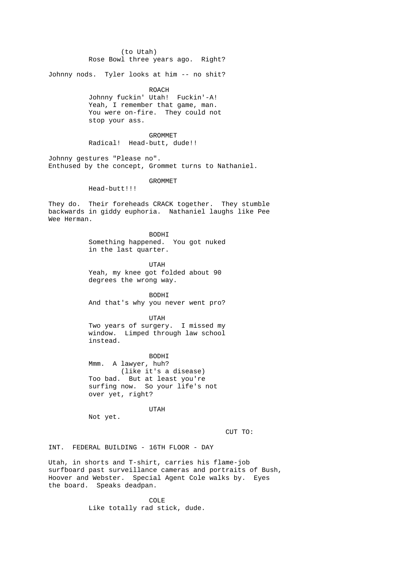(to Utah) Rose Bowl three years ago. Right? Johnny nods. Tyler looks at him -- no shit? ROACH Johnny fuckin' Utah! Fuckin'-A! Yeah, I remember that game, man. You were on-fire. They could not stop your ass. GROMMET Radical! Head-butt, dude!! Johnny gestures "Please no". Enthused by the concept, Grommet turns to Nathaniel. GROMMET Head-butt!!! They do. Their foreheads CRACK together. They stumble backwards in giddy euphoria. Nathaniel laughs like Pee Wee Herman. BODHI Something happened. You got nuked in the last quarter. UTAH Yeah, my knee got folded about 90 degrees the wrong way. BODHI And that's why you never went pro? UTAH Two years of surgery. I missed my window. Limped through law school instead. BODHI Mmm. A lawyer, huh? (like it's a disease) Too bad. But at least you're surfing now. So your life's not over yet, right? UTAH Not yet. CUT TO: INT. FEDERAL BUILDING - 16TH FLOOR - DAY Utah, in shorts and T-shirt, carries his flame-job surfboard past surveillance cameras and portraits of Bush, Hoover and Webster. Special Agent Cole walks by. Eyes the board. Speaks deadpan.

 COLE Like totally rad stick, dude.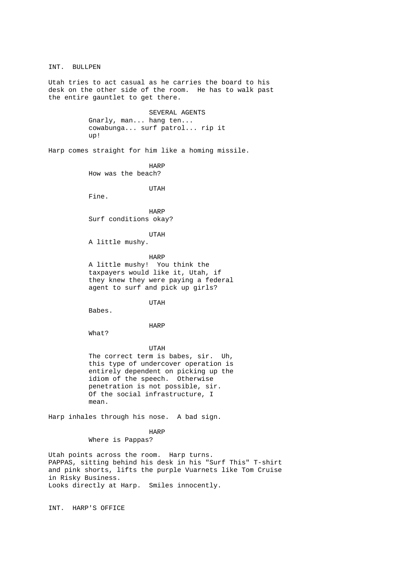INT. BULLPEN Utah tries to act casual as he carries the board to his desk on the other side of the room. He has to walk past the entire gauntlet to get there. SEVERAL AGENTS Gnarly, man... hang ten... cowabunga... surf patrol... rip it up! Harp comes straight for him like a homing missile. harpened to the HARP HARP How was the beach? UTAH Fine. **HARP**  Surf conditions okay? UTAH A little mushy. HARP A little mushy! You think the taxpayers would like it, Utah, if they knew they were paying a federal agent to surf and pick up girls? UTAH Babes. HARP What? UTAH The correct term is babes, sir. Uh, this type of undercover operation is entirely dependent on picking up the idiom of the speech. Otherwise penetration is not possible, sir. Of the social infrastructure, I mean. Harp inhales through his nose. A bad sign. harpened to the HARP HARP Where is Pappas? Utah points across the room. Harp turns. PAPPAS, sitting behind his desk in his "Surf This" T-shirt and pink shorts, lifts the purple Vuarnets like Tom Cruise

in Risky Business. Looks directly at Harp. Smiles innocently.

INT. HARP'S OFFICE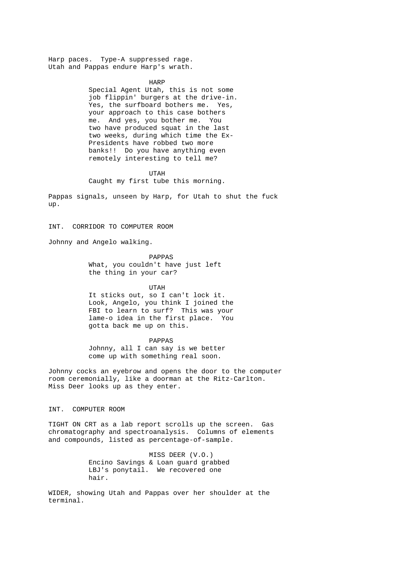Harp paces. Type-A suppressed rage. Utah and Pappas endure Harp's wrath.

> HARP Special Agent Utah, this is not some job flippin' burgers at the drive-in. Yes, the surfboard bothers me. Yes, your approach to this case bothers me. And yes, you bother me. You two have produced squat in the last two weeks, during which time the Ex- Presidents have robbed two more banks!! Do you have anything even remotely interesting to tell me?

 UTAH Caught my first tube this morning.

Pappas signals, unseen by Harp, for Utah to shut the fuck up.

INT. CORRIDOR TO COMPUTER ROOM

Johnny and Angelo walking.

 PAPPAS What, you couldn't have just left the thing in your car?

 UTAH It sticks out, so I can't lock it. Look, Angelo, you think I joined the FBI to learn to surf? This was your lame-o idea in the first place. You gotta back me up on this.

 PAPPAS Johnny, all I can say is we better come up with something real soon.

Johnny cocks an eyebrow and opens the door to the computer room ceremonially, like a doorman at the Ritz-Carlton. Miss Deer looks up as they enter.

INT. COMPUTER ROOM

TIGHT ON CRT as a lab report scrolls up the screen. Gas chromatography and spectroanalysis. Columns of elements and compounds, listed as percentage-of-sample.

> MISS DEER (V.O.) Encino Savings & Loan guard grabbed LBJ's ponytail. We recovered one hair.

WIDER, showing Utah and Pappas over her shoulder at the terminal.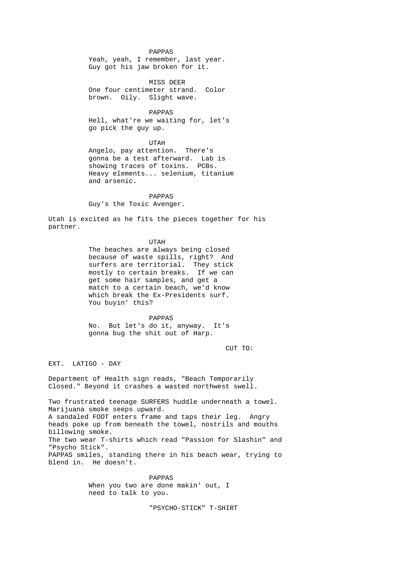PAPPAS Yeah, yeah, I remember, last year. Guy got his jaw broken for it.

 MISS DEER One four centimeter strand. Color brown. Oily. Slight wave.

 PAPPAS Hell, what're we waiting for, let's go pick the guy up.

 UTAH Angelo, pay attention. There's gonna be a test afterward. Lab is showing traces of toxins. PCBs. Heavy elements... selenium, titanium and arsenic.

 PAPPAS Guy's the Toxic Avenger.

Utah is excited as he fits the pieces together for his partner.

UTAH

 The beaches are always being closed because of waste spills, right? And surfers are territorial. They stick mostly to certain breaks. If we can get some hair samples, and get a match to a certain beach, we'd know which break the Ex-Presidents surf. You buyin' this?

 PAPPAS No. But let's do it, anyway. It's gonna bug the shit out of Harp.

CUT TO:

EXT. LATIGO - DAY

Department of Health sign reads, "Beach Temporarily Closed." Beyond it crashes a wasted northwest swell.

Two frustrated teenage SURFERS huddle underneath a towel. Marijuana smoke seeps upward. A sandaled FOOT enters frame and taps their leg. Angry heads poke up from beneath the towel, nostrils and mouths billowing smoke. The two wear T-shirts which read "Passion for Slashin" and "Psycho Stick". PAPPAS smiles, standing there in his beach wear, trying to blend in. He doesn't.

> PAPPAS When you two are done makin' out, I need to talk to you.

> > "PSYCHO-STICK" T-SHIRT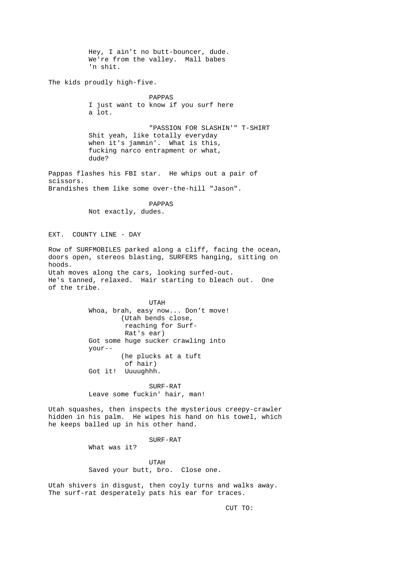Hey, I ain't no butt-bouncer, dude. We're from the valley. Mall babes 'n shit. The kids proudly high-five. PAPPAS I just want to know if you surf here a lot. "PASSION FOR SLASHIN'" T-SHIRT Shit yeah, like totally everyday when it's jammin'. What is this, fucking narco entrapment or what, dude? Pappas flashes his FBI star. He whips out a pair of scissors. Brandishes them like some over-the-hill "Jason". PAPPAS Not exactly, dudes. EXT. COUNTY LINE - DAY Row of SURFMOBILES parked along a cliff, facing the ocean, doors open, stereos blasting, SURFERS hanging, sitting on hoods. Utah moves along the cars, looking surfed-out. He's tanned, relaxed. Hair starting to bleach out. One of the tribe. UTAH Whoa, brah, easy now... Don't move! (Utah bends close, reaching for Surf-Rat's ear) Got some huge sucker crawling into your-- (he plucks at a tuft of hair) Got it! Uuuughhh. SURF-RAT Leave some fuckin' hair, man! Utah squashes, then inspects the mysterious creepy-crawler hidden in his palm. He wipes his hand on his towel, which he keeps balled up in his other hand. SURF-RAT What was it? UTAH Saved your butt, bro. Close one. Utah shivers in disgust, then coyly turns and walks away. The surf-rat desperately pats his ear for traces.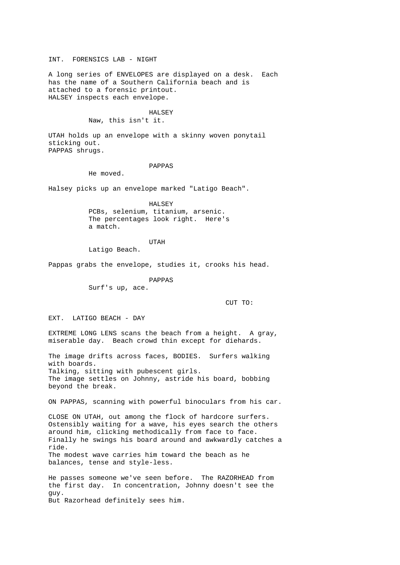INT. FORENSICS LAB - NIGHT

A long series of ENVELOPES are displayed on a desk. Each has the name of a Southern California beach and is attached to a forensic printout. HALSEY inspects each envelope.

#### HALSEY

Naw, this isn't it.

UTAH holds up an envelope with a skinny woven ponytail sticking out. PAPPAS shrugs.

PAPPAS

He moved.

Halsey picks up an envelope marked "Latigo Beach".

 HALSEY PCBs, selenium, titanium, arsenic. The percentages look right. Here's a match.

UTAH

Latigo Beach.

Pappas grabs the envelope, studies it, crooks his head.

PAPPAS

Surf's up, ace.

CUT TO:

EXT. LATIGO BEACH - DAY

EXTREME LONG LENS scans the beach from a height. A gray, miserable day. Beach crowd thin except for diehards.

The image drifts across faces, BODIES. Surfers walking with boards. Talking, sitting with pubescent girls. The image settles on Johnny, astride his board, bobbing beyond the break.

ON PAPPAS, scanning with powerful binoculars from his car.

CLOSE ON UTAH, out among the flock of hardcore surfers. Ostensibly waiting for a wave, his eyes search the others around him, clicking methodically from face to face. Finally he swings his board around and awkwardly catches a ride. The modest wave carries him toward the beach as he balances, tense and style-less.

He passes someone we've seen before. The RAZORHEAD from the first day. In concentration, Johnny doesn't see the guy. But Razorhead definitely sees him.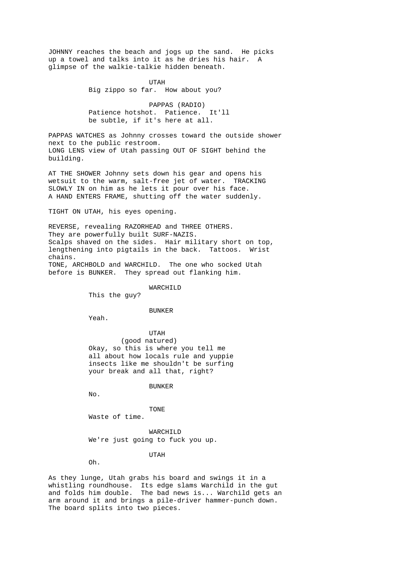JOHNNY reaches the beach and jogs up the sand. He picks up a towel and talks into it as he dries his hair. A glimpse of the walkie-talkie hidden beneath.

> UTAH Big zippo so far. How about you?

 PAPPAS (RADIO) Patience hotshot. Patience. It'll be subtle, if it's here at all.

PAPPAS WATCHES as Johnny crosses toward the outside shower next to the public restroom. LONG LENS view of Utah passing OUT OF SIGHT behind the building.

AT THE SHOWER Johnny sets down his gear and opens his wetsuit to the warm, salt-free jet of water. TRACKING SLOWLY IN on him as he lets it pour over his face. A HAND ENTERS FRAME, shutting off the water suddenly.

TIGHT ON UTAH, his eyes opening.

REVERSE, revealing RAZORHEAD and THREE OTHERS. They are powerfully built SURF-NAZIS. Scalps shaved on the sides. Hair military short on top, lengthening into pigtails in the back. Tattoos. Wrist chains. TONE, ARCHBOLD and WARCHILD. The one who socked Utah before is BUNKER. They spread out flanking him.

WARCHILD

This the guy?

#### BUNKER

Yeah.

 UTAH (good natured) Okay, so this is where you tell me all about how locals rule and yuppie insects like me shouldn't be surfing your break and all that, right?

BUNKER

No.

TONE

Waste of time.

 WARCHILD We're just going to fuck you up.

### UTAH

Oh.

As they lunge, Utah grabs his board and swings it in a whistling roundhouse. Its edge slams Warchild in the gut and folds him double. The bad news is... Warchild gets an arm around it and brings a pile-driver hammer-punch down. The board splits into two pieces.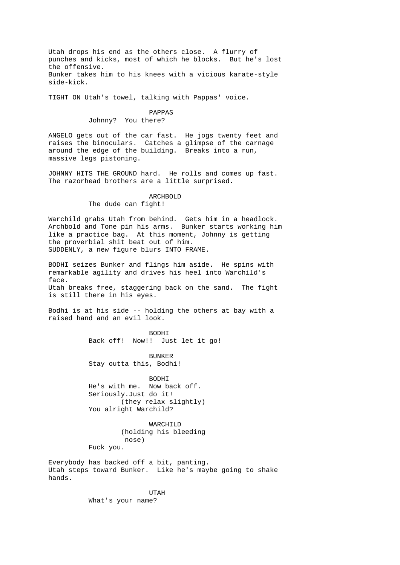Utah drops his end as the others close. A flurry of punches and kicks, most of which he blocks. But he's lost the offensive. Bunker takes him to his knees with a vicious karate-style side-kick.

TIGHT ON Utah's towel, talking with Pappas' voice.

# PAPPAS

Johnny? You there?

ANGELO gets out of the car fast. He jogs twenty feet and raises the binoculars. Catches a glimpse of the carnage around the edge of the building. Breaks into a run, massive legs pistoning.

JOHNNY HITS THE GROUND hard. He rolls and comes up fast. The razorhead brothers are a little surprised.

> ARCHBOLD The dude can fight!

Warchild grabs Utah from behind. Gets him in a headlock. Archbold and Tone pin his arms. Bunker starts working him like a practice bag. At this moment, Johnny is getting the proverbial shit beat out of him. SUDDENLY, a new figure blurs INTO FRAME.

BODHI seizes Bunker and flings him aside. He spins with remarkable agility and drives his heel into Warchild's face. Utah breaks free, staggering back on the sand. The fight is still there in his eyes.

Bodhi is at his side -- holding the others at bay with a raised hand and an evil look.

> BODHI Back off! Now!! Just let it go!

 BUNKER Stay outta this, Bodhi!

**BODHT**  He's with me. Now back off. Seriously.Just do it! (they relax slightly) You alright Warchild?

 WARCHILD (holding his bleeding nose) Fuck you.

Everybody has backed off a bit, panting. Utah steps toward Bunker. Like he's maybe going to shake hands.

 UTAH What's your name?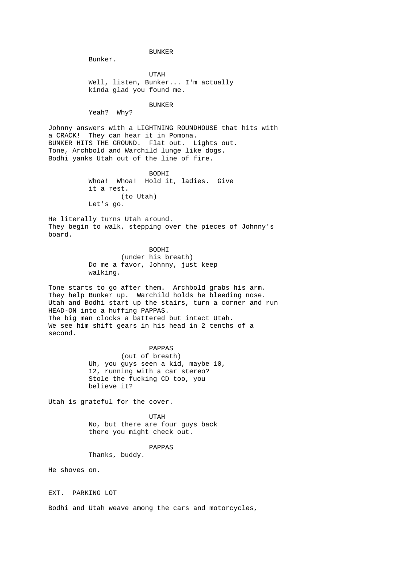BUNKER

Bunker.

 UTAH Well, listen, Bunker... I'm actually kinda glad you found me.

 BUNKER Yeah? Why?

Johnny answers with a LIGHTNING ROUNDHOUSE that hits with a CRACK! They can hear it in Pomona. BUNKER HITS THE GROUND. Flat out. Lights out. Tone, Archbold and Warchild lunge like dogs. Bodhi yanks Utah out of the line of fire.

 BODHI Whoa! Whoa! Hold it, ladies. Give it a rest. (to Utah) Let's go.

He literally turns Utah around. They begin to walk, stepping over the pieces of Johnny's board.

> **BODHT**  (under his breath) Do me a favor, Johnny, just keep walking.

Tone starts to go after them. Archbold grabs his arm. They help Bunker up. Warchild holds he bleeding nose. Utah and Bodhi start up the stairs, turn a corner and run HEAD-ON into a huffing PAPPAS. The big man clocks a battered but intact Utah. We see him shift gears in his head in 2 tenths of a second.

> PAPPAS (out of breath) Uh, you guys seen a kid, maybe 10, 12, running with a car stereo? Stole the fucking CD too, you believe it?

Utah is grateful for the cover.

 UTAH No, but there are four guys back there you might check out.

PAPPAS

Thanks, buddy.

He shoves on.

EXT. PARKING LOT

Bodhi and Utah weave among the cars and motorcycles,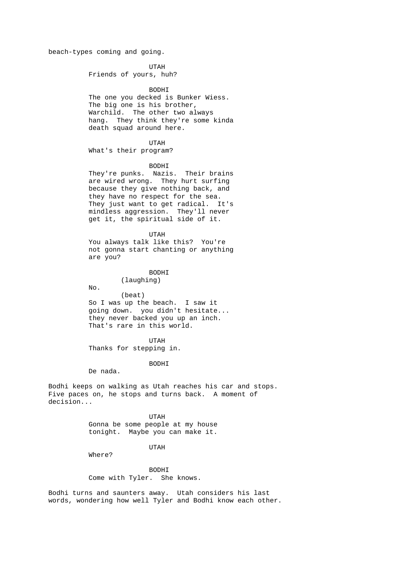beach-types coming and going.

 UTAH Friends of yours, huh?

 BODHI The one you decked is Bunker Wiess. The big one is his brother, Warchild. The other two always hang. They think they're some kinda death squad around here.

 UTAH What's their program?

BODHI

 They're punks. Nazis. Their brains are wired wrong. They hurt surfing because they give nothing back, and they have no respect for the sea. They just want to get radical. It's mindless aggression. They'll never get it, the spiritual side of it.

> UTAH You always talk like this? You're not gonna start chanting or anything are you?

> > BODHI (laughing)

No.

 (beat) So I was up the beach. I saw it going down. you didn't hesitate... they never backed you up an inch. That's rare in this world.

 UTAH Thanks for stepping in.

BODHI

De nada.

Bodhi keeps on walking as Utah reaches his car and stops. Five paces on, he stops and turns back. A moment of decision...

 UTAH Gonna be some people at my house tonight. Maybe you can make it.

UTAH

Where?

 BODHI Come with Tyler. She knows.

Bodhi turns and saunters away. Utah considers his last words, wondering how well Tyler and Bodhi know each other.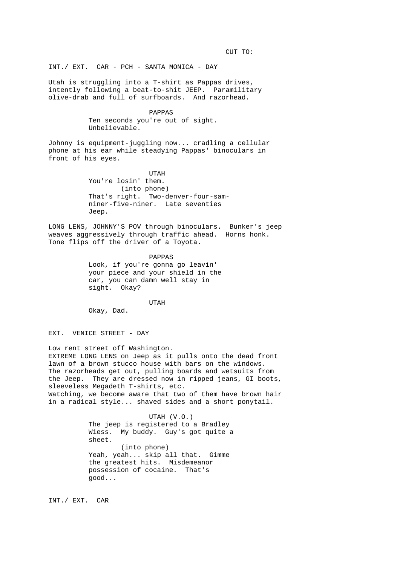CUT TO:

INT./ EXT. CAR - PCH - SANTA MONICA - DAY

Utah is struggling into a T-shirt as Pappas drives, intently following a beat-to-shit JEEP. Paramilitary olive-drab and full of surfboards. And razorhead.

> PAPPAS Ten seconds you're out of sight. Unbelievable.

Johnny is equipment-juggling now... cradling a cellular phone at his ear while steadying Pappas' binoculars in front of his eyes.

 UTAH You're losin' them. (into phone) That's right. Two-denver-four-sam niner-five-niner. Late seventies Jeep.

LONG LENS, JOHNNY'S POV through binoculars. Bunker's jeep weaves aggressively through traffic ahead. Horns honk. Tone flips off the driver of a Toyota.

> PAPPAS Look, if you're gonna go leavin' your piece and your shield in the car, you can damn well stay in sight. Okay?

> > UTAH

Okay, Dad.

EXT. VENICE STREET - DAY

Low rent street off Washington. EXTREME LONG LENS on Jeep as it pulls onto the dead front lawn of a brown stucco house with bars on the windows. The razorheads get out, pulling boards and wetsuits from the Jeep. They are dressed now in ripped jeans, GI boots, sleeveless Megadeth T-shirts, etc. Watching, we become aware that two of them have brown hair in a radical style... shaved sides and a short ponytail.

> UTAH (V.O.) The jeep is registered to a Bradley Wiess. My buddy. Guy's got quite a sheet. (into phone) Yeah, yeah... skip all that. Gimme the greatest hits. Misdemeanor possession of cocaine. That's good...

INT./ EXT. CAR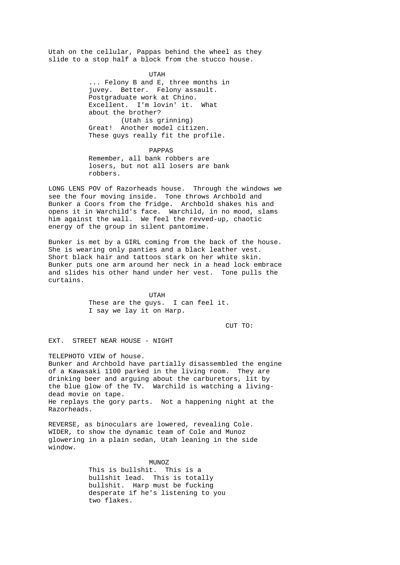Utah on the cellular, Pappas behind the wheel as they slide to a stop half a block from the stucco house.

> UTAH ... Felony B and E, three months in juvey. Better. Felony assault. Postgraduate work at Chino. Excellent. I'm lovin' it. What about the brother? (Utah is grinning) Great! Another model citizen. These guys really fit the profile.

 PAPPAS Remember, all bank robbers are losers, but not all losers are bank robbers.

LONG LENS POV of Razorheads house. Through the windows we see the four moving inside. Tone throws Archbold and Bunker a Coors from the fridge. Archbold shakes his and opens it in Warchild's face. Warchild, in no mood, slams him against the wall. We feel the revved-up, chaotic energy of the group in silent pantomime.

Bunker is met by a GIRL coming from the back of the house. She is wearing only panties and a black leather vest. Short black hair and tattoos stark on her white skin. Bunker puts one arm around her neck in a head lock embrace and slides his other hand under her vest. Tone pulls the curtains.

 UTAH These are the guys. I can feel it. I say we lay it on Harp.

CUT TO:

EXT. STREET NEAR HOUSE - NIGHT

TELEPHOTO VIEW of house.

Bunker and Archbold have partially disassembled the engine of a Kawasaki 1100 parked in the living room. They are drinking beer and arguing about the carburetors, lit by the blue glow of the TV. Warchild is watching a livingdead movie on tape. He replays the gory parts. Not a happening night at the Razorheads.

REVERSE, as binoculars are lowered, revealing Cole. WIDER, to show the dynamic team of Cole and Munoz glowering in a plain sedan, Utah leaning in the side window.

MUNOZ This is bullshit. This is a bullshit lead. This is totally bullshit. Harp must be fucking desperate if he's listening to you two flakes.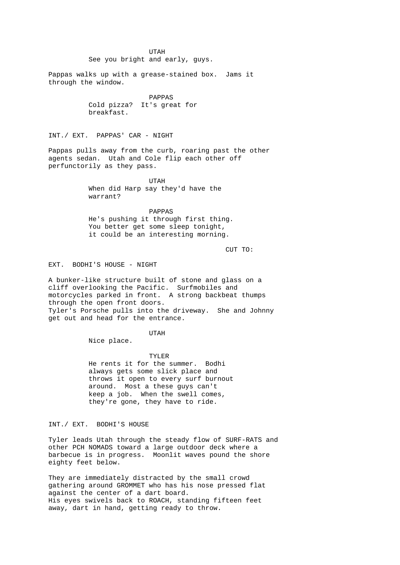UTAH See you bright and early, guys. Pappas walks up with a grease-stained box. Jams it through the window. PAPPAS Cold pizza? It's great for breakfast. INT./ EXT. PAPPAS' CAR - NIGHT Pappas pulls away from the curb, roaring past the other agents sedan. Utah and Cole flip each other off perfunctorily as they pass. UTAH When did Harp say they'd have the warrant? PAPPAS He's pushing it through first thing. You better get some sleep tonight, it could be an interesting morning. CUT TO: EXT. BODHI'S HOUSE - NIGHT A bunker-like structure built of stone and glass on a cliff overlooking the Pacific. Surfmobiles and motorcycles parked in front. A strong backbeat thumps through the open front doors. Tyler's Porsche pulls into the driveway. She and Johnny get out and head for the entrance. UTAH Nice place. TYLER He rents it for the summer. Bodhi always gets some slick place and throws it open to every surf burnout around. Most a these guys can't keep a job. When the swell comes,

INT./ EXT. BODHI'S HOUSE

Tyler leads Utah through the steady flow of SURF-RATS and other PCH NOMADS toward a large outdoor deck where a barbecue is in progress. Moonlit waves pound the shore eighty feet below.

they're gone, they have to ride.

They are immediately distracted by the small crowd gathering around GROMMET who has his nose pressed flat against the center of a dart board. His eyes swivels back to ROACH, standing fifteen feet away, dart in hand, getting ready to throw.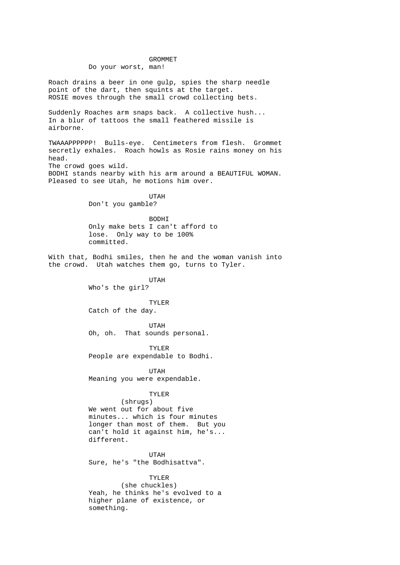# GROMMET Do your worst, man!

Roach drains a beer in one gulp, spies the sharp needle point of the dart, then squints at the target. ROSIE moves through the small crowd collecting bets.

Suddenly Roaches arm snaps back. A collective hush... In a blur of tattoos the small feathered missile is airborne.

TWAAAPPPPPP! Bulls-eye. Centimeters from flesh. Grommet secretly exhales. Roach howls as Rosie rains money on his head. The crowd goes wild. BODHI stands nearby with his arm around a BEAUTIFUL WOMAN. Pleased to see Utah, he motions him over.

 UTAH Don't you gamble?

> BODHI Only make bets I can't afford to lose. Only way to be 100% committed.

With that, Bodhi smiles, then he and the woman vanish into the crowd. Utah watches them go, turns to Tyler.

> UTAH Who's the girl?

 TYLER Catch of the day.

 UTAH Oh, oh. That sounds personal.

 TYLER People are expendable to Bodhi.

 UTAH Meaning you were expendable.

## TYLER

 (shrugs) We went out for about five minutes... which is four minutes longer than most of them. But you can't hold it against him, he's... different.

 UTAH Sure, he's "the Bodhisattva".

 TYLER (she chuckles) Yeah, he thinks he's evolved to a higher plane of existence, or something.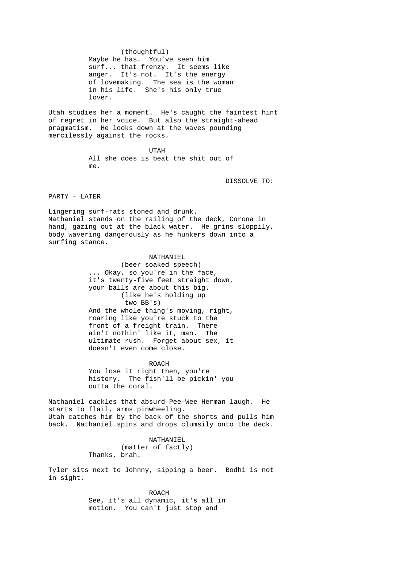(thoughtful) Maybe he has. You've seen him surf... that frenzy. It seems like anger. It's not. It's the energy of lovemaking. The sea is the woman in his life. She's his only true lover.

Utah studies her a moment. He's caught the faintest hint of regret in her voice. But also the straight-ahead pragmatism. He looks down at the waves pounding mercilessly against the rocks.

 UTAH All she does is beat the shit out of me.

DISSOLVE TO:

PARTY - LATER

Lingering surf-rats stoned and drunk. Nathaniel stands on the railing of the deck, Corona in hand, gazing out at the black water. He grins sloppily, body wavering dangerously as he hunkers down into a surfing stance.

> NATHANIEL (beer soaked speech) ... Okay, so you're in the face, it's twenty-five feet straight down, your balls are about this big. (like he's holding up two BB's) And the whole thing's moving, right, roaring like you're stuck to the front of a freight train. There ain't nothin' like it, man. The ultimate rush. Forget about sex, it doesn't even come close.

ROACH ROACH You lose it right then, you're history. The fish'll be pickin' you outta the coral.

Nathaniel cackles that absurd Pee-Wee Herman laugh. He starts to flail, arms pinwheeling. Utah catches him by the back of the shorts and pulls him back. Nathaniel spins and drops clumsily onto the deck.

> NATHANIEL (matter of factly) Thanks, brah.

Tyler sits next to Johnny, sipping a beer. Bodhi is not in sight.

> ROACH See, it's all dynamic, it's all in motion. You can't just stop and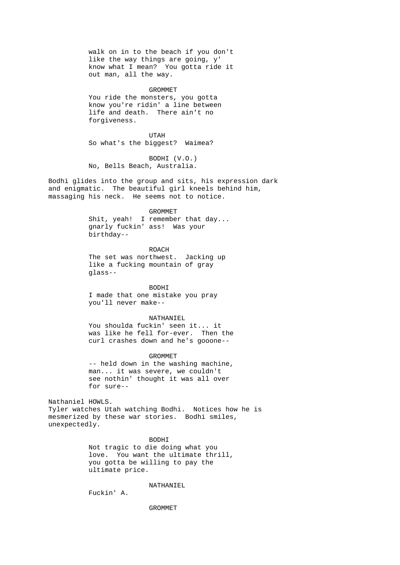walk on in to the beach if you don't like the way things are going, y' know what I mean? You gotta ride it out man, all the way. GROMMET

 You ride the monsters, you gotta know you're ridin' a line between life and death. There ain't no forgiveness.

 UTAH So what's the biggest? Waimea?

 BODHI (V.O.) No, Bells Beach, Australia.

Bodhi glides into the group and sits, his expression dark and enigmatic. The beautiful girl kneels behind him, massaging his neck. He seems not to notice.

> GROMMET Shit, yeah! I remember that day... gnarly fuckin' ass! Was your birthday--

 ROACH The set was northwest. Jacking up like a fucking mountain of gray glass--

 BODHI I made that one mistake you pray you'll never make--

 NATHANIEL You shoulda fuckin' seen it... it

 was like he fell for-ever. Then the curl crashes down and he's gooone--

 GROMMET -- held down in the washing machine, man... it was severe, we couldn't see nothin' thought it was all over for sure--

Nathaniel HOWLS. Tyler watches Utah watching Bodhi. Notices how he is mesmerized by these war stories. Bodhi smiles, unexpectedly.

> BODHI Not tragic to die doing what you love. You want the ultimate thrill, you gotta be willing to pay the ultimate price.

> > NATHANIEL

Fuckin' A.

GROMMET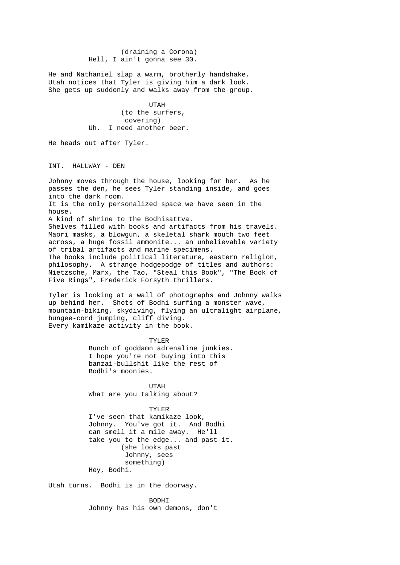(draining a Corona) Hell, I ain't gonna see 30.

He and Nathaniel slap a warm, brotherly handshake. Utah notices that Tyler is giving him a dark look. She gets up suddenly and walks away from the group.

 UTAH (to the surfers, covering)<br>In. I need anothe I need another beer.

He heads out after Tyler.

INT. HALLWAY - DEN

Johnny moves through the house, looking for her. As he passes the den, he sees Tyler standing inside, and goes into the dark room. It is the only personalized space we have seen in the house. A kind of shrine to the Bodhisattva. Shelves filled with books and artifacts from his travels. Maori masks, a blowgun, a skeletal shark mouth two feet across, a huge fossil ammonite... an unbelievable variety of tribal artifacts and marine specimens. The books include political literature, eastern religion, philosophy. A strange hodgepodge of titles and authors: Nietzsche, Marx, the Tao, "Steal this Book", "The Book of Five Rings", Frederick Forsyth thrillers.

Tyler is looking at a wall of photographs and Johnny walks up behind her. Shots of Bodhi surfing a monster wave, mountain-biking, skydiving, flying an ultralight airplane, bungee-cord jumping, cliff diving. Every kamikaze activity in the book.

> TYLER Bunch of goddamn adrenaline junkies. I hope you're not buying into this banzai-bullshit like the rest of Bodhi's moonies.

 UTAH What are you talking about?

 TYLER I've seen that kamikaze look, Johnny. You've got it. And Bodhi can smell it a mile away. He'll take you to the edge... and past it. (she looks past Johnny, sees something) Hey, Bodhi.

Utah turns. Bodhi is in the doorway.

 BODHI Johnny has his own demons, don't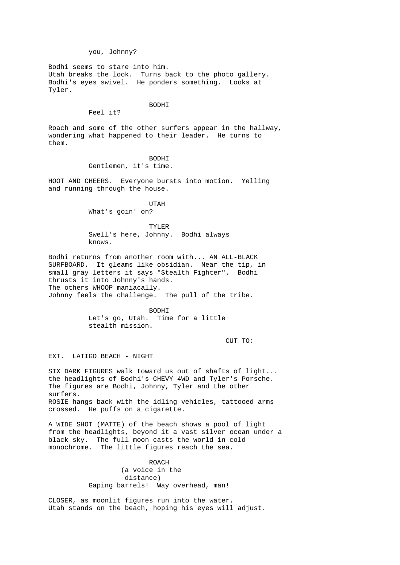you, Johnny?

Bodhi seems to stare into him. Utah breaks the look. Turns back to the photo gallery. Bodhi's eyes swivel. He ponders something. Looks at Tyler.

> BODHI Feel it?

Roach and some of the other surfers appear in the hallway, wondering what happened to their leader. He turns to them.

 BODHI Gentlemen, it's time.

HOOT AND CHEERS. Everyone bursts into motion. Yelling and running through the house.

 UTAH What's goin' on?

> TYLER Swell's here, Johnny. Bodhi always knows.

Bodhi returns from another room with... AN ALL-BLACK SURFBOARD. It gleams like obsidian. Near the tip, in small gray letters it says "Stealth Fighter". Bodhi thrusts it into Johnny's hands. The others WHOOP maniacally. Johnny feels the challenge. The pull of the tribe.

> BODHI Let's go, Utah. Time for a little stealth mission.

CUT TO:

EXT. LATIGO BEACH - NIGHT

SIX DARK FIGURES walk toward us out of shafts of light... the headlights of Bodhi's CHEVY 4WD and Tyler's Porsche. The figures are Bodhi, Johnny, Tyler and the other surfers. ROSIE hangs back with the idling vehicles, tattooed arms crossed. He puffs on a cigarette.

A WIDE SHOT (MATTE) of the beach shows a pool of light from the headlights, beyond it a vast silver ocean under a black sky. The full moon casts the world in cold monochrome. The little figures reach the sea.

> ROACH (a voice in the distance) Gaping barrels! Way overhead, man!

CLOSER, as moonlit figures run into the water. Utah stands on the beach, hoping his eyes will adjust.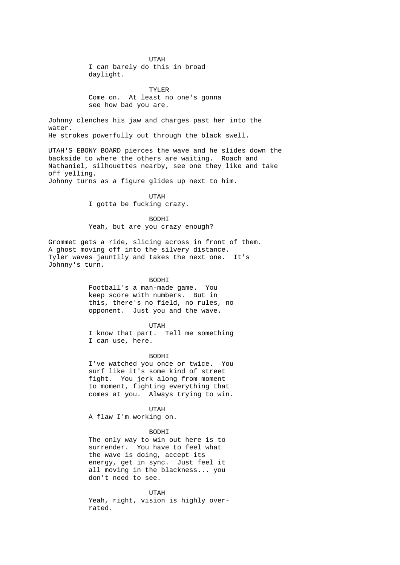UTAH I can barely do this in broad daylight.

> TYLER Come on. At least no one's gonna see how bad you are.

Johnny clenches his jaw and charges past her into the water. He strokes powerfully out through the black swell.

UTAH'S EBONY BOARD pierces the wave and he slides down the backside to where the others are waiting. Roach and Nathaniel, silhouettes nearby, see one they like and take off yelling.

Johnny turns as a figure glides up next to him.

 UTAH I gotta be fucking crazy.

> BODHI Yeah, but are you crazy enough?

Grommet gets a ride, slicing across in front of them. A ghost moving off into the silvery distance. Tyler waves jauntily and takes the next one. It's Johnny's turn.

#### BODHI

 Football's a man-made game. You keep score with numbers. But in this, there's no field, no rules, no opponent. Just you and the wave.

#### UTAH

 I know that part. Tell me something I can use, here.

 BODHI I've watched you once or twice. You surf like it's some kind of street fight. You jerk along from moment to moment, fighting everything that comes at you. Always trying to win.

UTAH

A flaw I'm working on.

#### BODHI

 The only way to win out here is to surrender. You have to feel what the wave is doing, accept its energy, get in sync. Just feel it all moving in the blackness... you don't need to see.

 UTAH Yeah, right, vision is highly over rated.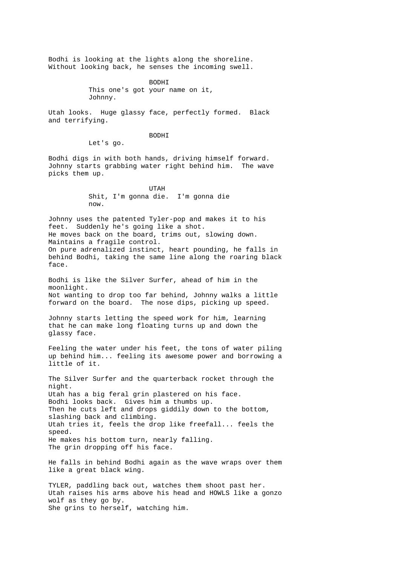Bodhi is looking at the lights along the shoreline. Without looking back, he senses the incoming swell.

> BODHI This one's got your name on it, Johnny.

Utah looks. Huge glassy face, perfectly formed. Black and terrifying.

BODHI

Let's go.

Bodhi digs in with both hands, driving himself forward. Johnny starts grabbing water right behind him. The wave picks them up.

 UTAH Shit, I'm gonna die. I'm gonna die now.

Johnny uses the patented Tyler-pop and makes it to his feet. Suddenly he's going like a shot. He moves back on the board, trims out, slowing down. Maintains a fragile control. On pure adrenalized instinct, heart pounding, he falls in behind Bodhi, taking the same line along the roaring black face.

Bodhi is like the Silver Surfer, ahead of him in the moonlight. Not wanting to drop too far behind, Johnny walks a little forward on the board. The nose dips, picking up speed.

Johnny starts letting the speed work for him, learning that he can make long floating turns up and down the glassy face.

Feeling the water under his feet, the tons of water piling up behind him... feeling its awesome power and borrowing a little of it.

The Silver Surfer and the quarterback rocket through the night. Utah has a big feral grin plastered on his face. Bodhi looks back. Gives him a thumbs up. Then he cuts left and drops giddily down to the bottom, slashing back and climbing. Utah tries it, feels the drop like freefall... feels the speed. He makes his bottom turn, nearly falling. The grin dropping off his face.

He falls in behind Bodhi again as the wave wraps over them like a great black wing.

TYLER, paddling back out, watches them shoot past her. Utah raises his arms above his head and HOWLS like a gonzo wolf as they go by. She grins to herself, watching him.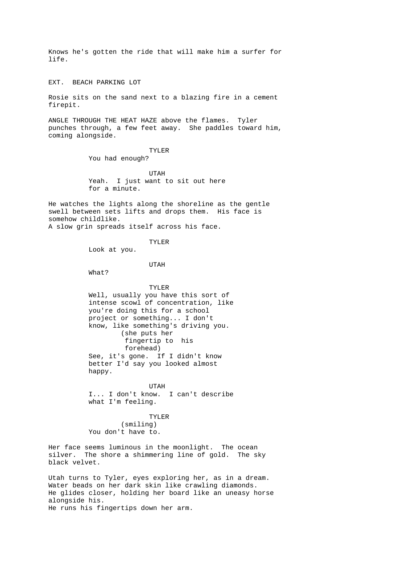Knows he's gotten the ride that will make him a surfer for life.

EXT. BEACH PARKING LOT

Rosie sits on the sand next to a blazing fire in a cement firepit.

ANGLE THROUGH THE HEAT HAZE above the flames. Tyler punches through, a few feet away. She paddles toward him, coming alongside.

TYLER

You had enough?

 UTAH Yeah. I just want to sit out here for a minute.

He watches the lights along the shoreline as the gentle swell between sets lifts and drops them. His face is somehow childlike. A slow grin spreads itself across his face.

```
 TYLER
```
Look at you.

UTAH

What?

 TYLER Well, usually you have this sort of intense scowl of concentration, like you're doing this for a school project or something... I don't know, like something's driving you. (she puts her fingertip to his forehead) See, it's gone. If I didn't know better I'd say you looked almost happy.

 UTAH I... I don't know. I can't describe what I'm feeling.

> TYLER (smiling) You don't have to.

Her face seems luminous in the moonlight. The ocean silver. The shore a shimmering line of gold. The sky black velvet.

Utah turns to Tyler, eyes exploring her, as in a dream. Water beads on her dark skin like crawling diamonds. He glides closer, holding her board like an uneasy horse alongside his. He runs his fingertips down her arm.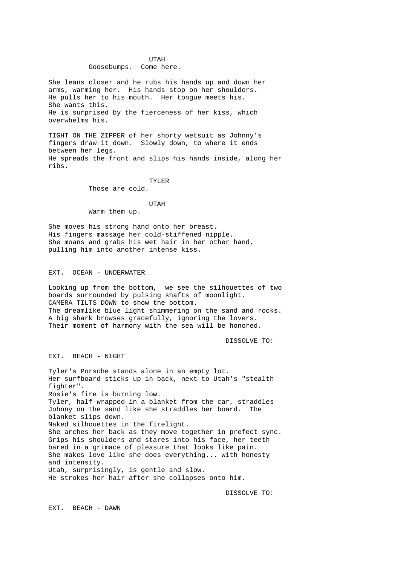#### UTAH Goosebumps. Come here.

She leans closer and he rubs his hands up and down her arms, warming her. His hands stop on her shoulders. He pulls her to his mouth. Her tongue meets his. She wants this. He is surprised by the fierceness of her kiss, which overwhelms his.

TIGHT ON THE ZIPPER of her shorty wetsuit as Johnny's fingers draw it down. Slowly down, to where it ends between her legs. He spreads the front and slips his hands inside, along her ribs.

TYLER

Those are cold.

UTAH

Warm them up.

She moves his strong hand onto her breast. His fingers massage her cold-stiffened nipple. She moans and grabs his wet hair in her other hand, pulling him into another intense kiss.

EXT. OCEAN - UNDERWATER

Looking up from the bottom, we see the silhouettes of two boards surrounded by pulsing shafts of moonlight. CAMERA TILTS DOWN to show the bottom. The dreamlike blue light shimmering on the sand and rocks. A big shark browses gracefully, ignoring the lovers. Their moment of harmony with the sea will be honored.

DISSOLVE TO:

EXT. BEACH - NIGHT

Tyler's Porsche stands alone in an empty lot. Her surfboard sticks up in back, next to Utah's "stealth fighter". Rosie's fire is burning low. Tyler, half-wrapped in a blanket from the car, straddles Johnny on the sand like she straddles her board. The blanket slips down. Naked silhouettes in the firelight. She arches her back as they move together in prefect sync. Grips his shoulders and stares into his face, her teeth bared in a grimace of pleasure that looks like pain. She makes love like she does everything... with honesty and intensity. Utah, surprisingly, is gentle and slow. He strokes her hair after she collapses onto him.

DISSOLVE TO:

EXT. BEACH - DAWN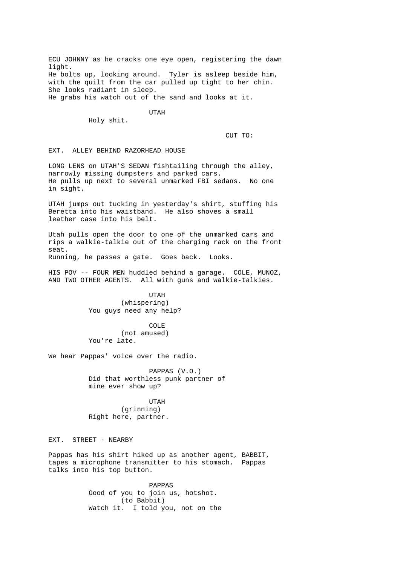ECU JOHNNY as he cracks one eye open, registering the dawn light. He bolts up, looking around. Tyler is asleep beside him, with the quilt from the car pulled up tight to her chin. She looks radiant in sleep. He grabs his watch out of the sand and looks at it.

UTAH

Holy shit.

CUT TO:

EXT. ALLEY BEHIND RAZORHEAD HOUSE

LONG LENS on UTAH'S SEDAN fishtailing through the alley, narrowly missing dumpsters and parked cars. He pulls up next to several unmarked FBI sedans. No one in sight.

UTAH jumps out tucking in yesterday's shirt, stuffing his Beretta into his waistband. He also shoves a small leather case into his belt.

Utah pulls open the door to one of the unmarked cars and rips a walkie-talkie out of the charging rack on the front seat.

Running, he passes a gate. Goes back. Looks.

HIS POV -- FOUR MEN huddled behind a garage. COLE, MUNOZ, AND TWO OTHER AGENTS. All with guns and walkie-talkies.

 UTAH (whispering) You guys need any help?

> COLE (not amused) You're late.

We hear Pappas' voice over the radio.

 PAPPAS (V.O.) Did that worthless punk partner of mine ever show up?

 UTAH (grinning) Right here, partner.

EXT. STREET - NEARBY

Pappas has his shirt hiked up as another agent, BABBIT, tapes a microphone transmitter to his stomach. Pappas talks into his top button.

> PAPPAS Good of you to join us, hotshot. (to Babbit) Watch it. I told you, not on the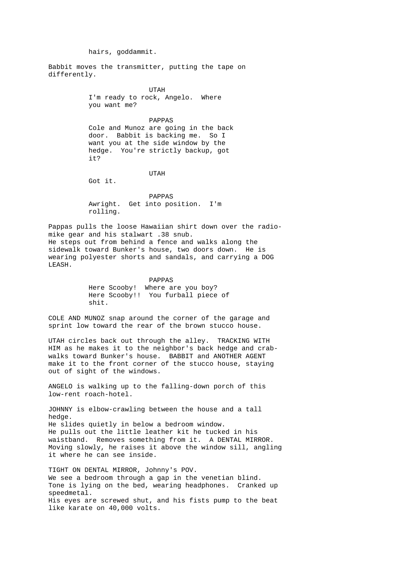hairs, goddammit.

Babbit moves the transmitter, putting the tape on differently.

> UTAH I'm ready to rock, Angelo. Where you want me?

 PAPPAS Cole and Munoz are going in the back door. Babbit is backing me. So I want you at the side window by the hedge. You're strictly backup, got it?

UTAH

Got it.

 PAPPAS Awright. Get into position. I'm rolling.

Pappas pulls the loose Hawaiian shirt down over the radiomike gear and his stalwart .38 snub. He steps out from behind a fence and walks along the sidewalk toward Bunker's house, two doors down. He is wearing polyester shorts and sandals, and carrying a DOG LEASH.

> PAPPAS Here Scooby! Where are you boy? Here Scooby!! You furball piece of shit.

COLE AND MUNOZ snap around the corner of the garage and sprint low toward the rear of the brown stucco house.

UTAH circles back out through the alley. TRACKING WITH HIM as he makes it to the neighbor's back hedge and crabwalks toward Bunker's house. BABBIT and ANOTHER AGENT make it to the front corner of the stucco house, staying out of sight of the windows.

ANGELO is walking up to the falling-down porch of this low-rent roach-hotel.

JOHNNY is elbow-crawling between the house and a tall hedge. He slides quietly in below a bedroom window. He pulls out the little leather kit he tucked in his waistband. Removes something from it. A DENTAL MIRROR. Moving slowly, he raises it above the window sill, angling it where he can see inside.

TIGHT ON DENTAL MIRROR, Johnny's POV. We see a bedroom through a gap in the venetian blind. Tone is lying on the bed, wearing headphones. Cranked up speedmetal. His eyes are screwed shut, and his fists pump to the beat like karate on 40,000 volts.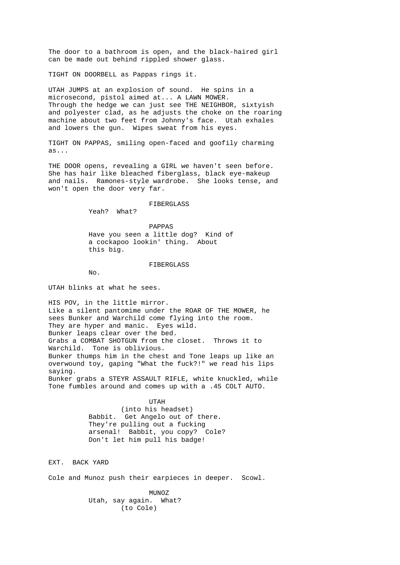The door to a bathroom is open, and the black-haired girl can be made out behind rippled shower glass.

TIGHT ON DOORBELL as Pappas rings it.

UTAH JUMPS at an explosion of sound. He spins in a microsecond, pistol aimed at... A LAWN MOWER. Through the hedge we can just see THE NEIGHBOR, sixtyish and polyester clad, as he adjusts the choke on the roaring machine about two feet from Johnny's face. Utah exhales and lowers the gun. Wipes sweat from his eyes.

TIGHT ON PAPPAS, smiling open-faced and goofily charming as...

THE DOOR opens, revealing a GIRL we haven't seen before. She has hair like bleached fiberglass, black eye-makeup and nails. Ramones-style wardrobe. She looks tense, and won't open the door very far.

FIBERGLASS

Yeah? What?

 PAPPAS Have you seen a little dog? Kind of a cockapoo lookin' thing. About this big.

#### FIBERGLASS

No.

UTAH blinks at what he sees.

HIS POV, in the little mirror. Like a silent pantomime under the ROAR OF THE MOWER, he sees Bunker and Warchild come flying into the room. They are hyper and manic. Eyes wild. Bunker leaps clear over the bed. Grabs a COMBAT SHOTGUN from the closet. Throws it to Warchild. Tone is oblivious. Bunker thumps him in the chest and Tone leaps up like an overwound toy, gaping "What the fuck?!" we read his lips saying. Bunker grabs a STEYR ASSAULT RIFLE, white knuckled, while Tone fumbles around and comes up with a .45 COLT AUTO.

 UTAH (into his headset) Babbit. Get Angelo out of there. They're pulling out a fucking arsenal! Babbit, you copy? Cole? Don't let him pull his badge!

EXT. BACK YARD

Cole and Munoz push their earpieces in deeper. Scowl.

 MUNOZ Utah, say again. What? (to Cole)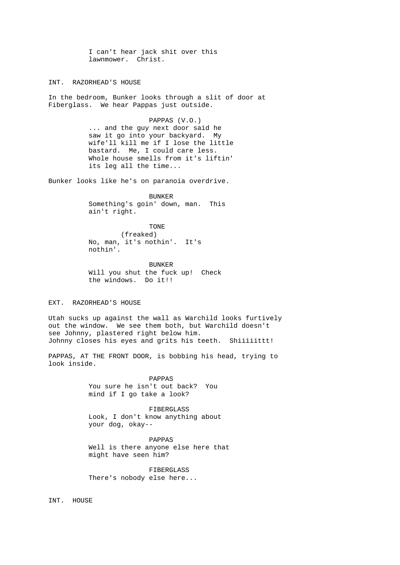I can't hear jack shit over this lawnmower. Christ.

INT. RAZORHEAD'S HOUSE

In the bedroom, Bunker looks through a slit of door at Fiberglass. We hear Pappas just outside.

> PAPPAS (V.O.) ... and the guy next door said he saw it go into your backyard. My wife'll kill me if I lose the little bastard. Me, I could care less. Whole house smells from it's liftin' its leg all the time...

Bunker looks like he's on paranoia overdrive.

 BUNKER Something's goin' down, man. This ain't right.

TONE TO BE A REPORTED TO PRESENT ON THE REPORT OF THE REPORT OF THE REPORT OF THE REPORT OF THE REPORT OF THE R (freaked) No, man, it's nothin'. It's nothin'.

> BUNKER Will you shut the fuck up! Check the windows. Do it!!

EXT. RAZORHEAD'S HOUSE

Utah sucks up against the wall as Warchild looks furtively out the window. We see them both, but Warchild doesn't see Johnny, plastered right below him. Johnny closes his eyes and grits his teeth. Shiiiiittt!

PAPPAS, AT THE FRONT DOOR, is bobbing his head, trying to look inside.

> PAPPAS You sure he isn't out back? You mind if I go take a look?

 FIBERGLASS Look, I don't know anything about your dog, okay--

 PAPPAS Well is there anyone else here that might have seen him?

 FIBERGLASS There's nobody else here...

INT. HOUSE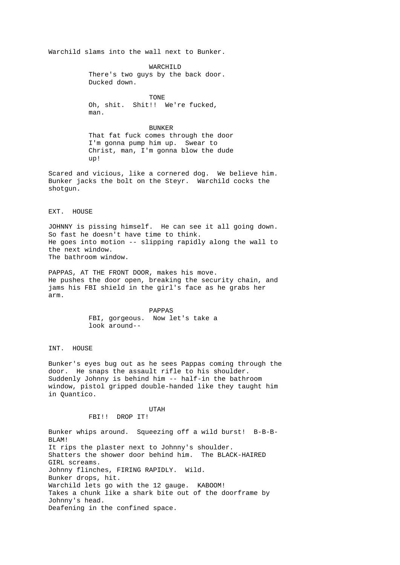Warchild slams into the wall next to Bunker.

 WARCHILD There's two guys by the back door. Ducked down.

 TONE Oh, shit. Shit!! We're fucked, man.

 BUNKER That fat fuck comes through the door I'm gonna pump him up. Swear to Christ, man, I'm gonna blow the dude up!

Scared and vicious, like a cornered dog. We believe him. Bunker jacks the bolt on the Steyr. Warchild cocks the shotgun.

### EXT. HOUSE

JOHNNY is pissing himself. He can see it all going down. So fast he doesn't have time to think. He goes into motion -- slipping rapidly along the wall to the next window. The bathroom window.

PAPPAS, AT THE FRONT DOOR, makes his move. He pushes the door open, breaking the security chain, and jams his FBI shield in the girl's face as he grabs her arm.

> PAPPAS FBI, gorgeous. Now let's take a look around--

INT. HOUSE

Bunker's eyes bug out as he sees Pappas coming through the door. He snaps the assault rifle to his shoulder. Suddenly Johnny is behind him -- half-in the bathroom window, pistol gripped double-handed like they taught him in Quantico.

# UTAH

FBI!! DROP IT!

Bunker whips around. Squeezing off a wild burst! B-B-B-BLAM! It rips the plaster next to Johnny's shoulder. Shatters the shower door behind him. The BLACK-HAIRED GIRL screams. Johnny flinches, FIRING RAPIDLY. Wild. Bunker drops, hit. Warchild lets go with the 12 gauge. KABOOM! Takes a chunk like a shark bite out of the doorframe by Johnny's head. Deafening in the confined space.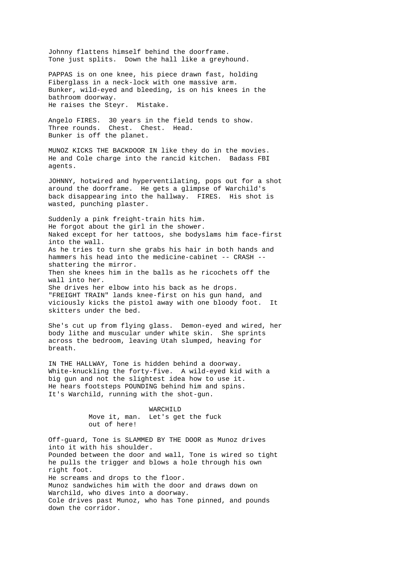Johnny flattens himself behind the doorframe. Tone just splits. Down the hall like a greyhound.

PAPPAS is on one knee, his piece drawn fast, holding Fiberglass in a neck-lock with one massive arm. Bunker, wild-eyed and bleeding, is on his knees in the bathroom doorway. He raises the Steyr. Mistake.

Angelo FIRES. 30 years in the field tends to show. Three rounds. Chest. Chest. Head. Bunker is off the planet.

MUNOZ KICKS THE BACKDOOR IN like they do in the movies. He and Cole charge into the rancid kitchen. Badass FBI agents.

JOHNNY, hotwired and hyperventilating, pops out for a shot around the doorframe. He gets a glimpse of Warchild's back disappearing into the hallway. FIRES. His shot is wasted, punching plaster.

Suddenly a pink freight-train hits him. He forgot about the girl in the shower. Naked except for her tattoos, she bodyslams him face-first into the wall. As he tries to turn she grabs his hair in both hands and hammers his head into the medicine-cabinet -- CRASH - shattering the mirror. Then she knees him in the balls as he ricochets off the wall into her. She drives her elbow into his back as he drops. "FREIGHT TRAIN" lands knee-first on his gun hand, and viciously kicks the pistol away with one bloody foot. It skitters under the bed.

She's cut up from flying glass. Demon-eyed and wired, her body lithe and muscular under white skin. She sprints across the bedroom, leaving Utah slumped, heaving for breath.

IN THE HALLWAY, Tone is hidden behind a doorway. White-knuckling the forty-five. A wild-eyed kid with a big gun and not the slightest idea how to use it. He hears footsteps POUNDING behind him and spins. It's Warchild, running with the shot-gun.

> WARCHILD Move it, man. Let's get the fuck out of here!

Off-guard, Tone is SLAMMED BY THE DOOR as Munoz drives into it with his shoulder. Pounded between the door and wall, Tone is wired so tight he pulls the trigger and blows a hole through his own right foot. He screams and drops to the floor. Munoz sandwiches him with the door and draws down on Warchild, who dives into a doorway. Cole drives past Munoz, who has Tone pinned, and pounds down the corridor.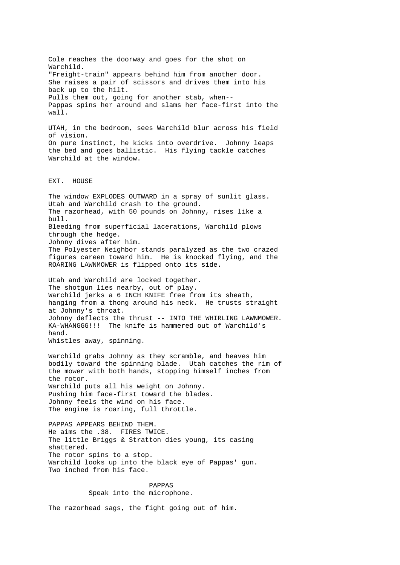Cole reaches the doorway and goes for the shot on Warchild. "Freight-train" appears behind him from another door. She raises a pair of scissors and drives them into his back up to the hilt. Pulls them out, going for another stab, when-- Pappas spins her around and slams her face-first into the wall. UTAH, in the bedroom, sees Warchild blur across his field of vision. On pure instinct, he kicks into overdrive. Johnny leaps the bed and goes ballistic. His flying tackle catches Warchild at the window. EXT. HOUSE The window EXPLODES OUTWARD in a spray of sunlit glass. Utah and Warchild crash to the ground. The razorhead, with 50 pounds on Johnny, rises like a bull. Bleeding from superficial lacerations, Warchild plows through the hedge. Johnny dives after him. The Polyester Neighbor stands paralyzed as the two crazed figures careen toward him. He is knocked flying, and the ROARING LAWNMOWER is flipped onto its side. Utah and Warchild are locked together. The shotgun lies nearby, out of play. Warchild jerks a 6 INCH KNIFE free from its sheath, hanging from a thong around his neck. He trusts straight at Johnny's throat. Johnny deflects the thrust -- INTO THE WHIRLING LAWNMOWER. KA-WHANGGG!!! The knife is hammered out of Warchild's hand. Whistles away, spinning. Warchild grabs Johnny as they scramble, and heaves him bodily toward the spinning blade. Utah catches the rim of the mower with both hands, stopping himself inches from the rotor. Warchild puts all his weight on Johnny. Pushing him face-first toward the blades. Johnny feels the wind on his face. The engine is roaring, full throttle. PAPPAS APPEARS BEHIND THEM. He aims the .38. FIRES TWICE. The little Briggs & Stratton dies young, its casing shattered. The rotor spins to a stop. Warchild looks up into the black eye of Pappas' gun. Two inched from his face. PAPPAS Speak into the microphone.

The razorhead sags, the fight going out of him.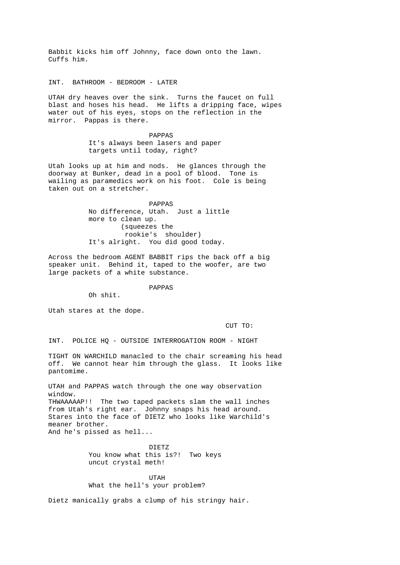Babbit kicks him off Johnny, face down onto the lawn. Cuffs him.

INT. BATHROOM - BEDROOM - LATER

UTAH dry heaves over the sink. Turns the faucet on full blast and hoses his head. He lifts a dripping face, wipes water out of his eyes, stops on the reflection in the mirror. Pappas is there.

> PAPPAS It's always been lasers and paper targets until today, right?

Utah looks up at him and nods. He glances through the doorway at Bunker, dead in a pool of blood. Tone is wailing as paramedics work on his foot. Cole is being taken out on a stretcher.

> PAPPAS No difference, Utah. Just a little more to clean up. (squeezes the rookie's shoulder) It's alright. You did good today.

Across the bedroom AGENT BABBIT rips the back off a big speaker unit. Behind it, taped to the woofer, are two large packets of a white substance.

PAPPAS

Oh shit.

Utah stares at the dope.

CUT TO:

INT. POLICE HQ - OUTSIDE INTERROGATION ROOM - NIGHT

TIGHT ON WARCHILD manacled to the chair screaming his head off. We cannot hear him through the glass. It looks like pantomime.

UTAH and PAPPAS watch through the one way observation window. THWAAAAAP!! The two taped packets slam the wall inches from Utah's right ear. Johnny snaps his head around. Stares into the face of DIETZ who looks like Warchild's meaner brother. And he's pissed as hell...

 DIETZ You know what this is?! Two keys uncut crystal meth!

 UTAH What the hell's your problem?

Dietz manically grabs a clump of his stringy hair.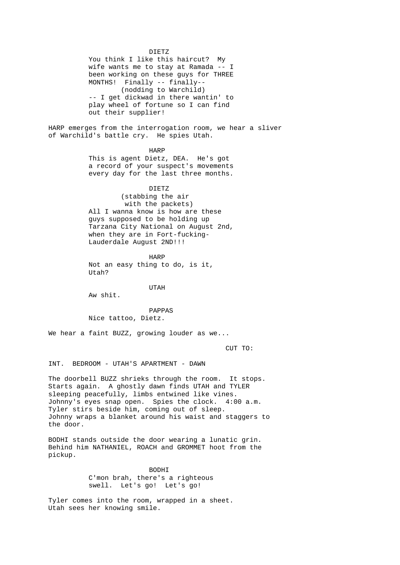DIETZ You think I like this haircut? My wife wants me to stay at Ramada -- I been working on these guys for THREE MONTHS! Finally -- finally-- (nodding to Warchild) -- I get dickwad in there wantin' to play wheel of fortune so I can find out their supplier! HARP emerges from the interrogation room, we hear a sliver of Warchild's battle cry. He spies Utah. **HARP**  This is agent Dietz, DEA. He's got a record of your suspect's movements every day for the last three months. DIETZ (stabbing the air with the packets) All I wanna know is how are these guys supposed to be holding up Tarzana City National on August 2nd, when they are in Fort-fucking- Lauderdale August 2ND!!! HARP Not an easy thing to do, is it, Utah? UTAH Aw shit. PAPPAS Nice tattoo, Dietz. We hear a faint BUZZ, growing louder as we... CUT TO: INT. BEDROOM - UTAH'S APARTMENT - DAWN The doorbell BUZZ shrieks through the room. It stops. Starts again. A ghostly dawn finds UTAH and TYLER sleeping peacefully, limbs entwined like vines. Johnny's eyes snap open. Spies the clock. 4:00 a.m. Tyler stirs beside him, coming out of sleep. Johnny wraps a blanket around his waist and staggers to the door. BODHI stands outside the door wearing a lunatic grin.

Behind him NATHANIEL, ROACH and GROMMET hoot from the pickup.

 BODHI C'mon brah, there's a righteous swell. Let's go! Let's go!

Tyler comes into the room, wrapped in a sheet. Utah sees her knowing smile.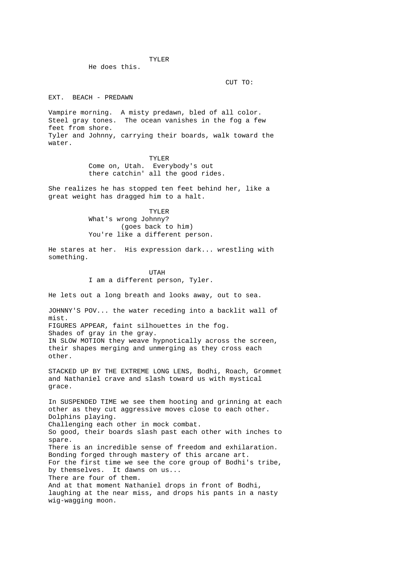TYLER

He does this.

CUT TO:

EXT. BEACH - PREDAWN

Vampire morning. A misty predawn, bled of all color. Steel gray tones. The ocean vanishes in the fog a few feet from shore. Tyler and Johnny, carrying their boards, walk toward the water.

> TYLER Come on, Utah. Everybody's out there catchin' all the good rides.

She realizes he has stopped ten feet behind her, like a great weight has dragged him to a halt.

 TYLER What's wrong Johnny? (goes back to him) You're like a different person.

He stares at her. His expression dark... wrestling with something.

> UTAH I am a different person, Tyler.

He lets out a long breath and looks away, out to sea.

JOHNNY'S POV... the water receding into a backlit wall of mist. FIGURES APPEAR, faint silhouettes in the fog. Shades of gray in the gray. IN SLOW MOTION they weave hypnotically across the screen, their shapes merging and unmerging as they cross each other.

STACKED UP BY THE EXTREME LONG LENS, Bodhi, Roach, Grommet and Nathaniel crave and slash toward us with mystical grace.

In SUSPENDED TIME we see them hooting and grinning at each other as they cut aggressive moves close to each other. Dolphins playing. Challenging each other in mock combat. So good, their boards slash past each other with inches to spare. There is an incredible sense of freedom and exhilaration. Bonding forged through mastery of this arcane art. For the first time we see the core group of Bodhi's tribe, by themselves. It dawns on us... There are four of them. And at that moment Nathaniel drops in front of Bodhi, laughing at the near miss, and drops his pants in a nasty wig-wagging moon.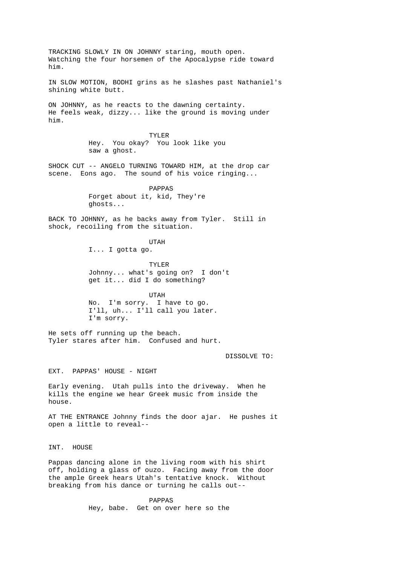TRACKING SLOWLY IN ON JOHNNY staring, mouth open. Watching the four horsemen of the Apocalypse ride toward him. IN SLOW MOTION, BODHI grins as he slashes past Nathaniel's shining white butt. ON JOHNNY, as he reacts to the dawning certainty. He feels weak, dizzy... like the ground is moving under him. TYLER Hey. You okay? You look like you saw a ghost. SHOCK CUT -- ANGELO TURNING TOWARD HIM, at the drop car scene. Eons ago. The sound of his voice ringing... PAPPAS Forget about it, kid, They're ghosts... BACK TO JOHNNY, as he backs away from Tyler. Still in shock, recoiling from the situation. UTAH I... I gotta go. TYLER Johnny... what's going on? I don't get it... did I do something? UTAH No. I'm sorry. I have to go. I'll, uh... I'll call you later. I'm sorry. He sets off running up the beach. Tyler stares after him. Confused and hurt. DISSOLVE TO: EXT. PAPPAS' HOUSE - NIGHT Early evening. Utah pulls into the driveway. When he kills the engine we hear Greek music from inside the house. AT THE ENTRANCE Johnny finds the door ajar. He pushes it open a little to reveal-- INT. HOUSE Pappas dancing alone in the living room with his shirt off, holding a glass of ouzo. Facing away from the door the ample Greek hears Utah's tentative knock. Without breaking from his dance or turning he calls out--

> PAPPAS Hey, babe. Get on over here so the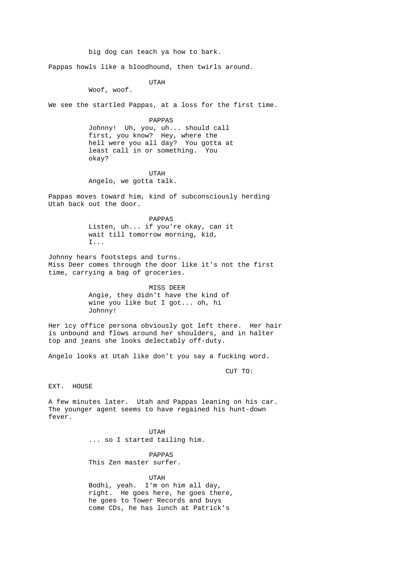big dog can teach ya how to bark. Pappas howls like a bloodhound, then twirls around. UTAH Woof, woof. We see the startled Pappas, at a loss for the first time. PAPPAS Johnny! Uh, you, uh... should call first, you know? Hey, where the hell were you all day? You gotta at least call in or something. You okay? UTAH Angelo, we gotta talk. Pappas moves toward him, kind of subconsciously herding Utah back out the door. PAPPAS Listen, uh... if you're okay, can it wait till tomorrow morning, kid, I... Johnny hears footsteps and turns. Miss Deer comes through the door like it's not the first time, carrying a bag of groceries. MISS DEER Angie, they didn't have the kind of wine you like but I got... oh, hi Johnny! Her icy office persona obviously got left there. Her hair is unbound and flows around her shoulders, and in halter top and jeans she looks delectably off-duty. Angelo looks at Utah like don't you say a fucking word. CUT TO: EXT. HOUSE A few minutes later. Utah and Pappas leaning on his car. The younger agent seems to have regained his hunt-down fever. UTAH ... so I started tailing him. PAPPAS This Zen master surfer. UTAH Bodhi, yeah. I'm on him all day, right. He goes here, he goes there, he goes to Tower Records and buys come CDs, he has lunch at Patrick's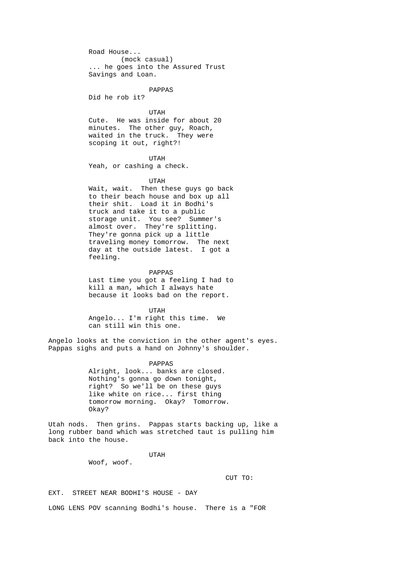Road House... (mock casual) ... he goes into the Assured Trust Savings and Loan.

PAPPAS

Did he rob it?

 UTAH Cute. He was inside for about 20 minutes. The other guy, Roach, waited in the truck. They were scoping it out, right?!

 UTAH Yeah, or cashing a check.

UTAH

 Wait, wait. Then these guys go back to their beach house and box up all their shit. Load it in Bodhi's truck and take it to a public storage unit. You see? Summer's almost over. They're splitting. They're gonna pick up a little traveling money tomorrow. The next day at the outside latest. I got a feeling.

 PAPPAS Last time you got a feeling I had to kill a man, which I always hate because it looks bad on the report.

 UTAH Angelo... I'm right this time. We can still win this one.

Angelo looks at the conviction in the other agent's eyes. Pappas sighs and puts a hand on Johnny's shoulder.

> PAPPAS Alright, look... banks are closed. Nothing's gonna go down tonight, right? So we'll be on these guys like white on rice... first thing tomorrow morning. Okay? Tomorrow. Okay?

Utah nods. Then grins. Pappas starts backing up, like a long rubber band which was stretched taut is pulling him back into the house.

UTAH

Woof, woof.

CUT TO:

EXT. STREET NEAR BODHI'S HOUSE - DAY

LONG LENS POV scanning Bodhi's house. There is a "FOR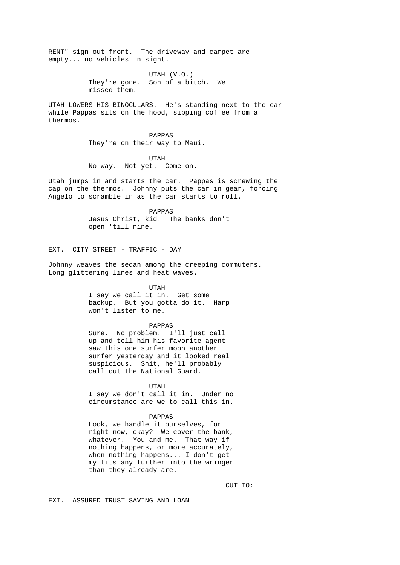RENT" sign out front. The driveway and carpet are empty... no vehicles in sight.

> UTAH (V.O.) They're gone. Son of a bitch. We missed them.

UTAH LOWERS HIS BINOCULARS. He's standing next to the car while Pappas sits on the hood, sipping coffee from a thermos.

> PAPPAS They're on their way to Maui.

 UTAH No way. Not yet. Come on.

Utah jumps in and starts the car. Pappas is screwing the cap on the thermos. Johnny puts the car in gear, forcing Angelo to scramble in as the car starts to roll.

> PAPPAS Jesus Christ, kid! The banks don't open 'till nine.

EXT. CITY STREET - TRAFFIC - DAY

Johnny weaves the sedan among the creeping commuters. Long glittering lines and heat waves.

UTAH

 I say we call it in. Get some backup. But you gotta do it. Harp won't listen to me.

#### PAPPAS

 Sure. No problem. I'll just call up and tell him his favorite agent saw this one surfer moon another surfer yesterday and it looked real suspicious. Shit, he'll probably call out the National Guard.

UTAH

 I say we don't call it in. Under no circumstance are we to call this in.

# PAPPAS

 Look, we handle it ourselves, for right now, okay? We cover the bank, whatever. You and me. That way if nothing happens, or more accurately, when nothing happens... I don't get my tits any further into the wringer than they already are.

CUT TO:

EXT. ASSURED TRUST SAVING AND LOAN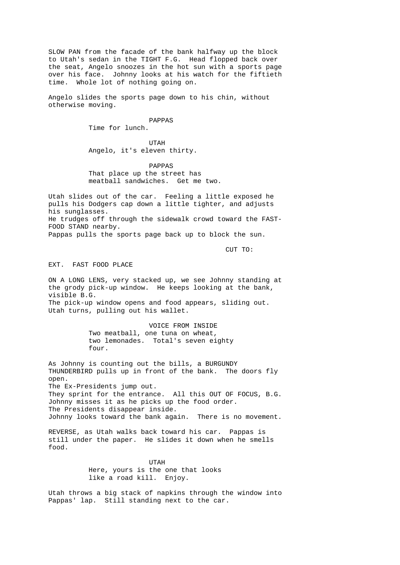SLOW PAN from the facade of the bank halfway up the block to Utah's sedan in the TIGHT F.G. Head flopped back over the seat, Angelo snoozes in the hot sun with a sports page over his face. Johnny looks at his watch for the fiftieth time. Whole lot of nothing going on.

Angelo slides the sports page down to his chin, without otherwise moving.

> PAPPAS Time for lunch.

 UTAH Angelo, it's eleven thirty.

> PAPPAS That place up the street has meatball sandwiches. Get me two.

Utah slides out of the car. Feeling a little exposed he pulls his Dodgers cap down a little tighter, and adjusts his sunglasses. He trudges off through the sidewalk crowd toward the FAST-FOOD STAND nearby. Pappas pulls the sports page back up to block the sun.

CUT TO:

EXT. FAST FOOD PLACE

ON A LONG LENS, very stacked up, we see Johnny standing at the grody pick-up window. He keeps looking at the bank, visible B.G. The pick-up window opens and food appears, sliding out. Utah turns, pulling out his wallet.

> VOICE FROM INSIDE Two meatball, one tuna on wheat, two lemonades. Total's seven eighty four.

As Johnny is counting out the bills, a BURGUNDY THUNDERBIRD pulls up in front of the bank. The doors fly open. The Ex-Presidents jump out. They sprint for the entrance. All this OUT OF FOCUS, B.G. Johnny misses it as he picks up the food order. The Presidents disappear inside. Johnny looks toward the bank again. There is no movement.

REVERSE, as Utah walks back toward his car. Pappas is still under the paper. He slides it down when he smells food.

 UTAH Here, yours is the one that looks like a road kill. Enjoy.

Utah throws a big stack of napkins through the window into Pappas' lap. Still standing next to the car.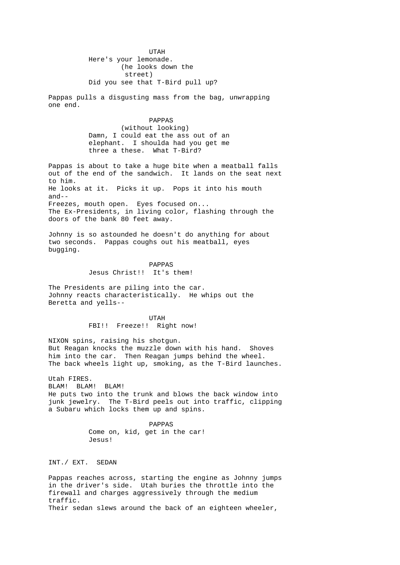UTAH Here's your lemonade. (he looks down the street) Did you see that T-Bird pull up?

Pappas pulls a disgusting mass from the bag, unwrapping one end.

> PAPPAS (without looking) Damn, I could eat the ass out of an elephant. I shoulda had you get me three a these. What T-Bird?

Pappas is about to take a huge bite when a meatball falls out of the end of the sandwich. It lands on the seat next to him. He looks at it. Picks it up. Pops it into his mouth and-- Freezes, mouth open. Eyes focused on... The Ex-Presidents, in living color, flashing through the doors of the bank 80 feet away.

Johnny is so astounded he doesn't do anything for about two seconds. Pappas coughs out his meatball, eyes bugging.

> PAPPAS Jesus Christ!! It's them!

The Presidents are piling into the car. Johnny reacts characteristically. He whips out the Beretta and yells--

 UTAH FBI!! Freeze!! Right now!

NIXON spins, raising his shotgun. But Reagan knocks the muzzle down with his hand. Shoves him into the car. Then Reagan jumps behind the wheel. The back wheels light up, smoking, as the T-Bird launches.

Utah FIRES. BLAM! BLAM! BLAM! He puts two into the trunk and blows the back window into junk jewelry. The T-Bird peels out into traffic, clipping a Subaru which locks them up and spins.

 PAPPAS Come on, kid, get in the car! Jesus!

INT./ EXT. SEDAN

Pappas reaches across, starting the engine as Johnny jumps in the driver's side. Utah buries the throttle into the firewall and charges aggressively through the medium traffic. Their sedan slews around the back of an eighteen wheeler,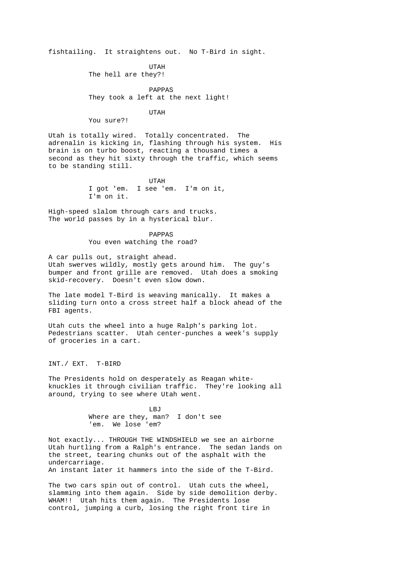fishtailing. It straightens out. No T-Bird in sight.

 UTAH The hell are they?!

> PAPPAS They took a left at the next light!

UTAH

You sure?!

Utah is totally wired. Totally concentrated. The adrenalin is kicking in, flashing through his system. His brain is on turbo boost, reacting a thousand times a second as they hit sixty through the traffic, which seems to be standing still.

 UTAH I got 'em. I see 'em. I'm on it, I'm on it.

High-speed slalom through cars and trucks. The world passes by in a hysterical blur.

> PAPPAS You even watching the road?

A car pulls out, straight ahead. Utah swerves wildly, mostly gets around him. The guy's bumper and front grille are removed. Utah does a smoking skid-recovery. Doesn't even slow down.

The late model T-Bird is weaving manically. It makes a sliding turn onto a cross street half a block ahead of the FBI agents.

Utah cuts the wheel into a huge Ralph's parking lot. Pedestrians scatter. Utah center-punches a week's supply of groceries in a cart.

INT./ EXT. T-BIRD

The Presidents hold on desperately as Reagan whiteknuckles it through civilian traffic. They're looking all around, trying to see where Utah went.

**LBJ**  Where are they, man? I don't see 'em. We lose 'em?

Not exactly... THROUGH THE WINDSHIELD we see an airborne Utah hurtling from a Ralph's entrance. The sedan lands on the street, tearing chunks out of the asphalt with the undercarriage. An instant later it hammers into the side of the T-Bird.

The two cars spin out of control. Utah cuts the wheel, slamming into them again. Side by side demolition derby. WHAM!! Utah hits them again. The Presidents lose control, jumping a curb, losing the right front tire in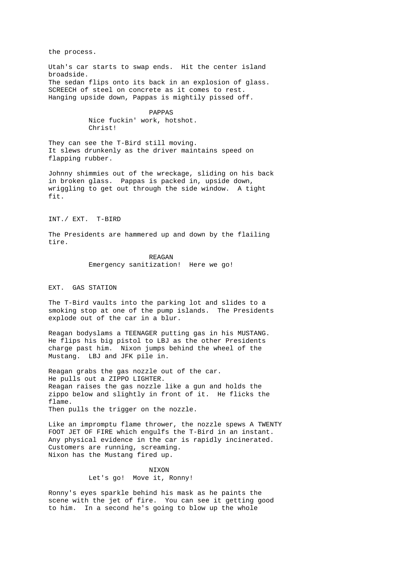the process.

Utah's car starts to swap ends. Hit the center island broadside. The sedan flips onto its back in an explosion of glass. SCREECH of steel on concrete as it comes to rest. Hanging upside down, Pappas is mightily pissed off.

> PAPPAS Nice fuckin' work, hotshot. Christ!

They can see the T-Bird still moving. It slews drunkenly as the driver maintains speed on flapping rubber.

Johnny shimmies out of the wreckage, sliding on his back in broken glass. Pappas is packed in, upside down, wriggling to get out through the side window. A tight fit.

INT./ EXT. T-BIRD

The Presidents are hammered up and down by the flailing tire.

> REAGAN Emergency sanitization! Here we go!

#### EXT. GAS STATION

The T-Bird vaults into the parking lot and slides to a smoking stop at one of the pump islands. The Presidents explode out of the car in a blur.

Reagan bodyslams a TEENAGER putting gas in his MUSTANG. He flips his big pistol to LBJ as the other Presidents charge past him. Nixon jumps behind the wheel of the Mustang. LBJ and JFK pile in.

Reagan grabs the gas nozzle out of the car. He pulls out a ZIPPO LIGHTER. Reagan raises the gas nozzle like a gun and holds the zippo below and slightly in front of it. He flicks the flame. Then pulls the trigger on the nozzle.

Like an impromptu flame thrower, the nozzle spews A TWENTY FOOT JET OF FIRE which engulfs the T-Bird in an instant. Any physical evidence in the car is rapidly incinerated. Customers are running, screaming. Nixon has the Mustang fired up.

> NIXON Let's go! Move it, Ronny!

Ronny's eyes sparkle behind his mask as he paints the scene with the jet of fire. You can see it getting good to him. In a second he's going to blow up the whole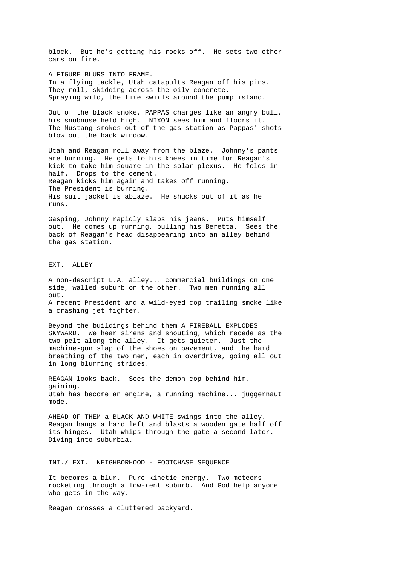block. But he's getting his rocks off. He sets two other cars on fire. A FIGURE BLURS INTO FRAME. In a flying tackle, Utah catapults Reagan off his pins. They roll, skidding across the oily concrete. Spraying wild, the fire swirls around the pump island. Out of the black smoke, PAPPAS charges like an angry bull, his snubnose held high. NIXON sees him and floors it. The Mustang smokes out of the gas station as Pappas' shots blow out the back window. Utah and Reagan roll away from the blaze. Johnny's pants are burning. He gets to his knees in time for Reagan's kick to take him square in the solar plexus. He folds in half. Drops to the cement. Reagan kicks him again and takes off running. The President is burning. His suit jacket is ablaze. He shucks out of it as he runs. Gasping, Johnny rapidly slaps his jeans. Puts himself out. He comes up running, pulling his Beretta. Sees the back of Reagan's head disappearing into an alley behind the gas station. EXT. ALLEY A non-descript L.A. alley... commercial buildings on one side, walled suburb on the other. Two men running all out. A recent President and a wild-eyed cop trailing smoke like a crashing jet fighter. Beyond the buildings behind them A FIREBALL EXPLODES SKYWARD. We hear sirens and shouting, which recede as the two pelt along the alley. It gets quieter. Just the machine-gun slap of the shoes on pavement, and the hard breathing of the two men, each in overdrive, going all out in long blurring strides. REAGAN looks back. Sees the demon cop behind him, gaining. Utah has become an engine, a running machine... juggernaut mode. AHEAD OF THEM a BLACK AND WHITE swings into the alley. Reagan hangs a hard left and blasts a wooden gate half off its hinges. Utah whips through the gate a second later. Diving into suburbia. INT./ EXT. NEIGHBORHOOD - FOOTCHASE SEQUENCE It becomes a blur. Pure kinetic energy. Two meteors rocketing through a low-rent suburb. And God help anyone who gets in the way. Reagan crosses a cluttered backyard.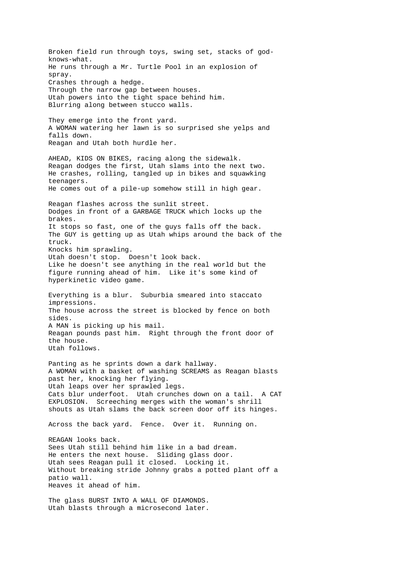Broken field run through toys, swing set, stacks of godknows-what. He runs through a Mr. Turtle Pool in an explosion of spray. Crashes through a hedge. Through the narrow gap between houses. Utah powers into the tight space behind him. Blurring along between stucco walls. They emerge into the front yard. A WOMAN watering her lawn is so surprised she yelps and falls down. Reagan and Utah both hurdle her. AHEAD, KIDS ON BIKES, racing along the sidewalk. Reagan dodges the first, Utah slams into the next two. He crashes, rolling, tangled up in bikes and squawking teenagers. He comes out of a pile-up somehow still in high gear. Reagan flashes across the sunlit street. Dodges in front of a GARBAGE TRUCK which locks up the brakes. It stops so fast, one of the guys falls off the back. The GUY is getting up as Utah whips around the back of the truck. Knocks him sprawling. Utah doesn't stop. Doesn't look back. Like he doesn't see anything in the real world but the figure running ahead of him. Like it's some kind of hyperkinetic video game. Everything is a blur. Suburbia smeared into staccato impressions. The house across the street is blocked by fence on both sides. A MAN is picking up his mail. Reagan pounds past him. Right through the front door of the house. Utah follows. Panting as he sprints down a dark hallway. A WOMAN with a basket of washing SCREAMS as Reagan blasts past her, knocking her flying. Utah leaps over her sprawled legs. Cats blur underfoot. Utah crunches down on a tail. A CAT EXPLOSION. Screeching merges with the woman's shrill shouts as Utah slams the back screen door off its hinges. Across the back yard. Fence. Over it. Running on. REAGAN looks back. Sees Utah still behind him like in a bad dream. He enters the next house. Sliding glass door. Utah sees Reagan pull it closed. Locking it. Without breaking stride Johnny grabs a potted plant off a patio wall. Heaves it ahead of him. The glass BURST INTO A WALL OF DIAMONDS. Utah blasts through a microsecond later.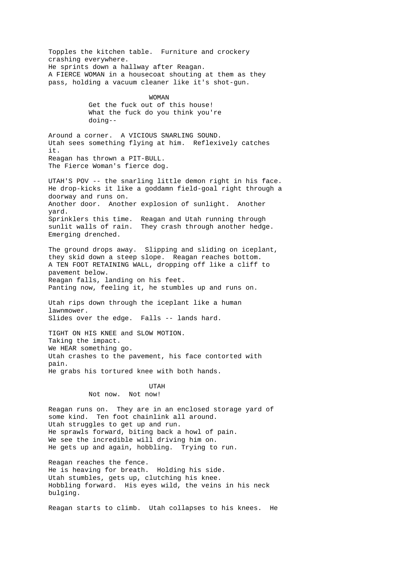Topples the kitchen table. Furniture and crockery crashing everywhere. He sprints down a hallway after Reagan. A FIERCE WOMAN in a housecoat shouting at them as they pass, holding a vacuum cleaner like it's shot-gun. WOMAN Get the fuck out of this house! What the fuck do you think you're doing-- Around a corner. A VICIOUS SNARLING SOUND. Utah sees something flying at him. Reflexively catches it. Reagan has thrown a PIT-BULL. The Fierce Woman's fierce dog. UTAH'S POV -- the snarling little demon right in his face. He drop-kicks it like a goddamn field-goal right through a doorway and runs on. Another door. Another explosion of sunlight. Another yard. Sprinklers this time. Reagan and Utah running through sunlit walls of rain. They crash through another hedge. Emerging drenched. The ground drops away. Slipping and sliding on iceplant, they skid down a steep slope. Reagan reaches bottom. A TEN FOOT RETAINING WALL, dropping off like a cliff to pavement below. Reagan falls, landing on his feet. Panting now, feeling it, he stumbles up and runs on. Utah rips down through the iceplant like a human lawnmower. Slides over the edge. Falls -- lands hard. TIGHT ON HIS KNEE and SLOW MOTION. Taking the impact. We HEAR something go. Utah crashes to the pavement, his face contorted with pain. He grabs his tortured knee with both hands. UTAH Not now. Not now! Reagan runs on. They are in an enclosed storage yard of some kind. Ten foot chainlink all around. Utah struggles to get up and run. He sprawls forward, biting back a howl of pain. We see the incredible will driving him on. He gets up and again, hobbling. Trying to run. Reagan reaches the fence. He is heaving for breath. Holding his side. Utah stumbles, gets up, clutching his knee. Hobbling forward. His eyes wild, the veins in his neck bulging. Reagan starts to climb. Utah collapses to his knees. He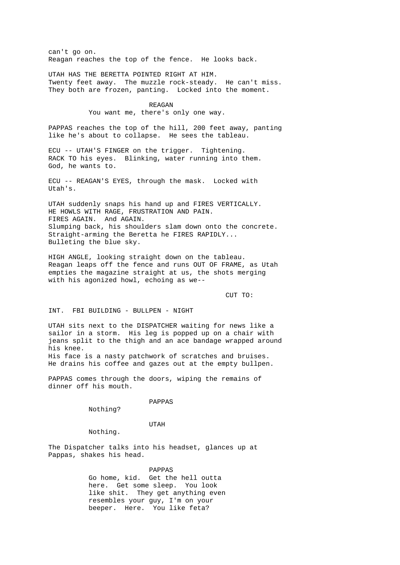can't go on. Reagan reaches the top of the fence. He looks back.

UTAH HAS THE BERETTA POINTED RIGHT AT HIM. Twenty feet away. The muzzle rock-steady. He can't miss. They both are frozen, panting. Locked into the moment.

> REAGAN You want me, there's only one way.

PAPPAS reaches the top of the hill, 200 feet away, panting like he's about to collapse. He sees the tableau.

ECU -- UTAH'S FINGER on the trigger. Tightening. RACK TO his eyes. Blinking, water running into them. God, he wants to.

ECU -- REAGAN'S EYES, through the mask. Locked with Utah's.

UTAH suddenly snaps his hand up and FIRES VERTICALLY. HE HOWLS WITH RAGE, FRUSTRATION AND PAIN. FIRES AGAIN. And AGAIN. Slumping back, his shoulders slam down onto the concrete. Straight-arming the Beretta he FIRES RAPIDLY... Bulleting the blue sky.

HIGH ANGLE, looking straight down on the tableau. Reagan leaps off the fence and runs OUT OF FRAME, as Utah empties the magazine straight at us, the shots merging with his agonized howl, echoing as we--

CUT TO:

INT. FBI BUILDING - BULLPEN - NIGHT

UTAH sits next to the DISPATCHER waiting for news like a sailor in a storm. His leg is popped up on a chair with jeans split to the thigh and an ace bandage wrapped around his knee. His face is a nasty patchwork of scratches and bruises. He drains his coffee and gazes out at the empty bullpen.

PAPPAS comes through the doors, wiping the remains of dinner off his mouth.

PAPPAS

Nothing?

 UTAH Nothing.

The Dispatcher talks into his headset, glances up at Pappas, shakes his head.

> PAPPAS Go home, kid. Get the hell outta here. Get some sleep. You look like shit. They get anything even resembles your guy, I'm on your beeper. Here. You like feta?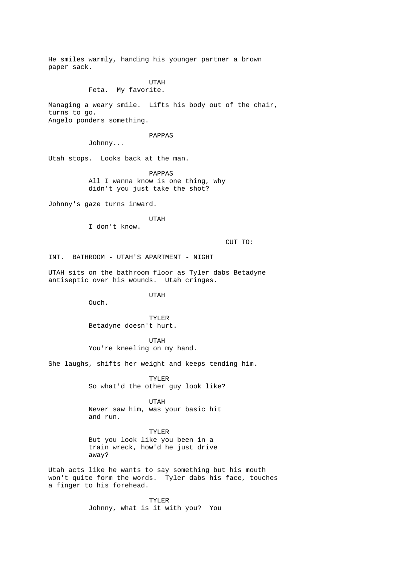He smiles warmly, handing his younger partner a brown paper sack. UTAH Feta. My favorite. Managing a weary smile. Lifts his body out of the chair, turns to go. Angelo ponders something. PAPPAS Johnny... Utah stops. Looks back at the man. PAPPAS All I wanna know is one thing, why didn't you just take the shot? Johnny's gaze turns inward. UTAH I don't know. CUT TO: INT. BATHROOM - UTAH'S APARTMENT - NIGHT

UTAH sits on the bathroom floor as Tyler dabs Betadyne antiseptic over his wounds. Utah cringes.

UTAH

Ouch.

 TYLER Betadyne doesn't hurt.

 UTAH You're kneeling on my hand.

She laughs, shifts her weight and keeps tending him.

 TYLER So what'd the other guy look like?

 UTAH Never saw him, was your basic hit and run.

 TYLER But you look like you been in a train wreck, how'd he just drive away?

Utah acts like he wants to say something but his mouth won't quite form the words. Tyler dabs his face, touches a finger to his forehead.

> TYLER Johnny, what is it with you? You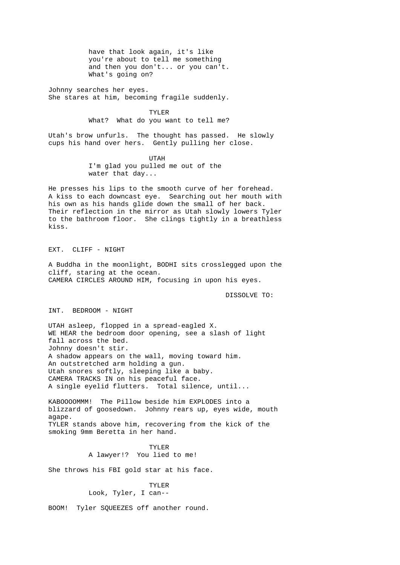have that look again, it's like you're about to tell me something and then you don't... or you can't. What's going on?

Johnny searches her eyes. She stares at him, becoming fragile suddenly.

> TYLER What? What do you want to tell me?

Utah's brow unfurls. The thought has passed. He slowly cups his hand over hers. Gently pulling her close.

 UTAH I'm glad you pulled me out of the water that day...

He presses his lips to the smooth curve of her forehead. A kiss to each downcast eye. Searching out her mouth with his own as his hands glide down the small of her back. Their reflection in the mirror as Utah slowly lowers Tyler to the bathroom floor. She clings tightly in a breathless kiss.

EXT. CLIFF - NIGHT

A Buddha in the moonlight, BODHI sits crosslegged upon the cliff, staring at the ocean. CAMERA CIRCLES AROUND HIM, focusing in upon his eyes.

DISSOLVE TO:

INT. BEDROOM - NIGHT

UTAH asleep, flopped in a spread-eagled X. WE HEAR the bedroom door opening, see a slash of light fall across the bed. Johnny doesn't stir. A shadow appears on the wall, moving toward him. An outstretched arm holding a gun. Utah snores softly, sleeping like a baby. CAMERA TRACKS IN on his peaceful face. A single eyelid flutters. Total silence, until...

KABOOOOMMM! The Pillow beside him EXPLODES into a blizzard of goosedown. Johnny rears up, eyes wide, mouth agape. TYLER stands above him, recovering from the kick of the smoking 9mm Beretta in her hand.

 TYLER A lawyer!? You lied to me!

She throws his FBI gold star at his face.

 TYLER Look, Tyler, I can--

BOOM! Tyler SQUEEZES off another round.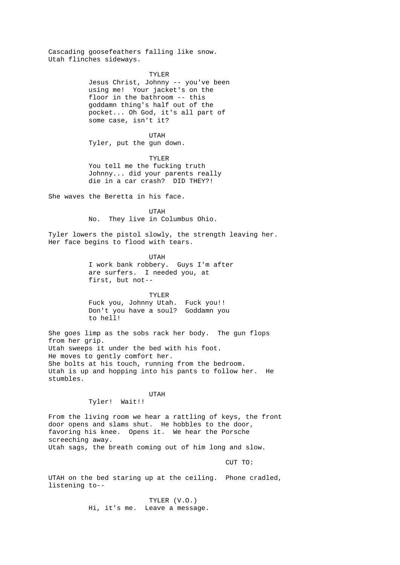Cascading goosefeathers falling like snow. Utah flinches sideways.

> TYLER Jesus Christ, Johnny -- you've been using me! Your jacket's on the floor in the bathroom -- this goddamn thing's half out of the pocket... Oh God, it's all part of some case, isn't it?

 UTAH Tyler, put the gun down.

 TYLER You tell me the fucking truth Johnny... did your parents really die in a car crash? DID THEY?!

She waves the Beretta in his face.

 UTAH No. They live in Columbus Ohio.

Tyler lowers the pistol slowly, the strength leaving her. Her face begins to flood with tears.

> UTAH I work bank robbery. Guys I'm after are surfers. I needed you, at first, but not--

 TYLER Fuck you, Johnny Utah. Fuck you!! Don't you have a soul? Goddamn you to hell!

She goes limp as the sobs rack her body. The gun flops from her grip. Utah sweeps it under the bed with his foot. He moves to gently comfort her. She bolts at his touch, running from the bedroom. Utah is up and hopping into his pants to follow her. He stumbles.

# UTAH

Tyler! Wait!!

From the living room we hear a rattling of keys, the front door opens and slams shut. He hobbles to the door, favoring his knee. Opens it. We hear the Porsche screeching away. Utah sags, the breath coming out of him long and slow.

CUT TO:

UTAH on the bed staring up at the ceiling. Phone cradled, listening to--

> TYLER (V.O.) Hi, it's me. Leave a message.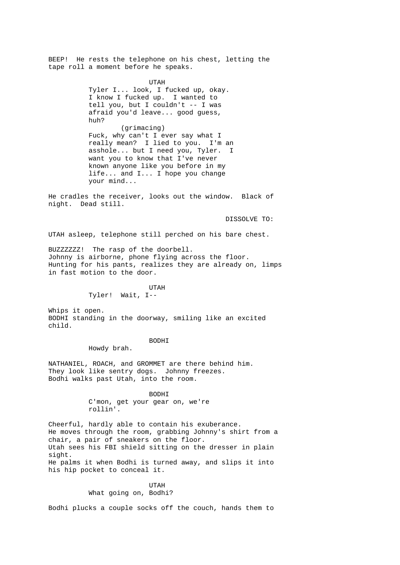BEEP! He rests the telephone on his chest, letting the tape roll a moment before he speaks.

> UTAH Tyler I... look, I fucked up, okay. I know I fucked up. I wanted to tell you, but I couldn't -- I was afraid you'd leave... good guess, huh? (grimacing) Fuck, why can't I ever say what I really mean? I lied to you. I'm an asshole... but I need you, Tyler. want you to know that I've never known anyone like you before in my life... and I... I hope you change your mind...

He cradles the receiver, looks out the window. Black of night. Dead still.

DISSOLVE TO:

UTAH asleep, telephone still perched on his bare chest.

BUZZZZZZ! The rasp of the doorbell. Johnny is airborne, phone flying across the floor. Hunting for his pants, realizes they are already on, limps in fast motion to the door.

> UTAH Tyler! Wait, I--

Whips it open. BODHI standing in the doorway, smiling like an excited child.

> BODHI Howdy brah.

NATHANIEL, ROACH, and GROMMET are there behind him. They look like sentry dogs. Johnny freezes. Bodhi walks past Utah, into the room.

> BODHI C'mon, get your gear on, we're rollin'.

Cheerful, hardly able to contain his exuberance. He moves through the room, grabbing Johnny's shirt from a chair, a pair of sneakers on the floor. Utah sees his FBI shield sitting on the dresser in plain sight. He palms it when Bodhi is turned away, and slips it into his hip pocket to conceal it.

> UTAH What going on, Bodhi?

Bodhi plucks a couple socks off the couch, hands them to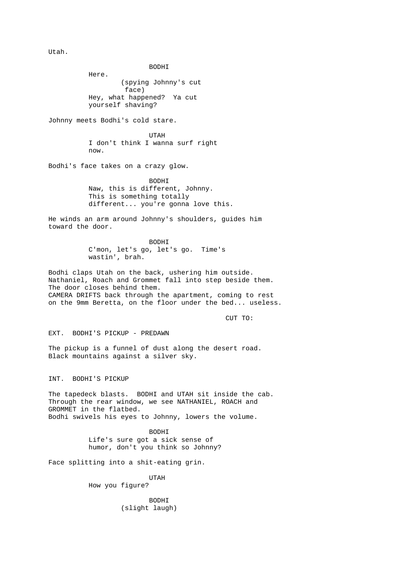Utah.

 BODHI Here. (spying Johnny's cut face) Hey, what happened? Ya cut yourself shaving? Johnny meets Bodhi's cold stare. UTAH I don't think I wanna surf right now. Bodhi's face takes on a crazy glow. BODHI Naw, this is different, Johnny. This is something totally different... you're gonna love this. He winds an arm around Johnny's shoulders, guides him toward the door. BODHI C'mon, let's go, let's go. Time's wastin', brah. Bodhi claps Utah on the back, ushering him outside. Nathaniel, Roach and Grommet fall into step beside them. The door closes behind them. CAMERA DRIFTS back through the apartment, coming to rest on the 9mm Beretta, on the floor under the bed... useless. CUT TO: EXT. BODHI'S PICKUP - PREDAWN The pickup is a funnel of dust along the desert road. Black mountains against a silver sky. INT. BODHI'S PICKUP The tapedeck blasts. BODHI and UTAH sit inside the cab. Through the rear window, we see NATHANIEL, ROACH and GROMMET in the flatbed. Bodhi swivels his eyes to Johnny, lowers the volume. BODHI Life's sure got a sick sense of humor, don't you think so Johnny? Face splitting into a shit-eating grin. UTAH How you figure? BODHI

(slight laugh)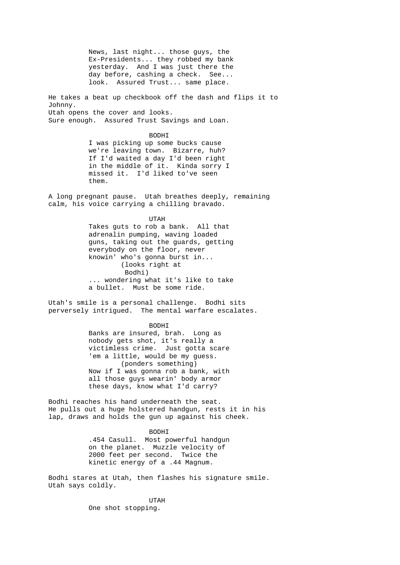News, last night... those guys, the Ex-Presidents... they robbed my bank yesterday. And I was just there the day before, cashing a check. See... look. Assured Trust... same place.

He takes a beat up checkbook off the dash and flips it to Johnny. Utah opens the cover and looks. Sure enough. Assured Trust Savings and Loan.

> BODHI I was picking up some bucks cause we're leaving town. Bizarre, huh? If I'd waited a day I'd been right in the middle of it. Kinda sorry I missed it. I'd liked to've seen them.

A long pregnant pause. Utah breathes deeply, remaining calm, his voice carrying a chilling bravado.

UTAH

 Takes guts to rob a bank. All that adrenalin pumping, waving loaded guns, taking out the guards, getting everybody on the floor, never knowin' who's gonna burst in... (looks right at Bodhi) ... wondering what it's like to take a bullet. Must be some ride.

Utah's smile is a personal challenge. Bodhi sits perversely intrigued. The mental warfare escalates.

BODHI

 Banks are insured, brah. Long as nobody gets shot, it's really a victimless crime. Just gotta scare 'em a little, would be my guess. (ponders something) Now if I was gonna rob a bank, with all those guys wearin' body armor these days, know what I'd carry?

Bodhi reaches his hand underneath the seat. He pulls out a huge holstered handgun, rests it in his lap, draws and holds the gun up against his cheek.

> BODHI .454 Casull. Most powerful handgun on the planet. Muzzle velocity of 2000 feet per second. Twice the kinetic energy of a .44 Magnum.

Bodhi stares at Utah, then flashes his signature smile. Utah says coldly.

 UTAH One shot stopping.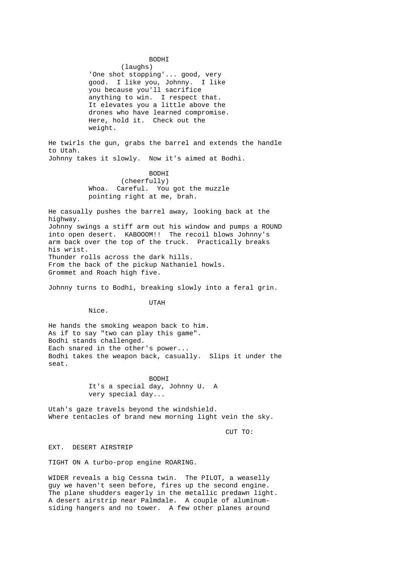BODHI

 (laughs) 'One shot stopping'... good, very good. I like you, Johnny. I like you because you'll sacrifice anything to win. I respect that. It elevates you a little above the drones who have learned compromise. Here, hold it. Check out the weight.

He twirls the gun, grabs the barrel and extends the handle to Utah. Johnny takes it slowly. Now it's aimed at Bodhi.

 BODHI (cheerfully)<br>Whoa. Careful. You Careful. You got the muzzle pointing right at me, brah.

He casually pushes the barrel away, looking back at the highway. Johnny swings a stiff arm out his window and pumps a ROUND into open desert. KABOOOM!! The recoil blows Johnny's arm back over the top of the truck. Practically breaks his wrist. Thunder rolls across the dark hills. From the back of the pickup Nathaniel howls. Grommet and Roach high five.

Johnny turns to Bodhi, breaking slowly into a feral grin.

UTAH

Nice.

He hands the smoking weapon back to him. As if to say "two can play this game". Bodhi stands challenged. Each snared in the other's power... Bodhi takes the weapon back, casually. Slips it under the seat.

> BODHI It's a special day, Johnny U. A very special day...

Utah's gaze travels beyond the windshield. Where tentacles of brand new morning light vein the sky.

CUT TO:

EXT. DESERT AIRSTRIP

TIGHT ON A turbo-prop engine ROARING.

WIDER reveals a big Cessna twin. The PILOT, a weaselly guy we haven't seen before, fires up the second engine. The plane shudders eagerly in the metallic predawn light. A desert airstrip near Palmdale. A couple of aluminumsiding hangers and no tower. A few other planes around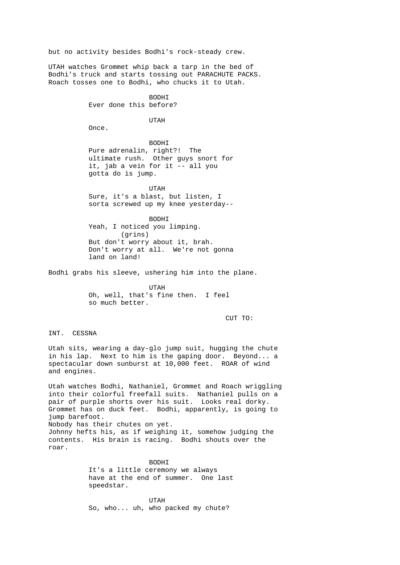but no activity besides Bodhi's rock-steady crew.

UTAH watches Grommet whip back a tarp in the bed of Bodhi's truck and starts tossing out PARACHUTE PACKS. Roach tosses one to Bodhi, who chucks it to Utah.

> BODHI Ever done this before?

> > UTAH

Once.

 BODHI Pure adrenalin, right?! The ultimate rush. Other guys snort for it, jab a vein for it -- all you gotta do is jump.

 UTAH Sure, it's a blast, but listen, I sorta screwed up my knee yesterday--

> BODHI Yeah, I noticed you limping. (grins) But don't worry about it, brah. Don't worry at all. We're not gonna land on land!

Bodhi grabs his sleeve, ushering him into the plane.

 UTAH Oh, well, that's fine then. I feel so much better.

CUT TO:

INT. CESSNA

Utah sits, wearing a day-glo jump suit, hugging the chute in his lap. Next to him is the gaping door. Beyond... a spectacular down sunburst at 10,000 feet. ROAR of wind and engines.

Utah watches Bodhi, Nathaniel, Grommet and Roach wriggling into their colorful freefall suits. Nathaniel pulls on a pair of purple shorts over his suit. Looks real dorky. Grommet has on duck feet. Bodhi, apparently, is going to jump barefoot. Nobody has their chutes on yet. Johnny hefts his, as if weighing it, somehow judging the contents. His brain is racing. Bodhi shouts over the roar.

> BODHI It's a little ceremony we always have at the end of summer. One last speedstar.

 UTAH So, who... uh, who packed my chute?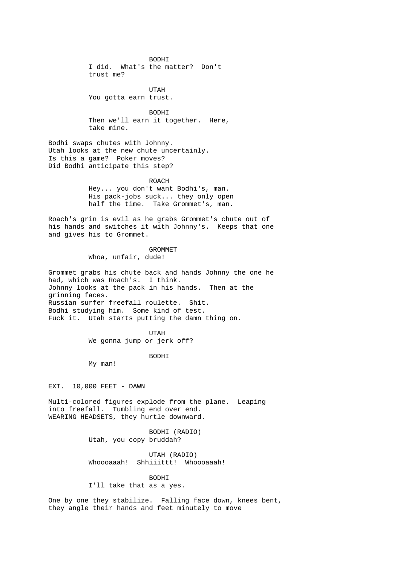BODHI I did. What's the matter? Don't trust me?

 UTAH You gotta earn trust.

> BODHI Then we'll earn it together. Here, take mine.

Bodhi swaps chutes with Johnny. Utah looks at the new chute uncertainly. Is this a game? Poker moves? Did Bodhi anticipate this step?

> ROACH Hey... you don't want Bodhi's, man. His pack-jobs suck... they only open half the time. Take Grommet's, man.

Roach's grin is evil as he grabs Grommet's chute out of his hands and switches it with Johnny's. Keeps that one and gives his to Grommet.

> GROMMET Whoa, unfair, dude!

Grommet grabs his chute back and hands Johnny the one he had, which was Roach's. I think. Johnny looks at the pack in his hands. Then at the grinning faces. Russian surfer freefall roulette. Shit. Bodhi studying him. Some kind of test. Fuck it. Utah starts putting the damn thing on.

 UTAH We gonna jump or jerk off?

BODHI

My man!

EXT. 10,000 FEET - DAWN

Multi-colored figures explode from the plane. Leaping into freefall. Tumbling end over end. WEARING HEADSETS, they hurtle downward.

> BODHI (RADIO) Utah, you copy bruddah?

 UTAH (RADIO) Whoooaaah! Shhiiittt! Whoooaaah!

 BODHI I'll take that as a yes.

One by one they stabilize. Falling face down, knees bent, they angle their hands and feet minutely to move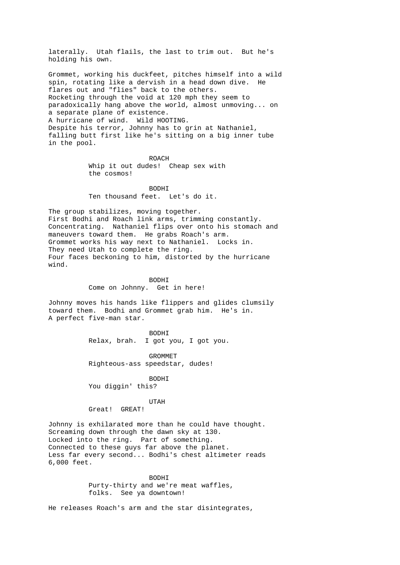laterally. Utah flails, the last to trim out. But he's holding his own.

Grommet, working his duckfeet, pitches himself into a wild spin, rotating like a dervish in a head down dive. He flares out and "flies" back to the others. Rocketing through the void at 120 mph they seem to paradoxically hang above the world, almost unmoving... on a separate plane of existence. A hurricane of wind. Wild HOOTING. Despite his terror, Johnny has to grin at Nathaniel, falling butt first like he's sitting on a big inner tube in the pool.

ROACH ROACH Whip it out dudes! Cheap sex with the cosmos!

 BODHI Ten thousand feet. Let's do it.

The group stabilizes, moving together. First Bodhi and Roach link arms, trimming constantly. Concentrating. Nathaniel flips over onto his stomach and maneuvers toward them. He grabs Roach's arm. Grommet works his way next to Nathaniel. Locks in. They need Utah to complete the ring. Four faces beckoning to him, distorted by the hurricane wind.

> BODHI Come on Johnny. Get in here!

Johnny moves his hands like flippers and glides clumsily toward them. Bodhi and Grommet grab him. He's in. A perfect five-man star.

 BODHI Relax, brah. I got you, I got you.

> GROMMET Righteous-ass speedstar, dudes!

 BODHI You diggin' this?

 UTAH Great! GREAT!

Johnny is exhilarated more than he could have thought. Screaming down through the dawn sky at 130. Locked into the ring. Part of something. Connected to these guys far above the planet. Less far every second... Bodhi's chest altimeter reads 6,000 feet.

> BODHI Purty-thirty and we're meat waffles, folks. See ya downtown!

He releases Roach's arm and the star disintegrates,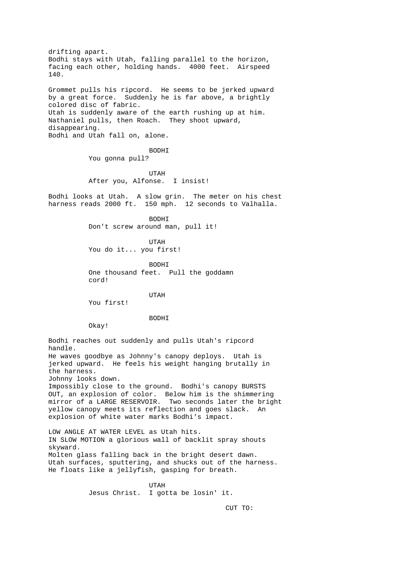drifting apart. Bodhi stays with Utah, falling parallel to the horizon, facing each other, holding hands. 4000 feet. Airspeed 140. Grommet pulls his ripcord. He seems to be jerked upward by a great force. Suddenly he is far above, a brightly colored disc of fabric. Utah is suddenly aware of the earth rushing up at him. Nathaniel pulls, then Roach. They shoot upward, disappearing. Bodhi and Utah fall on, alone. BODHI You gonna pull? UTAH After you, Alfonse. I insist! Bodhi looks at Utah. A slow grin. The meter on his chest harness reads 2000 ft. 150 mph. 12 seconds to Valhalla. BODHI Don't screw around man, pull it! UTAH You do it... you first! BODHI One thousand feet. Pull the goddamn cord! UTAH You first! BODHI Okay! Bodhi reaches out suddenly and pulls Utah's ripcord handle. He waves goodbye as Johnny's canopy deploys. Utah is jerked upward. He feels his weight hanging brutally in the harness. Johnny looks down. Impossibly close to the ground. Bodhi's canopy BURSTS OUT, an explosion of color. Below him is the shimmering mirror of a LARGE RESERVOIR. Two seconds later the bright yellow canopy meets its reflection and goes slack. An explosion of white water marks Bodhi's impact. LOW ANGLE AT WATER LEVEL as Utah hits. IN SLOW MOTION a glorious wall of backlit spray shouts skyward. Molten glass falling back in the bright desert dawn. Utah surfaces, sputtering, and shucks out of the harness. He floats like a jellyfish, gasping for breath.

 UTAH Jesus Christ. I gotta be losin' it.

CUT TO: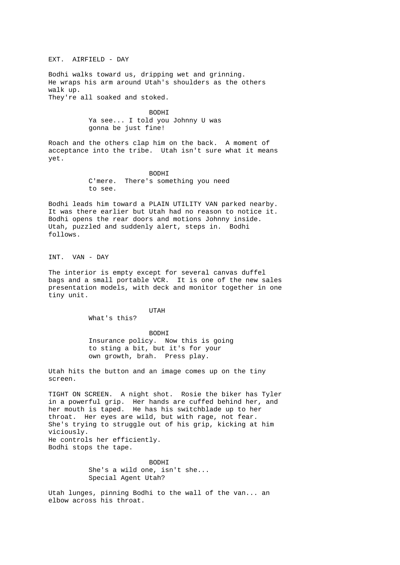EXT. AIRFIELD - DAY

Bodhi walks toward us, dripping wet and grinning. He wraps his arm around Utah's shoulders as the others walk up. They're all soaked and stoked.

> BODHI Ya see... I told you Johnny U was gonna be just fine!

Roach and the others clap him on the back. A moment of acceptance into the tribe. Utah isn't sure what it means yet.

> BODHI C'mere. There's something you need to see.

Bodhi leads him toward a PLAIN UTILITY VAN parked nearby. It was there earlier but Utah had no reason to notice it. Bodhi opens the rear doors and motions Johnny inside. Utah, puzzled and suddenly alert, steps in. Bodhi follows.

INT. VAN - DAY

The interior is empty except for several canvas duffel bags and a small portable VCR. It is one of the new sales presentation models, with deck and monitor together in one tiny unit.

UTAH

What's this?

 BODHI Insurance policy. Now this is going to sting a bit, but it's for your own growth, brah. Press play.

Utah hits the button and an image comes up on the tiny screen.

TIGHT ON SCREEN. A night shot. Rosie the biker has Tyler in a powerful grip. Her hands are cuffed behind her, and her mouth is taped. He has his switchblade up to her throat. Her eyes are wild, but with rage, not fear. She's trying to struggle out of his grip, kicking at him viciously. He controls her efficiently. Bodhi stops the tape.

> BODHI She's a wild one, isn't she... Special Agent Utah?

Utah lunges, pinning Bodhi to the wall of the van... an elbow across his throat.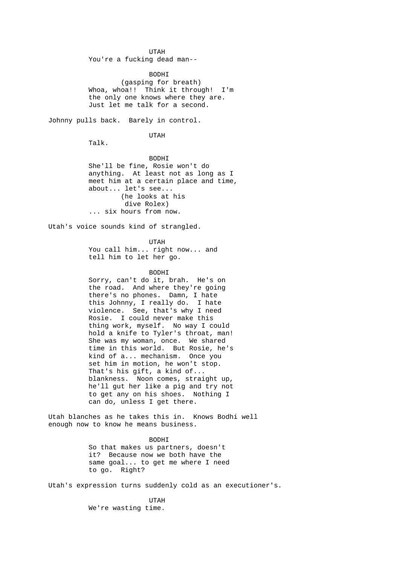UTAH You're a fucking dead man--

> BODHI (gasping for breath) Whoa, whoa!! Think it through! I'm the only one knows where they are. Just let me talk for a second.

Johnny pulls back. Barely in control.

UTAH

Talk.

 BODHI She'll be fine, Rosie won't do anything. At least not as long as I meet him at a certain place and time, about... let's see... (he looks at his dive Rolex) ... six hours from now.

Utah's voice sounds kind of strangled.

 UTAH You call him... right now... and tell him to let her go.

## BODHI

 Sorry, can't do it, brah. He's on the road. And where they're going there's no phones. Damn, I hate this Johnny, I really do. I hate violence. See, that's why I need Rosie. I could never make this thing work, myself. No way I could hold a knife to Tyler's throat, man! She was my woman, once. We shared time in this world. But Rosie, he's kind of a... mechanism. Once you set him in motion, he won't stop. That's his gift, a kind of... blankness. Noon comes, straight up, he'll gut her like a pig and try not to get any on his shoes. Nothing I can do, unless I get there.

Utah blanches as he takes this in. Knows Bodhi well enough now to know he means business.

 BODHI So that makes us partners, doesn't it? Because now we both have the same goal... to get me where I need to go. Right?

Utah's expression turns suddenly cold as an executioner's.

 UTAH We're wasting time.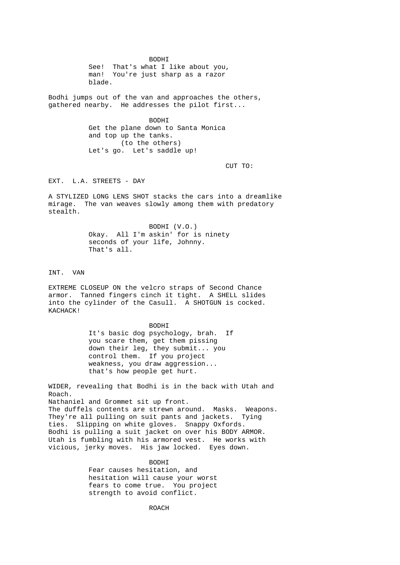BODHI See! That's what I like about you, man! You're just sharp as a razor blade.

Bodhi jumps out of the van and approaches the others, gathered nearby. He addresses the pilot first...

> BODHI Get the plane down to Santa Monica and top up the tanks. (to the others) Let's go. Let's saddle up!

CUT TO:

EXT. L.A. STREETS - DAY

A STYLIZED LONG LENS SHOT stacks the cars into a dreamlike mirage. The van weaves slowly among them with predatory stealth.

> BODHI (V.O.) Okay. All I'm askin' for is ninety seconds of your life, Johnny. That's all.

INT. VAN

EXTREME CLOSEUP ON the velcro straps of Second Chance armor. Tanned fingers cinch it tight. A SHELL slides into the cylinder of the Casull. A SHOTGUN is cocked. KACHACK!

> BODHI It's basic dog psychology, brah. If you scare them, get them pissing down their leg, they submit... you control them. If you project weakness, you draw aggression... that's how people get hurt.

WIDER, revealing that Bodhi is in the back with Utah and Roach. Nathaniel and Grommet sit up front. The duffels contents are strewn around. Masks. Weapons. They're all pulling on suit pants and jackets. Tying ties. Slipping on white gloves. Snappy Oxfords. Bodhi is pulling a suit jacket on over his BODY ARMOR. Utah is fumbling with his armored vest. He works with vicious, jerky moves. His jaw locked. Eyes down.

> BODHI Fear causes hesitation, and hesitation will cause your worst fears to come true. You project strength to avoid conflict.

> > ROACH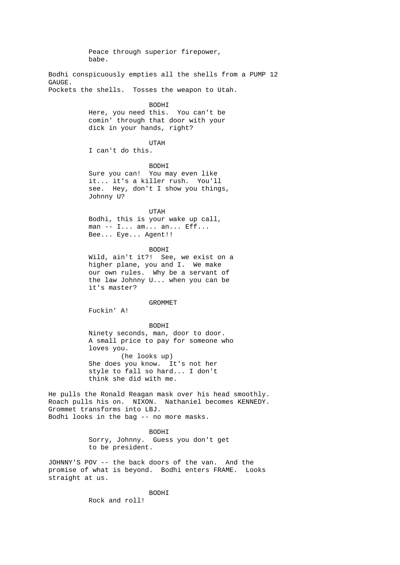Peace through superior firepower, babe. Bodhi conspicuously empties all the shells from a PUMP 12 GAUGE. Pockets the shells. Tosses the weapon to Utah. BODHI Here, you need this. You can't be comin' through that door with your dick in your hands, right? UTAH I can't do this. BODHI Sure you can! You may even like it... it's a killer rush. You'll see. Hey, don't I show you things, Johnny U? UTAH Bodhi, this is your wake up call, man -- I... am... an... Eff... Bee... Eye... Agent!! **BODHT**  Wild, ain't it?! See, we exist on a higher plane, you and I. We make our own rules. Why be a servant of the law Johnny U... when you can be it's master? GROMMET Fuckin' A! BODHI Ninety seconds, man, door to door. A small price to pay for someone who loves you. (he looks up) She does you know. It's not her style to fall so hard... I don't think she did with me. He pulls the Ronald Reagan mask over his head smoothly. Roach pulls his on. NIXON. Nathaniel becomes KENNEDY. Grommet transforms into LBJ. Bodhi looks in the bag -- no more masks. BODHI Sorry, Johnny. Guess you don't get to be president. JOHNNY'S POV -- the back doors of the van. And the promise of what is beyond. Bodhi enters FRAME. Looks straight at us. BODHI Rock and roll!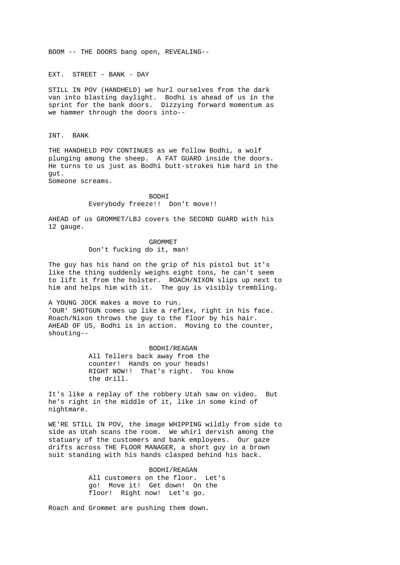BOOM -- THE DOORS bang open, REVEALING--

EXT. STREET - BANK - DAY

STILL IN POV (HANDHELD) we hurl ourselves from the dark van into blasting daylight. Bodhi is ahead of us in the sprint for the bank doors. Dizzying forward momentum as we hammer through the doors into--

INT. BANK

THE HANDHELD POV CONTINUES as we follow Bodhi, a wolf plunging among the sheep. A FAT GUARD inside the doors. He turns to us just as Bodhi butt-strokes him hard in the gut.

Someone screams.

 BODHI Everybody freeze!! Don't move!!

AHEAD of us GROMMET/LBJ covers the SECOND GUARD with his 12 gauge.

> GROMMET Don't fucking do it, man!

The guy has his hand on the grip of his pistol but it's like the thing suddenly weighs eight tons, he can't seem to lift it from the holster. ROACH/NIXON slips up next to him and helps him with it. The guy is visibly trembling.

A YOUNG JOCK makes a move to run. 'OUR' SHOTGUN comes up like a reflex, right in his face. Roach/Nixon throws the guy to the floor by his hair. AHEAD OF US, Bodhi is in action. Moving to the counter, shouting--

> BODHI/REAGAN All Tellers back away from the counter! Hands on your heads! RIGHT NOW!! That's right. You know the drill.

It's like a replay of the robbery Utah saw on video. But he's right in the middle of it, like in some kind of nightmare.

WE'RE STILL IN POV, the image WHIPPING wildly from side to side as Utah scans the room. We whirl dervish among the statuary of the customers and bank employees. Our gaze drifts across THE FLOOR MANAGER, a short guy in a brown suit standing with his hands clasped behind his back.

> BODHI/REAGAN All customers on the floor. Let's go! Move it! Get down! On the floor! Right now! Let's go.

Roach and Grommet are pushing them down.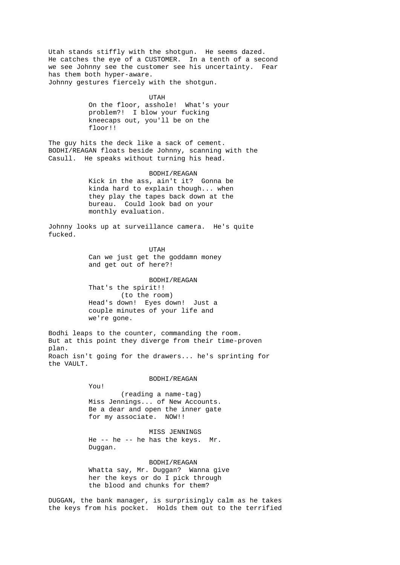Utah stands stiffly with the shotgun. He seems dazed. He catches the eye of a CUSTOMER. In a tenth of a second we see Johnny see the customer see his uncertainty. Fear has them both hyper-aware. Johnny gestures fiercely with the shotgun.

 UTAH On the floor, asshole! What's your problem?! I blow your fucking kneecaps out, you'll be on the floor!!

The guy hits the deck like a sack of cement. BODHI/REAGAN floats beside Johnny, scanning with the Casull. He speaks without turning his head.

> BODHI/REAGAN Kick in the ass, ain't it? Gonna be kinda hard to explain though... when they play the tapes back down at the bureau. Could look bad on your monthly evaluation.

Johnny looks up at surveillance camera. He's quite fucked.

 UTAH Can we just get the goddamn money and get out of here?!

> BODHI/REAGAN That's the spirit!! (to the room) Head's down! Eyes down! Just a couple minutes of your life and we're gone.

Bodhi leaps to the counter, commanding the room. But at this point they diverge from their time-proven plan. Roach isn't going for the drawers... he's sprinting for the VAULT.

BODHI/REAGAN

You!

 (reading a name-tag) Miss Jennings... of New Accounts. Be a dear and open the inner gate for my associate. NOW!!

 MISS JENNINGS He -- he -- he has the keys. Mr. Duggan.

 BODHI/REAGAN Whatta say, Mr. Duggan? Wanna give her the keys or do I pick through the blood and chunks for them?

DUGGAN, the bank manager, is surprisingly calm as he takes the keys from his pocket. Holds them out to the terrified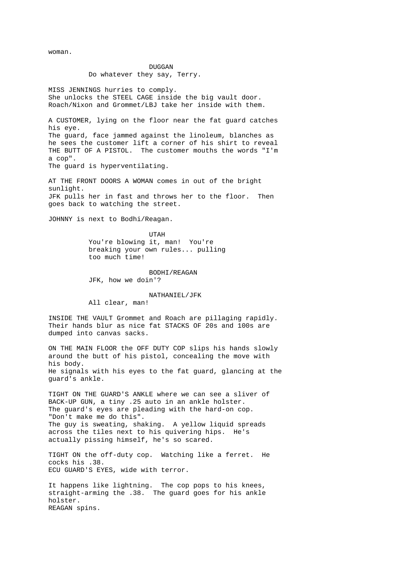woman.

## DUGGAN Do whatever they say, Terry.

MISS JENNINGS hurries to comply. She unlocks the STEEL CAGE inside the big vault door. Roach/Nixon and Grommet/LBJ take her inside with them.

A CUSTOMER, lying on the floor near the fat guard catches his eye. The guard, face jammed against the linoleum, blanches as he sees the customer lift a corner of his shirt to reveal THE BUTT OF A PISTOL. The customer mouths the words "I'm a cop". The guard is hyperventilating.

AT THE FRONT DOORS A WOMAN comes in out of the bright sunlight. JFK pulls her in fast and throws her to the floor. Then goes back to watching the street.

JOHNNY is next to Bodhi/Reagan.

 UTAH You're blowing it, man! You're breaking your own rules... pulling too much time!

> BODHI/REAGAN JFK, how we doin'?

 NATHANIEL/JFK All clear, man!

INSIDE THE VAULT Grommet and Roach are pillaging rapidly. Their hands blur as nice fat STACKS OF 20s and 100s are dumped into canvas sacks.

ON THE MAIN FLOOR the OFF DUTY COP slips his hands slowly around the butt of his pistol, concealing the move with his body. He signals with his eyes to the fat guard, glancing at the guard's ankle.

TIGHT ON THE GUARD'S ANKLE where we can see a sliver of BACK-UP GUN, a tiny .25 auto in an ankle holster. The guard's eyes are pleading with the hard-on cop. "Don't make me do this". The guy is sweating, shaking. A yellow liquid spreads across the tiles next to his quivering hips. He's actually pissing himself, he's so scared.

TIGHT ON the off-duty cop. Watching like a ferret. He cocks his .38. ECU GUARD'S EYES, wide with terror.

It happens like lightning. The cop pops to his knees, straight-arming the .38. The guard goes for his ankle holster. REAGAN spins.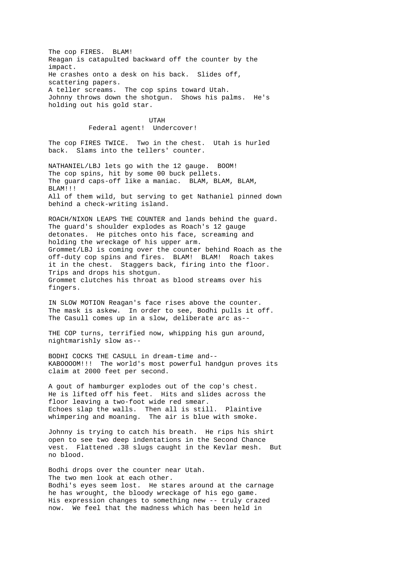The cop FIRES. BLAM! Reagan is catapulted backward off the counter by the impact. He crashes onto a desk on his back. Slides off, scattering papers. A teller screams. The cop spins toward Utah. Johnny throws down the shotgun. Shows his palms. He's holding out his gold star.

> UTAH Federal agent! Undercover!

The cop FIRES TWICE. Two in the chest. Utah is hurled back. Slams into the tellers' counter.

NATHANIEL/LBJ lets go with the 12 gauge. BOOM! The cop spins, hit by some 00 buck pellets. The guard caps-off like a maniac. BLAM, BLAM, BLAM, BLAM!!! All of them wild, but serving to get Nathaniel pinned down behind a check-writing island.

ROACH/NIXON LEAPS THE COUNTER and lands behind the guard. The guard's shoulder explodes as Roach's 12 gauge detonates. He pitches onto his face, screaming and holding the wreckage of his upper arm. Grommet/LBJ is coming over the counter behind Roach as the off-duty cop spins and fires. BLAM! BLAM! Roach takes it in the chest. Staggers back, firing into the floor. Trips and drops his shotgun. Grommet clutches his throat as blood streams over his fingers.

IN SLOW MOTION Reagan's face rises above the counter. The mask is askew. In order to see, Bodhi pulls it off. The Casull comes up in a slow, deliberate arc as--

THE COP turns, terrified now, whipping his gun around, nightmarishly slow as--

BODHI COCKS THE CASULL in dream-time and-- KABOOOOM!!! The world's most powerful handgun proves its claim at 2000 feet per second.

A gout of hamburger explodes out of the cop's chest. He is lifted off his feet. Hits and slides across the floor leaving a two-foot wide red smear. Echoes slap the walls. Then all is still. Plaintive whimpering and moaning. The air is blue with smoke.

Johnny is trying to catch his breath. He rips his shirt open to see two deep indentations in the Second Chance vest. Flattened .38 slugs caught in the Kevlar mesh. But no blood.

Bodhi drops over the counter near Utah. The two men look at each other. Bodhi's eyes seem lost. He stares around at the carnage he has wrought, the bloody wreckage of his ego game. His expression changes to something new -- truly crazed now. We feel that the madness which has been held in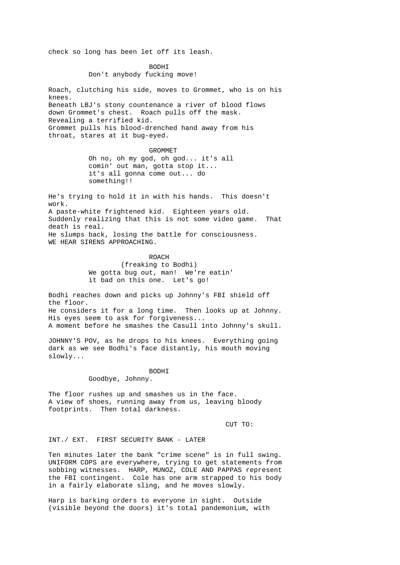check so long has been let off its leash.

 BODHI Don't anybody fucking move!

Roach, clutching his side, moves to Grommet, who is on his knees. Beneath LBJ's stony countenance a river of blood flows down Grommet's chest. Roach pulls off the mask. Revealing a terrified kid. Grommet pulls his blood-drenched hand away from his throat, stares at it bug-eyed.

GROMMET

 Oh no, oh my god, oh god... it's all comin' out man, gotta stop it... it's all gonna come out... do something!!

He's trying to hold it in with his hands. This doesn't work. A paste-white frightened kid. Eighteen years old. Suddenly realizing that this is not some video game. That death is real. He slumps back, losing the battle for consciousness. WE HEAR SIRENS APPROACHING.

> ROACH (freaking to Bodhi) We gotta bug out, man! We're eatin' it bad on this one. Let's go!

Bodhi reaches down and picks up Johnny's FBI shield off the floor. He considers it for a long time. Then looks up at Johnny. His eyes seem to ask for forgiveness... A moment before he smashes the Casull into Johnny's skull.

JOHNNY'S POV, as he drops to his knees. Everything going dark as we see Bodhi's face distantly, his mouth moving slowly...

 BODHI Goodbye, Johnny.

The floor rushes up and smashes us in the face. A view of shoes, running away from us, leaving bloody footprints. Then total darkness.

CUT TO:

INT./ EXT. FIRST SECURITY BANK - LATER

Ten minutes later the bank "crime scene" is in full swing. UNIFORM COPS are everywhere, trying to get statements from sobbing witnesses. HARP, MUNOZ, COLE AND PAPPAS represent the FBI contingent. Cole has one arm strapped to his body in a fairly elaborate sling, and he moves slowly.

Harp is barking orders to everyone in sight. Outside (visible beyond the doors) it's total pandemonium, with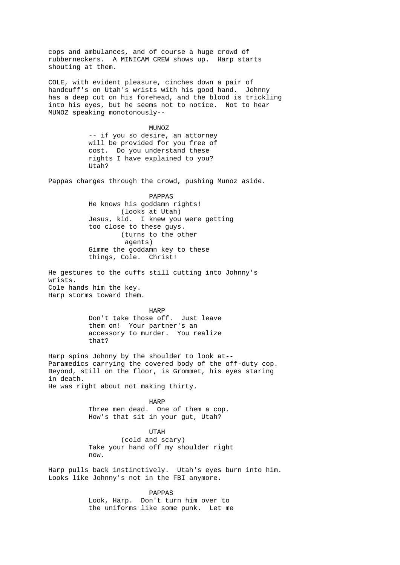cops and ambulances, and of course a huge crowd of rubberneckers. A MINICAM CREW shows up. Harp starts shouting at them. COLE, with evident pleasure, cinches down a pair of handcuff's on Utah's wrists with his good hand. Johnny has a deep cut on his forehead, and the blood is trickling into his eyes, but he seems not to notice. Not to hear MUNOZ speaking monotonously-- MUNOZ -- if you so desire, an attorney will be provided for you free of cost. Do you understand these rights I have explained to you? Utah? Pappas charges through the crowd, pushing Munoz aside. PAPPAS He knows his goddamn rights! (looks at Utah) Jesus, kid. I knew you were getting too close to these guys. (turns to the other agents) Gimme the goddamn key to these things, Cole. Christ! He gestures to the cuffs still cutting into Johnny's wrists. Cole hands him the key. Harp storms toward them. **HARP**  Don't take those off. Just leave them on! Your partner's an accessory to murder. You realize that? Harp spins Johnny by the shoulder to look at-- Paramedics carrying the covered body of the off-duty cop. Beyond, still on the floor, is Grommet, his eyes staring in death. He was right about not making thirty. harpened to the HARP HARP Three men dead. One of them a cop. How's that sit in your gut, Utah? UTAH (cold and scary) Take your hand off my shoulder right now. Harp pulls back instinctively. Utah's eyes burn into him. Looks like Johnny's not in the FBI anymore. PAPPAS Look, Harp. Don't turn him over to the uniforms like some punk. Let me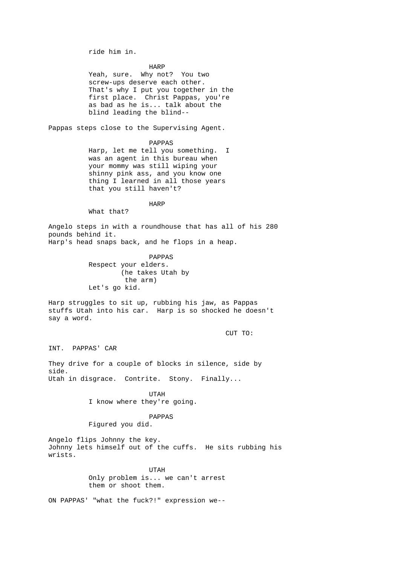ride him in.

 HARP Yeah, sure. Why not? You two screw-ups deserve each other. That's why I put you together in the first place. Christ Pappas, you're as bad as he is... talk about the blind leading the blind--

Pappas steps close to the Supervising Agent.

 PAPPAS Harp, let me tell you something. I was an agent in this bureau when your mommy was still wiping your shinny pink ass, and you know one thing I learned in all those years that you still haven't?

harpened to the HARP HARP

What that?

Angelo steps in with a roundhouse that has all of his 280 pounds behind it. Harp's head snaps back, and he flops in a heap.

> PAPPAS Respect your elders. (he takes Utah by the arm) Let's go kid.

Harp struggles to sit up, rubbing his jaw, as Pappas stuffs Utah into his car. Harp is so shocked he doesn't say a word.

CUT TO:

INT. PAPPAS' CAR

They drive for a couple of blocks in silence, side by side. Utah in disgrace. Contrite. Stony. Finally...

 UTAH I know where they're going.

PAPPAS

Figured you did.

Angelo flips Johnny the key. Johnny lets himself out of the cuffs. He sits rubbing his wrists.

> UTAH Only problem is... we can't arrest them or shoot them.

ON PAPPAS' "what the fuck?!" expression we--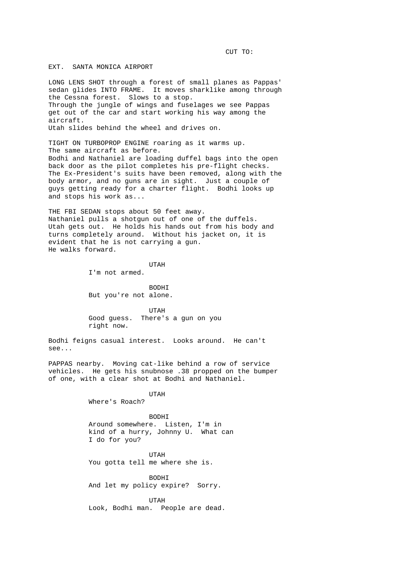CUT TO:

EXT. SANTA MONICA AIRPORT

LONG LENS SHOT through a forest of small planes as Pappas' sedan glides INTO FRAME. It moves sharklike among through the Cessna forest. Slows to a stop. Through the jungle of wings and fuselages we see Pappas get out of the car and start working his way among the aircraft. Utah slides behind the wheel and drives on.

TIGHT ON TURBOPROP ENGINE roaring as it warms up. The same aircraft as before. Bodhi and Nathaniel are loading duffel bags into the open back door as the pilot completes his pre-flight checks. The Ex-President's suits have been removed, along with the body armor, and no guns are in sight. Just a couple of guys getting ready for a charter flight. Bodhi looks up and stops his work as...

THE FBI SEDAN stops about 50 feet away. Nathaniel pulls a shotgun out of one of the duffels. Utah gets out. He holds his hands out from his body and turns completely around. Without his jacket on, it is evident that he is not carrying a gun. He walks forward.

UTAH

I'm not armed.

 BODHI But you're not alone.

 UTAH Good guess. There's a gun on you right now.

Bodhi feigns casual interest. Looks around. He can't see...

PAPPAS nearby. Moving cat-like behind a row of service vehicles. He gets his snubnose .38 propped on the bumper of one, with a clear shot at Bodhi and Nathaniel.

UTAH

Where's Roach?

 BODHI Around somewhere. Listen, I'm in kind of a hurry, Johnny U. What can I do for you?

 UTAH You gotta tell me where she is.

> BODHI And let my policy expire? Sorry.

 UTAH Look, Bodhi man. People are dead.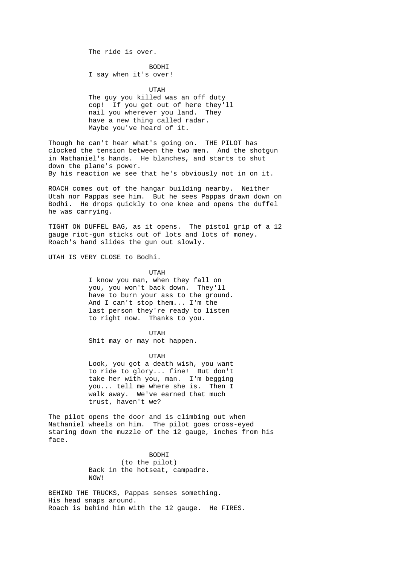The ride is over.

 BODHI I say when it's over!

 UTAH The guy you killed was an off duty cop! If you get out of here they'll nail you wherever you land. They have a new thing called radar. Maybe you've heard of it.

Though he can't hear what's going on. THE PILOT has clocked the tension between the two men. And the shotgun in Nathaniel's hands. He blanches, and starts to shut down the plane's power. By his reaction we see that he's obviously not in on it.

ROACH comes out of the hangar building nearby. Neither Utah nor Pappas see him. But he sees Pappas drawn down on Bodhi. He drops quickly to one knee and opens the duffel he was carrying.

TIGHT ON DUFFEL BAG, as it opens. The pistol grip of a 12 gauge riot-gun sticks out of lots and lots of money. Roach's hand slides the gun out slowly.

UTAH IS VERY CLOSE to Bodhi.

 UTAH I know you man, when they fall on you, you won't back down. They'll have to burn your ass to the ground. And I can't stop them... I'm the last person they're ready to listen to right now. Thanks to you.

 UTAH Shit may or may not happen.

 UTAH Look, you got a death wish, you want to ride to glory... fine! But don't take her with you, man. I'm begging you... tell me where she is. Then I walk away. We've earned that much trust, haven't we?

The pilot opens the door and is climbing out when Nathaniel wheels on him. The pilot goes cross-eyed staring down the muzzle of the 12 gauge, inches from his face.

> BODHI (to the pilot) Back in the hotseat, campadre. NOW!

BEHIND THE TRUCKS, Pappas senses something. His head snaps around. Roach is behind him with the 12 gauge. He FIRES.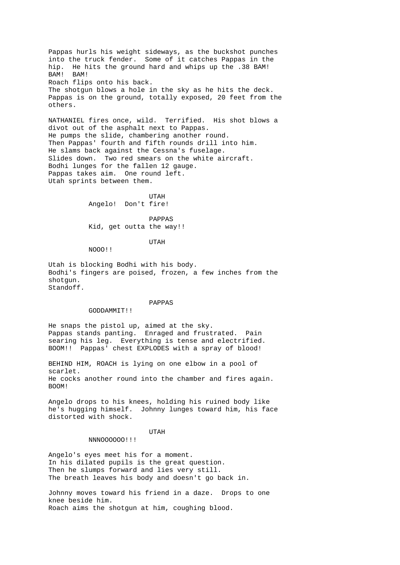Pappas hurls his weight sideways, as the buckshot punches into the truck fender. Some of it catches Pappas in the hip. He hits the ground hard and whips up the .38 BAM! BAM! BAM! Roach flips onto his back. The shotgun blows a hole in the sky as he hits the deck. Pappas is on the ground, totally exposed, 20 feet from the others.

NATHANIEL fires once, wild. Terrified. His shot blows a divot out of the asphalt next to Pappas. He pumps the slide, chambering another round. Then Pappas' fourth and fifth rounds drill into him. He slams back against the Cessna's fuselage. Slides down. Two red smears on the white aircraft. Bodhi lunges for the fallen 12 gauge. Pappas takes aim. One round left. Utah sprints between them.

 UTAH Angelo! Don't fire!

 PAPPAS Kid, get outta the way!!

UTAH

NOOO!!

Utah is blocking Bodhi with his body. Bodhi's fingers are poised, frozen, a few inches from the shotgun. Standoff.

## PAPPAS

### GODDAMMIT!!

He snaps the pistol up, aimed at the sky. Pappas stands panting. Enraged and frustrated. Pain searing his leg. Everything is tense and electrified. BOOM!! Pappas' chest EXPLODES with a spray of blood!

BEHIND HIM, ROACH is lying on one elbow in a pool of scarlet. He cocks another round into the chamber and fires again. BOOM!

Angelo drops to his knees, holding his ruined body like he's hugging himself. Johnny lunges toward him, his face distorted with shock.

UTAH

NNNOOOOOO!!!

Angelo's eyes meet his for a moment. In his dilated pupils is the great question. Then he slumps forward and lies very still. The breath leaves his body and doesn't go back in.

Johnny moves toward his friend in a daze. Drops to one knee beside him. Roach aims the shotgun at him, coughing blood.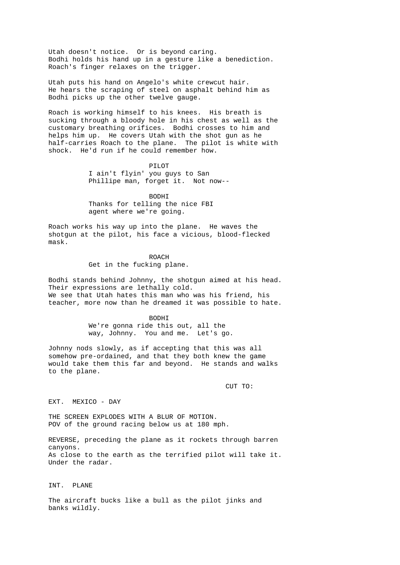Utah doesn't notice. Or is beyond caring. Bodhi holds his hand up in a gesture like a benediction. Roach's finger relaxes on the trigger.

Utah puts his hand on Angelo's white crewcut hair. He hears the scraping of steel on asphalt behind him as Bodhi picks up the other twelve gauge.

Roach is working himself to his knees. His breath is sucking through a bloody hole in his chest as well as the customary breathing orifices. Bodhi crosses to him and helps him up. He covers Utah with the shot gun as he half-carries Roach to the plane. The pilot is white with shock. He'd run if he could remember how.

 PILOT I ain't flyin' you guys to San Phillipe man, forget it. Not now--

 BODHI Thanks for telling the nice FBI agent where we're going.

Roach works his way up into the plane. He waves the shotgun at the pilot, his face a vicious, blood-flecked mask.

> ROACH Get in the fucking plane.

Bodhi stands behind Johnny, the shotgun aimed at his head. Their expressions are lethally cold. We see that Utah hates this man who was his friend, his teacher, more now than he dreamed it was possible to hate.

> BODHI We're gonna ride this out, all the way, Johnny. You and me. Let's go.

Johnny nods slowly, as if accepting that this was all somehow pre-ordained, and that they both knew the game would take them this far and beyond. He stands and walks to the plane.

CUT TO:

EXT. MEXICO - DAY

THE SCREEN EXPLODES WITH A BLUR OF MOTION. POV of the ground racing below us at 180 mph.

REVERSE, preceding the plane as it rockets through barren canyons. As close to the earth as the terrified pilot will take it. Under the radar.

INT. PLANE

The aircraft bucks like a bull as the pilot jinks and banks wildly.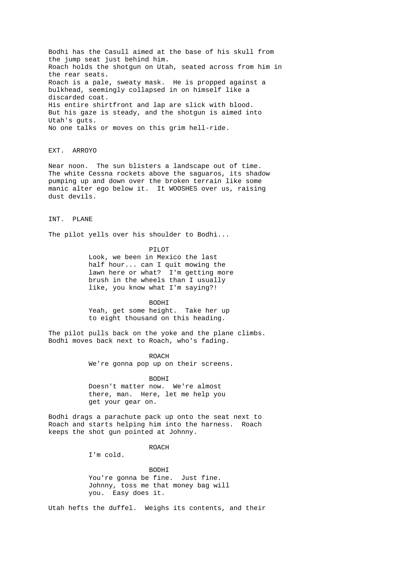Bodhi has the Casull aimed at the base of his skull from the jump seat just behind him. Roach holds the shotgun on Utah, seated across from him in the rear seats. Roach is a pale, sweaty mask. He is propped against a bulkhead, seemingly collapsed in on himself like a discarded coat. His entire shirtfront and lap are slick with blood. But his gaze is steady, and the shotgun is aimed into Utah's guts. No one talks or moves on this grim hell-ride.

EXT. ARROYO

Near noon. The sun blisters a landscape out of time. The white Cessna rockets above the saguaros, its shadow pumping up and down over the broken terrain like some manic alter ego below it. It WOOSHES over us, raising dust devils.

INT. PLANE

The pilot yells over his shoulder to Bodhi...

 PILOT Look, we been in Mexico the last half hour... can I quit mowing the lawn here or what? I'm getting more brush in the wheels than I usually like, you know what I'm saying?!

 BODHI Yeah, get some height. Take her up to eight thousand on this heading.

The pilot pulls back on the yoke and the plane climbs. Bodhi moves back next to Roach, who's fading.

> ROACH We're gonna pop up on their screens.

 BODHI Doesn't matter now. We're almost there, man. Here, let me help you get your gear on.

Bodhi drags a parachute pack up onto the seat next to Roach and starts helping him into the harness. Roach keeps the shot gun pointed at Johnny.

ROACH ROACH

I'm cold.

 BODHI You're gonna be fine. Just fine. Johnny, toss me that money bag will you. Easy does it.

Utah hefts the duffel. Weighs its contents, and their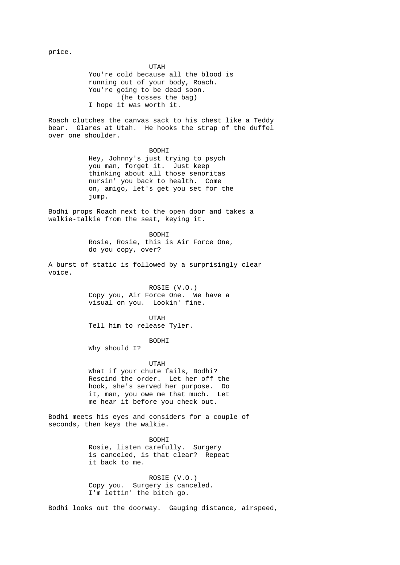price.

 UTAH You're cold because all the blood is running out of your body, Roach. You're going to be dead soon. (he tosses the bag) I hope it was worth it.

Roach clutches the canvas sack to his chest like a Teddy bear. Glares at Utah. He hooks the strap of the duffel over one shoulder.

> BODHI Hey, Johnny's just trying to psych you man, forget it. Just keep thinking about all those senoritas nursin' you back to health. Come on, amigo, let's get you set for the jump.

Bodhi props Roach next to the open door and takes a walkie-talkie from the seat, keying it.

> BODHI Rosie, Rosie, this is Air Force One, do you copy, over?

A burst of static is followed by a surprisingly clear voice.

> ROSIE (V.O.) Copy you, Air Force One. We have a visual on you. Lookin' fine.

 UTAH Tell him to release Tyler.

BODHI

Why should I?

 UTAH What if your chute fails, Bodhi? Rescind the order. Let her off the hook, she's served her purpose. Do it, man, you owe me that much. Let me hear it before you check out.

Bodhi meets his eyes and considers for a couple of seconds, then keys the walkie.

 BODHI Rosie, listen carefully. Surgery is canceled, is that clear? Repeat it back to me.

> ROSIE (V.O.) Copy you. Surgery is canceled. I'm lettin' the bitch go.

Bodhi looks out the doorway. Gauging distance, airspeed,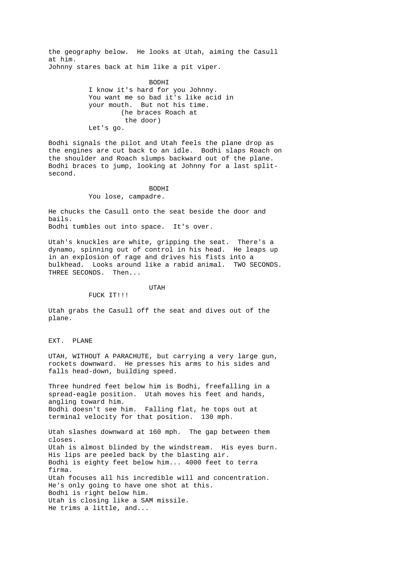the geography below. He looks at Utah, aiming the Casull at him. Johnny stares back at him like a pit viper.

> BODHI I know it's hard for you Johnny. You want me so bad it's like acid in your mouth. But not his time. (he braces Roach at the door) Let's go.

Bodhi signals the pilot and Utah feels the plane drop as the engines are cut back to an idle. Bodhi slaps Roach on the shoulder and Roach slumps backward out of the plane. Bodhi braces to jump, looking at Johnny for a last splitsecond.

 BODHI You lose, campadre.

FUCK IT!!!

He chucks the Casull onto the seat beside the door and bails. Bodhi tumbles out into space. It's over.

Utah's knuckles are white, gripping the seat. There's a dynamo, spinning out of control in his head. He leaps up in an explosion of rage and drives his fists into a bulkhead. Looks around like a rabid animal. TWO SECONDS. THREE SECONDS. Then...

UTAH

Utah grabs the Casull off the seat and dives out of the plane.

EXT. PLANE

UTAH, WITHOUT A PARACHUTE, but carrying a very large gun, rockets downward. He presses his arms to his sides and falls head-down, building speed.

Three hundred feet below him is Bodhi, freefalling in a spread-eagle position. Utah moves his feet and hands, angling toward him. Bodhi doesn't see him. Falling flat, he tops out at terminal velocity for that position. 130 mph.

Utah slashes downward at 160 mph. The gap between them closes. Utah is almost blinded by the windstream. His eyes burn. His lips are peeled back by the blasting air. Bodhi is eighty feet below him... 4000 feet to terra firma. Utah focuses all his incredible will and concentration. He's only going to have one shot at this. Bodhi is right below him. Utah is closing like a SAM missile. He trims a little, and...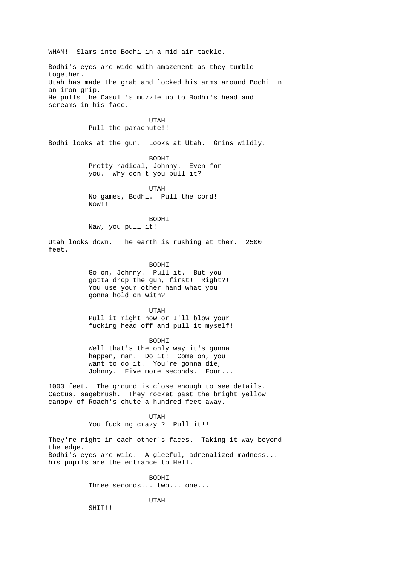WHAM! Slams into Bodhi in a mid-air tackle. Bodhi's eyes are wide with amazement as they tumble together. Utah has made the grab and locked his arms around Bodhi in an iron grip. He pulls the Casull's muzzle up to Bodhi's head and screams in his face. UTAH Pull the parachute!! Bodhi looks at the gun. Looks at Utah. Grins wildly. BODHI Pretty radical, Johnny. Even for you. Why don't you pull it? UTAH No games, Bodhi. Pull the cord! Now!! BODHI Naw, you pull it! Utah looks down. The earth is rushing at them. 2500 feet. BODHI Go on, Johnny. Pull it. But you gotta drop the gun, first! Right?! You use your other hand what you gonna hold on with? UTAH Pull it right now or I'll blow your fucking head off and pull it myself! BODHI Well that's the only way it's gonna happen, man. Do it! Come on, you want to do it. You're gonna die, Johnny. Five more seconds. Four... 1000 feet. The ground is close enough to see details. Cactus, sagebrush. They rocket past the bright yellow canopy of Roach's chute a hundred feet away. UTAH You fucking crazy!? Pull it!! They're right in each other's faces. Taking it way beyond the edge. Bodhi's eyes are wild. A gleeful, adrenalized madness... his pupils are the entrance to Hell. BODHI Three seconds... two... one... UTAH SHIT!!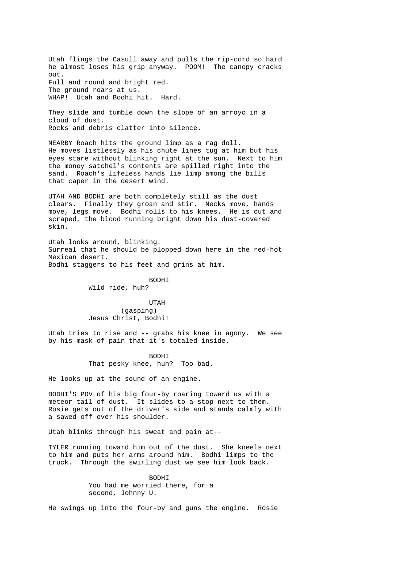Utah flings the Casull away and pulls the rip-cord so hard he almost loses his grip anyway. POOM! The canopy cracks out. Full and round and bright red. The ground roars at us. WHAP! Utah and Bodhi hit. Hard.

They slide and tumble down the slope of an arroyo in a cloud of dust. Rocks and debris clatter into silence.

NEARBY Roach hits the ground limp as a rag doll. He moves listlessly as his chute lines tug at him but his eyes stare without blinking right at the sun. Next to him the money satchel's contents are spilled right into the sand. Roach's lifeless hands lie limp among the bills that caper in the desert wind.

UTAH AND BODHI are both completely still as the dust clears. Finally they groan and stir. Necks move, hands move, legs move. Bodhi rolls to his knees. He is cut and scraped, the blood running bright down his dust-covered skin.

Utah looks around, blinking. Surreal that he should be plopped down here in the red-hot Mexican desert. Bodhi staggers to his feet and grins at him.

> BODHI Wild ride, huh?

> UTAH (gasping) Jesus Christ, Bodhi!

Utah tries to rise and -- grabs his knee in agony. We see by his mask of pain that it's totaled inside.

> BODHI That pesky knee, huh? Too bad.

He looks up at the sound of an engine.

BODHI'S POV of his big four-by roaring toward us with a meteor tail of dust. It slides to a stop next to them. Rosie gets out of the driver's side and stands calmly with a sawed-off over his shoulder.

Utah blinks through his sweat and pain at--

TYLER running toward him out of the dust. She kneels next to him and puts her arms around him. Bodhi limps to the truck. Through the swirling dust we see him look back.

> BODHI You had me worried there, for a second, Johnny U.

He swings up into the four-by and guns the engine. Rosie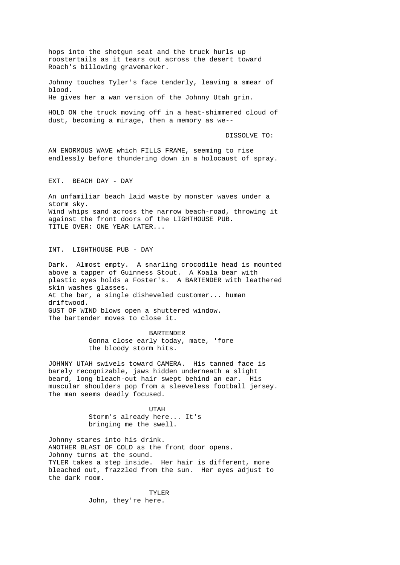hops into the shotgun seat and the truck hurls up roostertails as it tears out across the desert toward Roach's billowing gravemarker.

Johnny touches Tyler's face tenderly, leaving a smear of blood. He gives her a wan version of the Johnny Utah grin.

HOLD ON the truck moving off in a heat-shimmered cloud of dust, becoming a mirage, then a memory as we--

DISSOLVE TO:

AN ENORMOUS WAVE which FILLS FRAME, seeming to rise endlessly before thundering down in a holocaust of spray.

EXT. BEACH DAY - DAY

An unfamiliar beach laid waste by monster waves under a storm sky. Wind whips sand across the narrow beach-road, throwing it against the front doors of the LIGHTHOUSE PUB. TITLE OVER: ONE YEAR LATER...

INT. LIGHTHOUSE PUB - DAY

Dark. Almost empty. A snarling crocodile head is mounted above a tapper of Guinness Stout. A Koala bear with plastic eyes holds a Foster's. A BARTENDER with leathered skin washes glasses. At the bar, a single disheveled customer... human driftwood. GUST OF WIND blows open a shuttered window. The bartender moves to close it.

> BARTENDER Gonna close early today, mate, 'fore the bloody storm hits.

JOHNNY UTAH swivels toward CAMERA. His tanned face is barely recognizable, jaws hidden underneath a slight beard, long bleach-out hair swept behind an ear. His muscular shoulders pop from a sleeveless football jersey. The man seems deadly focused.

 UTAH Storm's already here... It's bringing me the swell.

Johnny stares into his drink. ANOTHER BLAST OF COLD as the front door opens. Johnny turns at the sound. TYLER takes a step inside. Her hair is different, more bleached out, frazzled from the sun. Her eyes adjust to the dark room.

> TYLER John, they're here.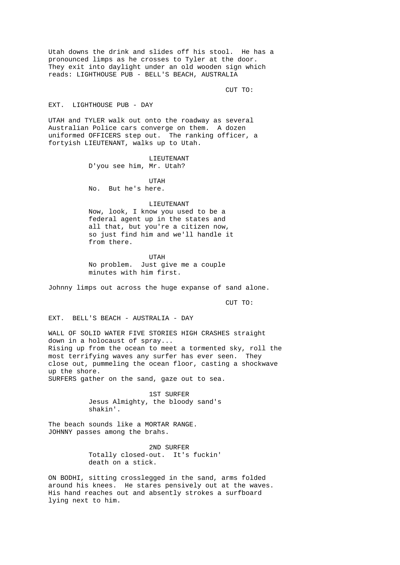Utah downs the drink and slides off his stool. He has a pronounced limps as he crosses to Tyler at the door. They exit into daylight under an old wooden sign which reads: LIGHTHOUSE PUB - BELL'S BEACH, AUSTRALIA

CUT TO:

### EXT. LIGHTHOUSE PUB - DAY

UTAH and TYLER walk out onto the roadway as several Australian Police cars converge on them. A dozen uniformed OFFICERS step out. The ranking officer, a fortyish LIEUTENANT, walks up to Utah.

> LIEUTENANT D'you see him, Mr. Utah?

 UTAH No. But he's here.

LIEUTENANT

 Now, look, I know you used to be a federal agent up in the states and all that, but you're a citizen now, so just find him and we'll handle it from there.

 UTAH No problem. Just give me a couple minutes with him first.

Johnny limps out across the huge expanse of sand alone.

CUT TO:

EXT. BELL'S BEACH - AUSTRALIA - DAY

WALL OF SOLID WATER FIVE STORIES HIGH CRASHES straight down in a holocaust of spray... Rising up from the ocean to meet a tormented sky, roll the most terrifying waves any surfer has ever seen. They close out, pummeling the ocean floor, casting a shockwave up the shore. SURFERS gather on the sand, gaze out to sea.

> 1ST SURFER Jesus Almighty, the bloody sand's shakin'.

The beach sounds like a MORTAR RANGE. JOHNNY passes among the brahs.

> 2ND SURFER Totally closed-out. It's fuckin' death on a stick.

ON BODHI, sitting crosslegged in the sand, arms folded around his knees. He stares pensively out at the waves. His hand reaches out and absently strokes a surfboard lying next to him.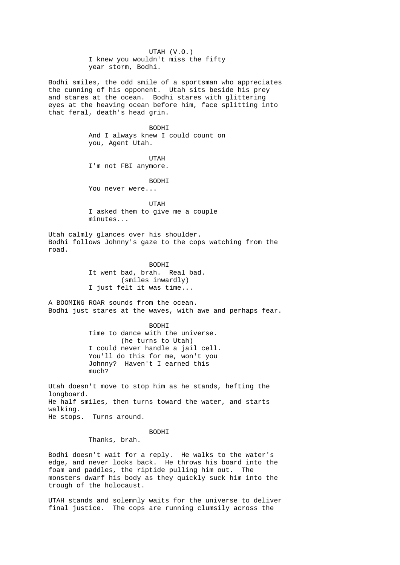UTAH (V.O.) I knew you wouldn't miss the fifty year storm, Bodhi. Bodhi smiles, the odd smile of a sportsman who appreciates the cunning of his opponent. Utah sits beside his prey and stares at the ocean. Bodhi stares with glittering eyes at the heaving ocean before him, face splitting into that feral, death's head grin. BODHI And I always knew I could count on you, Agent Utah. UTAH I'm not FBI anymore. BODHI You never were... UTAH I asked them to give me a couple minutes... Utah calmly glances over his shoulder. Bodhi follows Johnny's gaze to the cops watching from the road. BODHI It went bad, brah. Real bad. (smiles inwardly) I just felt it was time... A BOOMING ROAR sounds from the ocean. Bodhi just stares at the waves, with awe and perhaps fear. BODHI Time to dance with the universe. (he turns to Utah) I could never handle a jail cell. You'll do this for me, won't you Johnny? Haven't I earned this much? Utah doesn't move to stop him as he stands, hefting the longboard. He half smiles, then turns toward the water, and starts walking. He stops. Turns around. BODHI Thanks, brah.

Bodhi doesn't wait for a reply. He walks to the water's edge, and never looks back. He throws his board into the foam and paddles, the riptide pulling him out. The monsters dwarf his body as they quickly suck him into the trough of the holocaust.

UTAH stands and solemnly waits for the universe to deliver final justice. The cops are running clumsily across the